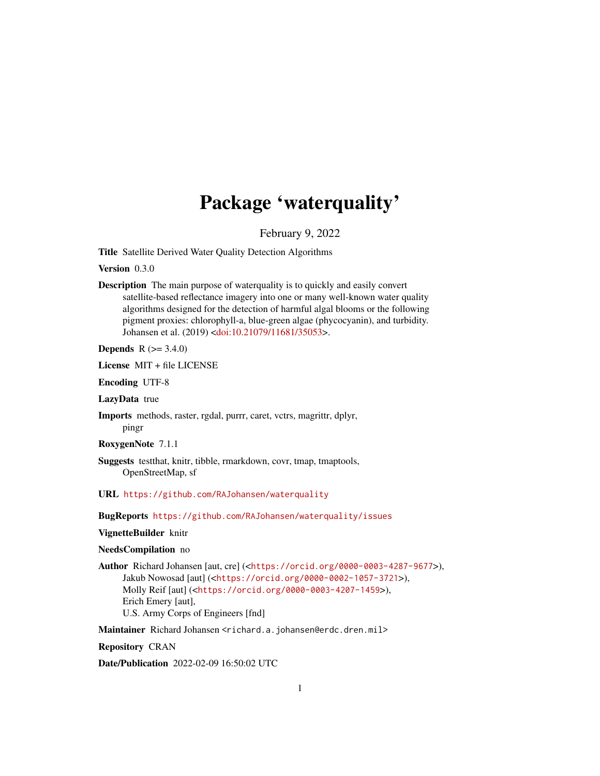# Package 'waterquality'

February 9, 2022

Title Satellite Derived Water Quality Detection Algorithms

Version 0.3.0

Description The main purpose of waterquality is to quickly and easily convert satellite-based reflectance imagery into one or many well-known water quality algorithms designed for the detection of harmful algal blooms or the following pigment proxies: chlorophyll-a, blue-green algae (phycocyanin), and turbidity. Johansen et al. (2019) [<doi:10.21079/11681/35053>](https://doi.org/10.21079/11681/35053).

**Depends**  $R (= 3.4.0)$ 

License MIT + file LICENSE

Encoding UTF-8

LazyData true

Imports methods, raster, rgdal, purrr, caret, vctrs, magrittr, dplyr, pingr

RoxygenNote 7.1.1

Suggests testthat, knitr, tibble, rmarkdown, covr, tmap, tmaptools, OpenStreetMap, sf

URL <https://github.com/RAJohansen/waterquality>

BugReports <https://github.com/RAJohansen/waterquality/issues>

# VignetteBuilder knitr

# NeedsCompilation no

Author Richard Johansen [aut, cre] (<<https://orcid.org/0000-0003-4287-9677>>), Jakub Nowosad [aut] (<<https://orcid.org/0000-0002-1057-3721>>), Molly Reif [aut] (<<https://orcid.org/0000-0003-4207-1459>>), Erich Emery [aut], U.S. Army Corps of Engineers [fnd]

Maintainer Richard Johansen <richard.a.johansen@erdc.dren.mil>

Repository CRAN

Date/Publication 2022-02-09 16:50:02 UTC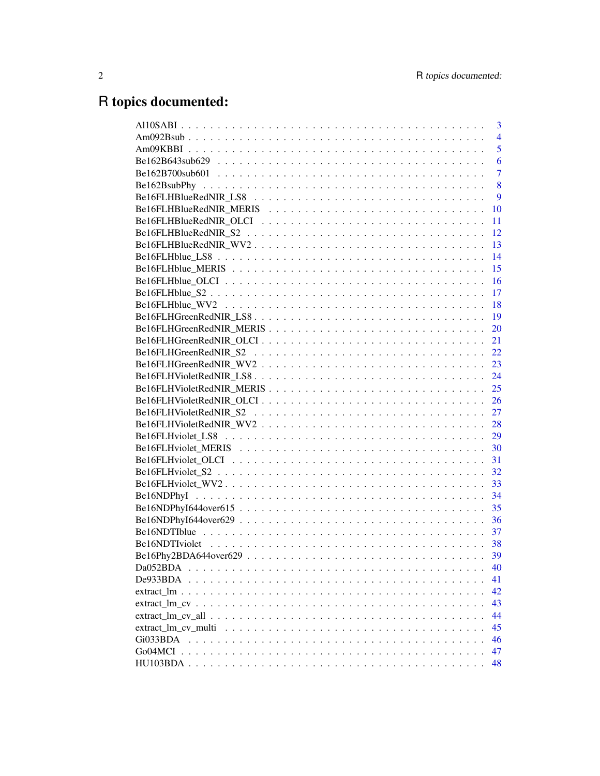# R topics documented:

|                                                                                                                                                 | $\overline{3}$ |
|-------------------------------------------------------------------------------------------------------------------------------------------------|----------------|
|                                                                                                                                                 | $\overline{4}$ |
|                                                                                                                                                 | 5              |
|                                                                                                                                                 | 6              |
|                                                                                                                                                 | $\overline{7}$ |
|                                                                                                                                                 | 8              |
|                                                                                                                                                 | 9              |
|                                                                                                                                                 | 10             |
|                                                                                                                                                 | 11             |
|                                                                                                                                                 | 12             |
|                                                                                                                                                 | 13             |
|                                                                                                                                                 | 14             |
|                                                                                                                                                 | 15             |
|                                                                                                                                                 | <b>16</b>      |
|                                                                                                                                                 | - 17           |
|                                                                                                                                                 | -18            |
|                                                                                                                                                 | - 19           |
|                                                                                                                                                 | <b>20</b>      |
|                                                                                                                                                 | 21             |
|                                                                                                                                                 |                |
|                                                                                                                                                 |                |
|                                                                                                                                                 |                |
|                                                                                                                                                 |                |
|                                                                                                                                                 |                |
|                                                                                                                                                 |                |
|                                                                                                                                                 |                |
|                                                                                                                                                 |                |
|                                                                                                                                                 |                |
|                                                                                                                                                 |                |
|                                                                                                                                                 | 32             |
|                                                                                                                                                 | 33             |
|                                                                                                                                                 | 34             |
|                                                                                                                                                 | 35             |
|                                                                                                                                                 | 36             |
|                                                                                                                                                 | 37             |
|                                                                                                                                                 |                |
|                                                                                                                                                 |                |
| Da052BDA                                                                                                                                        | 40             |
| De933BDA                                                                                                                                        | 41             |
|                                                                                                                                                 | 42             |
|                                                                                                                                                 | 43             |
| extract $\text{Im}$ cv all $\ldots$ $\ldots$ $\ldots$ $\ldots$ $\ldots$ $\ldots$ $\ldots$ $\ldots$ $\ldots$ $\ldots$ $\ldots$ $\ldots$ $\ldots$ | 44             |
| extract lm cv multi                                                                                                                             | 45             |
| Gi033BDA                                                                                                                                        | 46             |
|                                                                                                                                                 | 47             |
|                                                                                                                                                 | 48             |
|                                                                                                                                                 |                |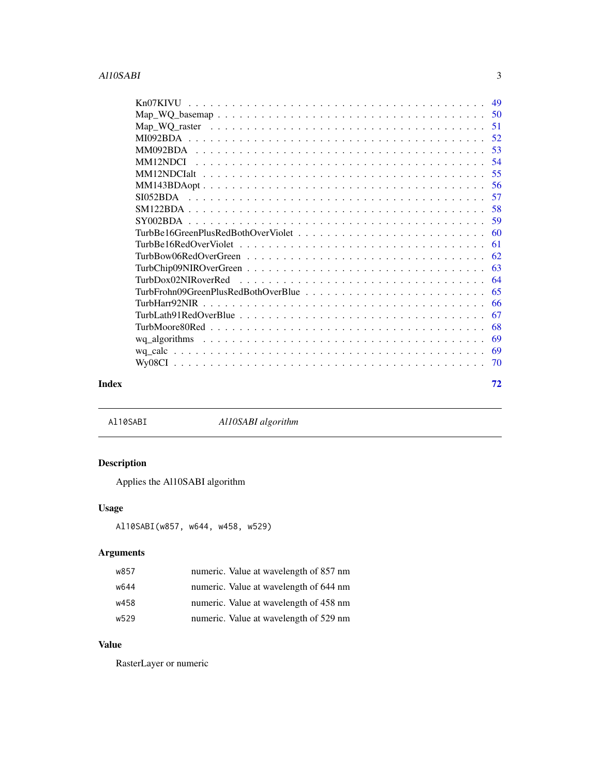<span id="page-2-0"></span>

| 51   |
|------|
| 52   |
| 53   |
| -54  |
| - 55 |
| 56   |
| 57   |
| 58   |
| 59   |
| 60   |
| 61   |
| 62   |
| 63   |
| 64   |
| 65   |
| 66   |
| 67   |
| 68   |
| 69   |
| 69   |
| 70   |
|      |

#### **Index** [72](#page-71-0)

<span id="page-2-1"></span>Al10SABI *Al10SABI algorithm*

# Description

Applies the Al10SABI algorithm

# Usage

```
Al10SABI(w857, w644, w458, w529)
```
# Arguments

| w857 | numeric. Value at wavelength of 857 nm |
|------|----------------------------------------|
| w644 | numeric. Value at wavelength of 644 nm |
| w458 | numeric. Value at wavelength of 458 nm |
| w529 | numeric. Value at wavelength of 529 nm |

# Value

RasterLayer or numeric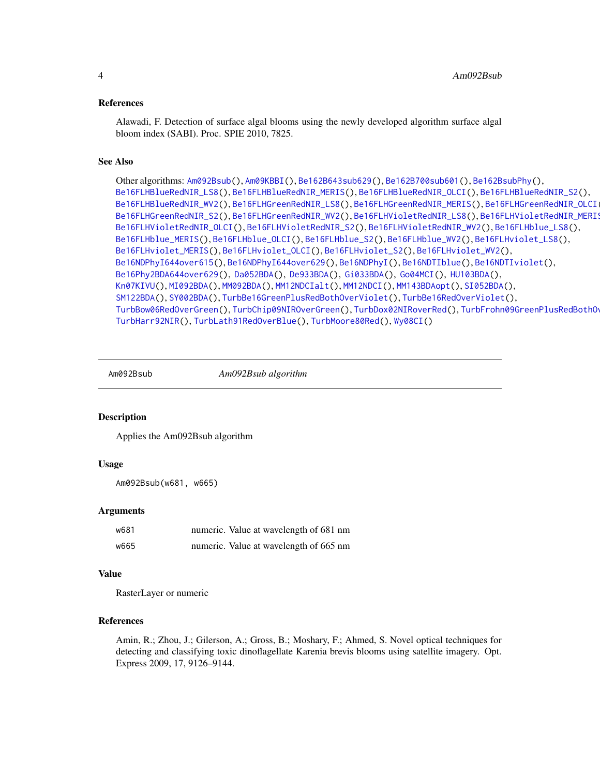#### <span id="page-3-0"></span>References

Alawadi, F. Detection of surface algal blooms using the newly developed algorithm surface algal bloom index (SABI). Proc. SPIE 2010, 7825.

# See Also

```
Other algorithms: Am092Bsub(), Am09KBBI(), Be162B643sub629(), Be162B700sub601(), Be162BsubPhy(),
Be16FLHBlueRedNIR_LS8(), Be16FLHBlueRedNIR_MERIS(), Be16FLHBlueRedNIR_OLCI(), Be16FLHBlueRedNIR_S2(),
Be16FLHBlueRedNIR_WV2(Be16FLHGreenRedNIR_LS8(Be16FLHGreenRedNIR_MERIS(), Be16FLHGreenRedNIR_OLCI
Be16FLHGreenRedNIR_S2(Be16FLHGreenRedNIR_WV2(Be16FLHVioletRedNIR_LS8(), Be16FLHVioletRedNIR_MERIS
Be16FLHVioletRedNIR_OLCI(), Be16FLHVioletRedNIR_S2(), Be16FLHVioletRedNIR_WV2(), Be16FLHblue_LS8(),
Be16FLHblue_MERIS(), Be16FLHblue_OLCI(), Be16FLHblue_S2(), Be16FLHblue_WV2(), Be16FLHviolet_LS8(),
Be16FLHviolet_MERIS(), Be16FLHviolet_OLCI(), Be16FLHviolet_S2(), Be16FLHviolet_WV2(),
Be16NDPhyI644over615(), Be16NDPhyI644over629(), Be16NDPhyI(), Be16NDTIblue(), Be16NDTIviolet(),
Be16Phy2BDA644over629(), Da052BDA(), De933BDA(), Gi033BDA(), Go04MCI(), HU103BDA(),
Kn07KIVU(), MI092BDA(), MM092BDA(), MM12NDCIalt(), MM12NDCI(), MM143BDAopt(), SI052BDA(),
SM122BDA(), SY002BDA(), TurbBe16GreenPlusRedBothOverViolet(), TurbBe16RedOverViolet(),
TurbBow06RedOverGreen(), TurbChip09NIROverGreen(), TurbDox02NIRoverRed(), TurbFrohn09GreenPlusRedBothOverBlue(),
TurbHarr92NIR(), TurbLath91RedOverBlue(), TurbMoore80Red(), Wy08CI()
```
<span id="page-3-1"></span>

Am092Bsub *Am092Bsub algorithm*

#### **Description**

Applies the Am092Bsub algorithm

# Usage

```
Am092Bsub(w681, w665)
```
# Arguments

| w681 | numeric. Value at wavelength of 681 nm |
|------|----------------------------------------|
| w665 | numeric. Value at wavelength of 665 nm |

#### Value

RasterLayer or numeric

# References

Amin, R.; Zhou, J.; Gilerson, A.; Gross, B.; Moshary, F.; Ahmed, S. Novel optical techniques for detecting and classifying toxic dinoflagellate Karenia brevis blooms using satellite imagery. Opt. Express 2009, 17, 9126–9144.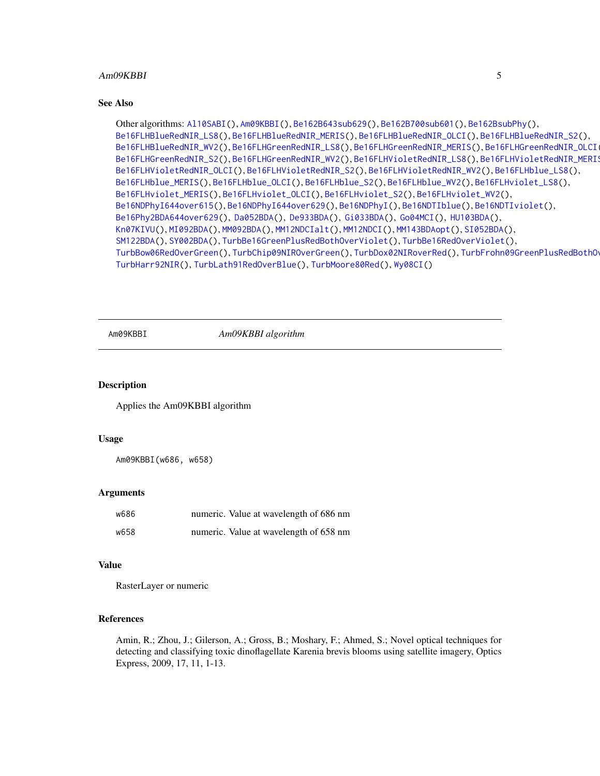#### <span id="page-4-0"></span>Am09KBBI 5

#### See Also

```
Other algorithms: Al10SABI(), Am09KBBI(), Be162B643sub629(), Be162B700sub601(), Be162BsubPhy(),
Be16FLHBlueRedNIR_LS8(), Be16FLHBlueRedNIR_MERIS(), Be16FLHBlueRedNIR_OLCI(), Be16FLHBlueRedNIR_S2(),
Be16FLHBlueRedNIR_WV2(Be16FLHGreenRedNIR_LS8(Be16FLHGreenRedNIR_MERIS(), Be16FLHGreenRedNIR_OLCI
Be16FLHGreenRedNIR_S2(Be16FLHGreenRedNIR_WV2(Be16FLHVioletRedNIR_LS8(), Be16FLHVioletRedNIR_MERIS
Be16FLHVioletRedNIR_OLCI(), Be16FLHVioletRedNIR_S2(), Be16FLHVioletRedNIR_WV2(), Be16FLHblue_LS8(),
Be16FLHblue_MERIS(), Be16FLHblue_OLCI(), Be16FLHblue_S2(), Be16FLHblue_WV2(), Be16FLHviolet_LS8(),
Be16FLHviolet_MERIS(), Be16FLHviolet_OLCI(), Be16FLHviolet_S2(), Be16FLHviolet_WV2(),
Be16NDPhyI644over615(), Be16NDPhyI644over629(), Be16NDPhyI(), Be16NDTIblue(), Be16NDTIviolet(),
Be16Phy2BDA644over629(), Da052BDA(), De933BDA(), Gi033BDA(), Go04MCI(), HU103BDA(),
Kn07KIVU(), MI092BDA(), MM092BDA(), MM12NDCIalt(), MM12NDCI(), MM143BDAopt(), SI052BDA(),
SM122BDA(), SY002BDA(), TurbBe16GreenPlusRedBothOverViolet(), TurbBe16RedOverViolet(),
TurbBow06RedOverGreen(), TurbChip09NIROverGreen(), TurbDox02NIRoverRed(), TurbFrohn09GreenPlusRedBothOverBlue(),
TurbHarr92NIR(), TurbLath91RedOverBlue(), TurbMoore80Red(), Wy08CI()
```
<span id="page-4-1"></span>

Am09KBBI *Am09KBBI algorithm*

#### **Description**

Applies the Am09KBBI algorithm

#### Usage

Am09KBBI(w686, w658)

#### Arguments

| w686 | numeric. Value at wavelength of 686 nm |
|------|----------------------------------------|
| w658 | numeric. Value at wavelength of 658 nm |

# Value

RasterLayer or numeric

# References

Amin, R.; Zhou, J.; Gilerson, A.; Gross, B.; Moshary, F.; Ahmed, S.; Novel optical techniques for detecting and classifying toxic dinoflagellate Karenia brevis blooms using satellite imagery, Optics Express, 2009, 17, 11, 1-13.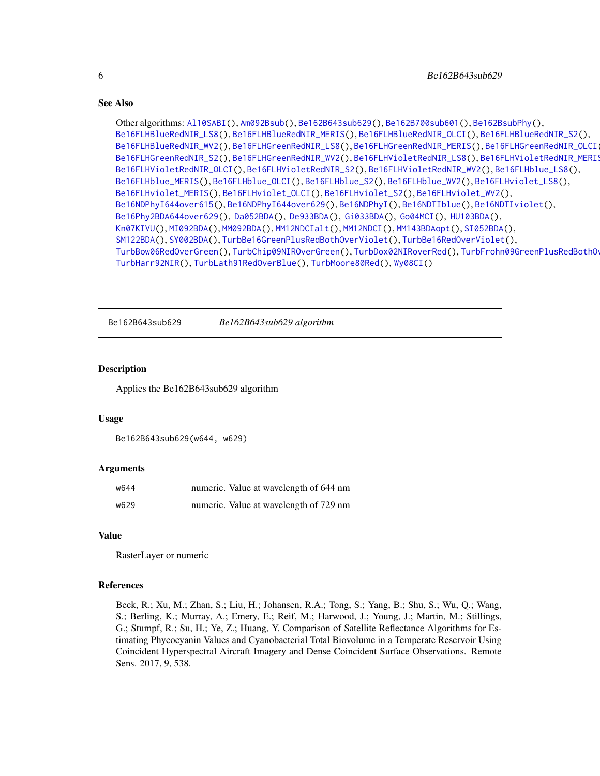```
Other algorithms: Al10SABI(), Am092Bsub(), Be162B643sub629(), Be162B700sub601(), Be162BsubPhy(),
Be16FLHBlueRedNIR_LS8(), Be16FLHBlueRedNIR_MERIS(), Be16FLHBlueRedNIR_OLCI(), Be16FLHBlueRedNIR_S2(),
Be16FLHBlueRedNIR_WV2(Be16FLHGreenRedNIR_LS8(Be16FLHGreenRedNIR_MERIS(), Be16FLHGreenRedNIR_OLCI
Be16FLHGreenRedNIR_S2(Be16FLHGreenRedNIR_WV2(Be16FLHVioletRedNIR_LS8(), Be16FLHVioletRedNIR_MERIS
Be16FLHVioletRedNIR_OLCI(), Be16FLHVioletRedNIR_S2(), Be16FLHVioletRedNIR_WV2(), Be16FLHblue_LS8(),
Be16FLHblue_MERIS(), Be16FLHblue_OLCI(), Be16FLHblue_S2(), Be16FLHblue_WV2(), Be16FLHviolet_LS8(),
Be16FLHviolet_MERIS(), Be16FLHviolet_OLCI(), Be16FLHviolet_S2(), Be16FLHviolet_WV2(),
Be16NDPhyI644over615(), Be16NDPhyI644over629(), Be16NDPhyI(), Be16NDTIblue(), Be16NDTIviolet(),
Be16Phy2BDA644over629(), Da052BDA(), De933BDA(), Gi033BDA(), Go04MCI(), HU103BDA(),
Kn07KIVU(), MI092BDA(), MM092BDA(), MM12NDCIalt(), MM12NDCI(), MM143BDAopt(), SI052BDA(),
SM122BDA(), SY002BDA(), TurbBe16GreenPlusRedBothOverViolet(), TurbBe16RedOverViolet(),
TurbBow06RedOverGreen(), TurbChip09NIROverGreen(), TurbDox02NIRoverRed(), TurbFrohn09GreenPlusRedBothOverBlue(),
TurbHarr92NIR(), TurbLath91RedOverBlue(), TurbMoore80Red(), Wy08CI()
```
<span id="page-5-1"></span>Be162B643sub629 *Be162B643sub629 algorithm*

#### **Description**

Applies the Be162B643sub629 algorithm

#### Usage

```
Be162B643sub629(w644, w629)
```
#### Arguments

| w644 | numeric. Value at wavelength of 644 nm |
|------|----------------------------------------|
| w629 | numeric. Value at wavelength of 729 nm |

#### Value

RasterLayer or numeric

# References

<span id="page-5-0"></span>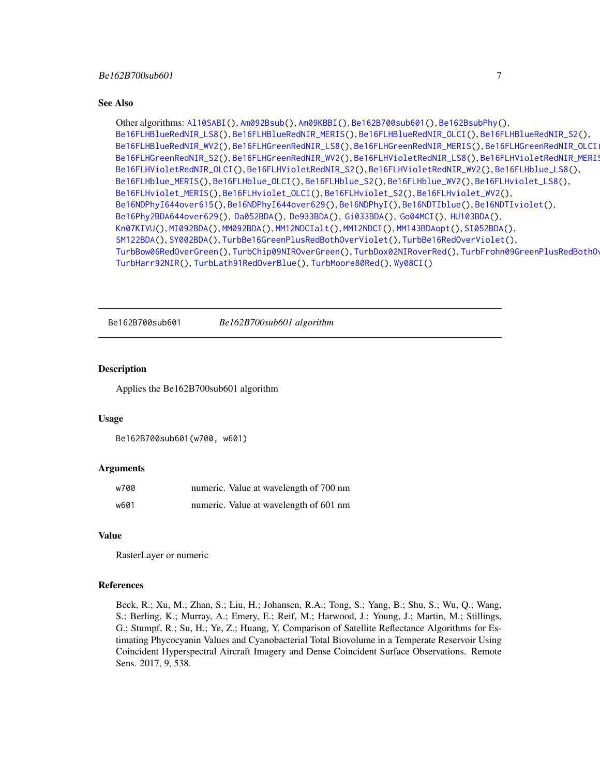```
Other algorithms: Al10SABI(), Am092Bsub(), Am09KBBI(), Be162B700sub601(), Be162BsubPhy(),
Be16FLHBlueRedNIR_LS8(), Be16FLHBlueRedNIR_MERIS(), Be16FLHBlueRedNIR_OLCI(), Be16FLHBlueRedNIR_S2(),
Be16FLHBlueRedNIR_WV2(Be16FLHGreenRedNIR_LS8(Be16FLHGreenRedNIR_MERIS(), Be16FLHGreenRedNIR_OLCI
Be16FLHGreenRedNIR_S2(Be16FLHGreenRedNIR_WV2(Be16FLHVioletRedNIR_LS8(), Be16FLHVioletRedNIR_MERIS
Be16FLHVioletRedNIR_OLCI(), Be16FLHVioletRedNIR_S2(), Be16FLHVioletRedNIR_WV2(), Be16FLHblue_LS8(),
Be16FLHblue_MERIS(), Be16FLHblue_OLCI(), Be16FLHblue_S2(), Be16FLHblue_WV2(), Be16FLHviolet_LS8(),
Be16FLHviolet_MERIS(), Be16FLHviolet_OLCI(), Be16FLHviolet_S2(), Be16FLHviolet_WV2(),
Be16NDPhyI644over615(), Be16NDPhyI644over629(), Be16NDPhyI(), Be16NDTIblue(), Be16NDTIviolet(),
Be16Phy2BDA644over629(), Da052BDA(), De933BDA(), Gi033BDA(), Go04MCI(), HU103BDA(),
Kn07KIVU(), MI092BDA(), MM092BDA(), MM12NDCIalt(), MM12NDCI(), MM143BDAopt(), SI052BDA(),
SM122BDA(), SY002BDA(), TurbBe16GreenPlusRedBothOverViolet(), TurbBe16RedOverViolet(),
TurbBow06RedOverGreen(), TurbChip09NIROverGreen(), TurbDox02NIRoverRed(), TurbFrohn09GreenPlusRedBothOverBlue(),
TurbHarr92NIR(), TurbLath91RedOverBlue(), TurbMoore80Red(), Wy08CI()
```
<span id="page-6-1"></span>Be162B700sub601 *Be162B700sub601 algorithm*

#### **Description**

Applies the Be162B700sub601 algorithm

#### Usage

```
Be162B700sub601(w700, w601)
```
# Arguments

| w700 | numeric. Value at wavelength of 700 nm |
|------|----------------------------------------|
| w601 | numeric. Value at wavelength of 601 nm |

# Value

RasterLayer or numeric

#### References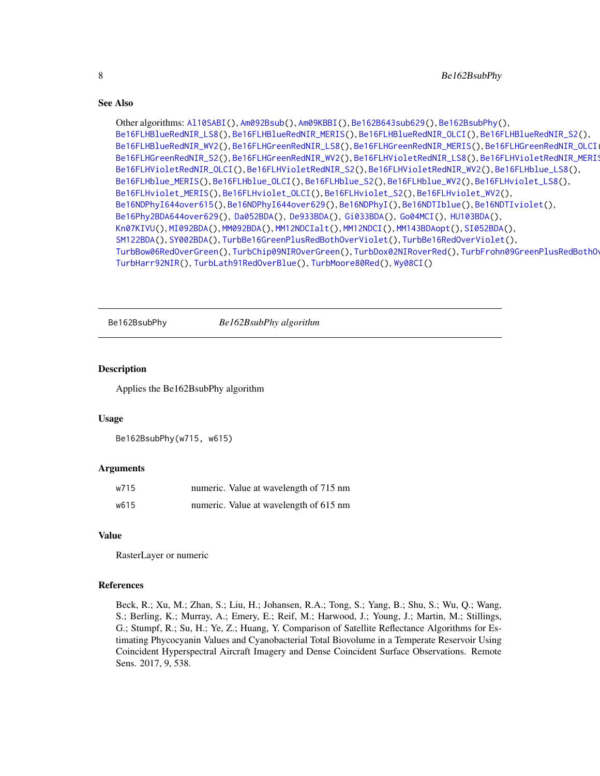```
Other algorithms: Al10SABI(), Am092Bsub(), Am09KBBI(), Be162B643sub629(), Be162BsubPhy(),
Be16FLHBlueRedNIR_LS8(), Be16FLHBlueRedNIR_MERIS(), Be16FLHBlueRedNIR_OLCI(), Be16FLHBlueRedNIR_S2(),
Be16FLHBlueRedNIR_WV2(Be16FLHGreenRedNIR_LS8(Be16FLHGreenRedNIR_MERIS(), Be16FLHGreenRedNIR_OLCI
Be16FLHGreenRedNIR_S2(Be16FLHGreenRedNIR_WV2(Be16FLHVioletRedNIR_LS8(), Be16FLHVioletRedNIR_MERIS
Be16FLHVioletRedNIR_OLCI(), Be16FLHVioletRedNIR_S2(), Be16FLHVioletRedNIR_WV2(), Be16FLHblue_LS8(),
Be16FLHblue_MERIS(), Be16FLHblue_OLCI(), Be16FLHblue_S2(), Be16FLHblue_WV2(), Be16FLHviolet_LS8(),
Be16FLHviolet_MERIS(), Be16FLHviolet_OLCI(), Be16FLHviolet_S2(), Be16FLHviolet_WV2(),
Be16NDPhyI644over615(), Be16NDPhyI644over629(), Be16NDPhyI(), Be16NDTIblue(), Be16NDTIviolet(),
Be16Phy2BDA644over629(), Da052BDA(), De933BDA(), Gi033BDA(), Go04MCI(), HU103BDA(),
Kn07KIVU(), MI092BDA(), MM092BDA(), MM12NDCIalt(), MM12NDCI(), MM143BDAopt(), SI052BDA(),
SM122BDA(), SY002BDA(), TurbBe16GreenPlusRedBothOverViolet(), TurbBe16RedOverViolet(),
TurbBow06RedOverGreen(), TurbChip09NIROverGreen(), TurbDox02NIRoverRed(), TurbFrohn09GreenPlusRedBothOverBlue(),
TurbHarr92NIR(), TurbLath91RedOverBlue(), TurbMoore80Red(), Wy08CI()
```
<span id="page-7-1"></span>Be162BsubPhy *Be162BsubPhy algorithm*

#### **Description**

Applies the Be162BsubPhy algorithm

#### Usage

```
Be162BsubPhy(w715, w615)
```
#### Arguments

| w715 | numeric. Value at wavelength of 715 nm |
|------|----------------------------------------|
| w615 | numeric. Value at wavelength of 615 nm |

#### Value

RasterLayer or numeric

#### References

<span id="page-7-0"></span>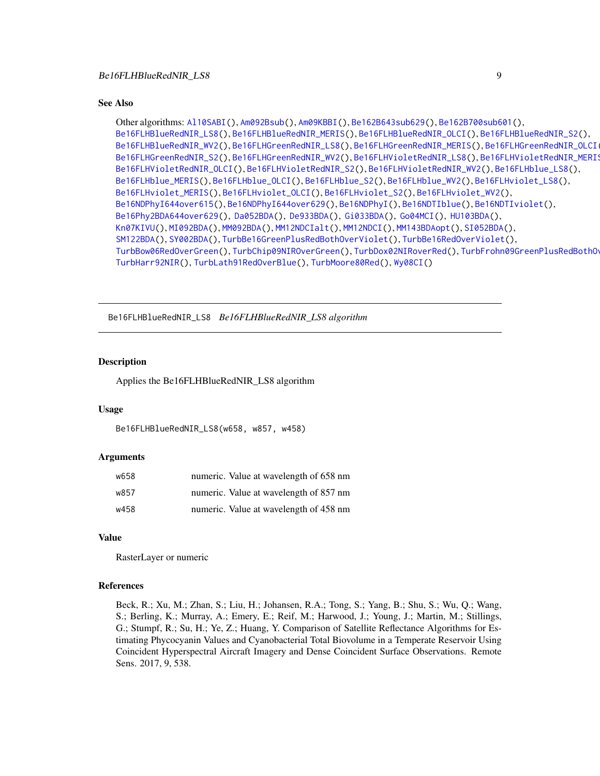```
Other algorithms: Al10SABI(), Am092Bsub(), Am09KBBI(), Be162B643sub629(), Be162B700sub601(),
Be16FLHBlueRedNIR_LS8(), Be16FLHBlueRedNIR_MERIS(), Be16FLHBlueRedNIR_OLCI(), Be16FLHBlueRedNIR_S2(),
Be16FLHBlueRedNIR_WV2(Be16FLHGreenRedNIR_LS8(Be16FLHGreenRedNIR_MERIS(), Be16FLHGreenRedNIR_OLCI
Be16FLHGreenRedNIR_S2(Be16FLHGreenRedNIR_WV2(Be16FLHVioletRedNIR_LS8(),Be16FLHVioletRedNIR_MERI
Be16FLHVioletRedNIR_OLCI(), Be16FLHVioletRedNIR_S2(), Be16FLHVioletRedNIR_WV2(), Be16FLHblue_LS8(),
Be16FLHblue_MERIS(), Be16FLHblue_OLCI(), Be16FLHblue_S2(), Be16FLHblue_WV2(), Be16FLHviolet_LS8(),
Be16FLHviolet_MERIS(), Be16FLHviolet_OLCI(), Be16FLHviolet_S2(), Be16FLHviolet_WV2(),
Be16NDPhyI644over615(), Be16NDPhyI644over629(), Be16NDPhyI(), Be16NDTIblue(), Be16NDTIviolet(),
Be16Phy2BDA644over629(), Da052BDA(), De933BDA(), Gi033BDA(), Go04MCI(), HU103BDA(),
Kn07KIVU(), MI092BDA(), MM092BDA(), MM12NDCIalt(), MM12NDCI(), MM143BDAopt(), SI052BDA(),
SM122BDA(), SY002BDA(), TurbBe16GreenPlusRedBothOverViolet(), TurbBe16RedOverViolet(),
TurbBow06RedOverGreen(), TurbChip09NIROverGreen(), TurbDox02NIRoverRed(), TurbFrohn09GreenPlusRedBothOverBlue(),
TurbHarr92NIR(), TurbLath91RedOverBlue(), TurbMoore80Red(), Wy08CI()
```
<span id="page-8-1"></span>Be16FLHBlueRedNIR\_LS8 *Be16FLHBlueRedNIR\_LS8 algorithm*

# Description

Applies the Be16FLHBlueRedNIR\_LS8 algorithm

#### Usage

Be16FLHBlueRedNIR\_LS8(w658, w857, w458)

#### Arguments

| w658 | numeric. Value at wavelength of 658 nm |
|------|----------------------------------------|
| w857 | numeric. Value at wavelength of 857 nm |
| w458 | numeric. Value at wavelength of 458 nm |

#### Value

RasterLayer or numeric

#### References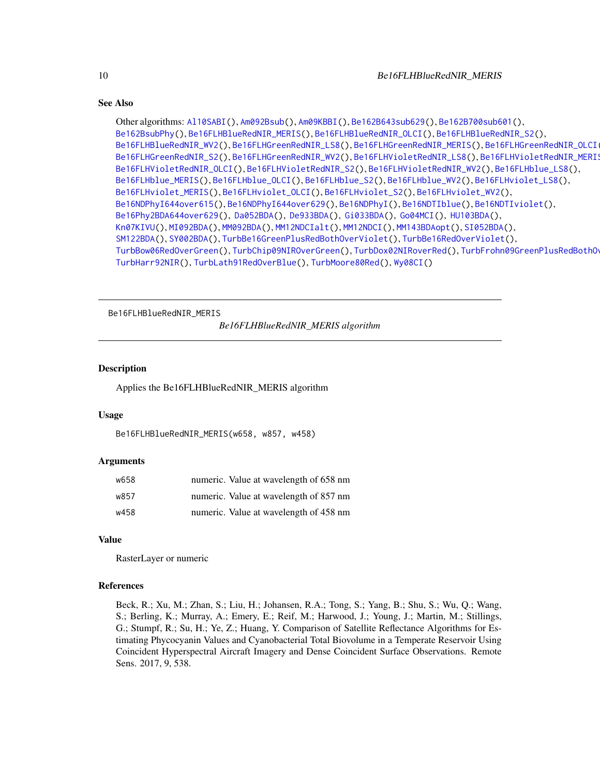```
Other algorithms: Al10SABI(), Am092Bsub(), Am09KBBI(), Be162B643sub629(), Be162B700sub601(),
Be162BsubPhy(), Be16FLHBlueRedNIR_MERIS(), Be16FLHBlueRedNIR_OLCI(), Be16FLHBlueRedNIR_S2(),
Be16FLHBlueRedNIR_WV2(), Be16FLHGreenRedNIR_LS8(), Be16FLHGreenRedNIR_MERIS(), Be16FLHGreenRedNIR_OLCI(),
Be16FLHGreenRedNIR_S2(), Be16FLHGreenRedNIR_WV2(), Be16FLHVioletRedNIR_LS8(), Be16FLHVioletRedNIR_MERIS(),
Be16FLHVioletRedNIR_OLCI(), Be16FLHVioletRedNIR_S2(), Be16FLHVioletRedNIR_WV2(), Be16FLHblue_LS8(),
Be16FLHblue_MERIS(), Be16FLHblue_OLCI(), Be16FLHblue_S2(), Be16FLHblue_WV2(), Be16FLHviolet_LS8(),
Be16FLHviolet_MERIS(), Be16FLHviolet_OLCI(), Be16FLHviolet_S2(), Be16FLHviolet_WV2(),
Be16NDPhyI644over615(), Be16NDPhyI644over629(), Be16NDPhyI(), Be16NDTIblue(), Be16NDTIviolet(),
Be16Phy2BDA644over629(), Da052BDA(), De933BDA(), Gi033BDA(), Go04MCI(), HU103BDA(),
Kn07KIVU(), MI092BDA(), MM092BDA(), MM12NDCIalt(), MM12NDCI(), MM143BDAopt(), SI052BDA(),
SM122BDA(), SY002BDA(), TurbBe16GreenPlusRedBothOverViolet(), TurbBe16RedOverViolet(),
TurbBow06RedOverGreen(), TurbChip09NIROverGreen(), TurbDox02NIRoverRed(), TurbFrohn09GreenPlusRedBothOverBlue(),
TurbHarr92NIR(), TurbLath91RedOverBlue(), TurbMoore80Red(), Wy08CI()
```
<span id="page-9-1"></span>Be16FLHBlueRedNIR\_MERIS

*Be16FLHBlueRedNIR\_MERIS algorithm*

# **Description**

Applies the Be16FLHBlueRedNIR\_MERIS algorithm

# Usage

```
Be16FLHBlueRedNIR_MERIS(w658, w857, w458)
```
#### Arguments

| w658 | numeric. Value at wavelength of 658 nm |
|------|----------------------------------------|
| w857 | numeric. Value at wavelength of 857 nm |
| w458 | numeric. Value at wavelength of 458 nm |

#### Value

RasterLayer or numeric

# References

<span id="page-9-0"></span>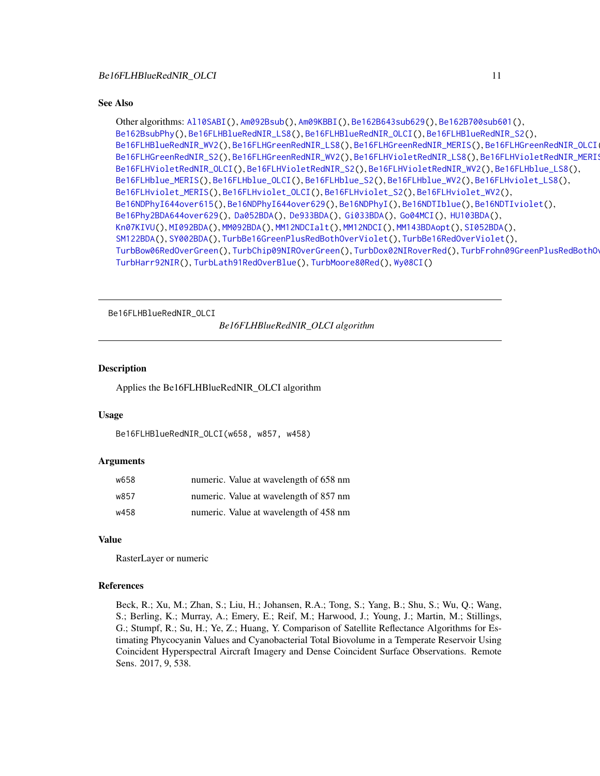```
Other algorithms: Al10SABI(), Am092Bsub(), Am09KBBI(), Be162B643sub629(), Be162B700sub601(),
Be162BsubPhy(), Be16FLHBlueRedNIR_LS8(), Be16FLHBlueRedNIR_OLCI(), Be16FLHBlueRedNIR_S2(),
Be16FLHBlueRedNIR_WV2(), Be16FLHGreenRedNIR_LS8(), Be16FLHGreenRedNIR_MERIS(), Be16FLHGreenRedNIR_OLCI(),
Be16FLHGreenRedNIR_S2(), Be16FLHGreenRedNIR_WV2(), Be16FLHVioletRedNIR_LS8(), Be16FLHVioletRedNIR_MERIS(),
Be16FLHVioletRedNIR_OLCI(), Be16FLHVioletRedNIR_S2(), Be16FLHVioletRedNIR_WV2(), Be16FLHblue_LS8(),
Be16FLHblue_MERIS(), Be16FLHblue_OLCI(), Be16FLHblue_S2(), Be16FLHblue_WV2(), Be16FLHviolet_LS8(),
Be16FLHviolet_MERIS(), Be16FLHviolet_OLCI(), Be16FLHviolet_S2(), Be16FLHviolet_WV2(),
Be16NDPhyI644over615(), Be16NDPhyI644over629(), Be16NDPhyI(), Be16NDTIblue(), Be16NDTIviolet(),
Be16Phy2BDA644over629(), Da052BDA(), De933BDA(), Gi033BDA(), Go04MCI(), HU103BDA(),
Kn07KIVU(), MI092BDA(), MM092BDA(), MM12NDCIalt(), MM12NDCI(), MM143BDAopt(), SI052BDA(),
SM122BDA(), SY002BDA(), TurbBe16GreenPlusRedBothOverViolet(), TurbBe16RedOverViolet(),
TurbBow06RedOverGreen(), TurbChip09NIROverGreen(), TurbDox02NIRoverRed(), TurbFrohn09GreenPlusRedBothOverBlue(),
TurbHarr92NIR(), TurbLath91RedOverBlue(), TurbMoore80Red(), Wy08CI()
```
<span id="page-10-1"></span>Be16FLHBlueRedNIR\_OLCI

*Be16FLHBlueRedNIR\_OLCI algorithm*

#### **Description**

Applies the Be16FLHBlueRedNIR\_OLCI algorithm

# Usage

```
Be16FLHBlueRedNIR_OLCI(w658, w857, w458)
```
#### Arguments

| w658 | numeric. Value at wavelength of 658 nm |
|------|----------------------------------------|
| w857 | numeric. Value at wavelength of 857 nm |
| w458 | numeric. Value at wavelength of 458 nm |

#### Value

RasterLayer or numeric

#### References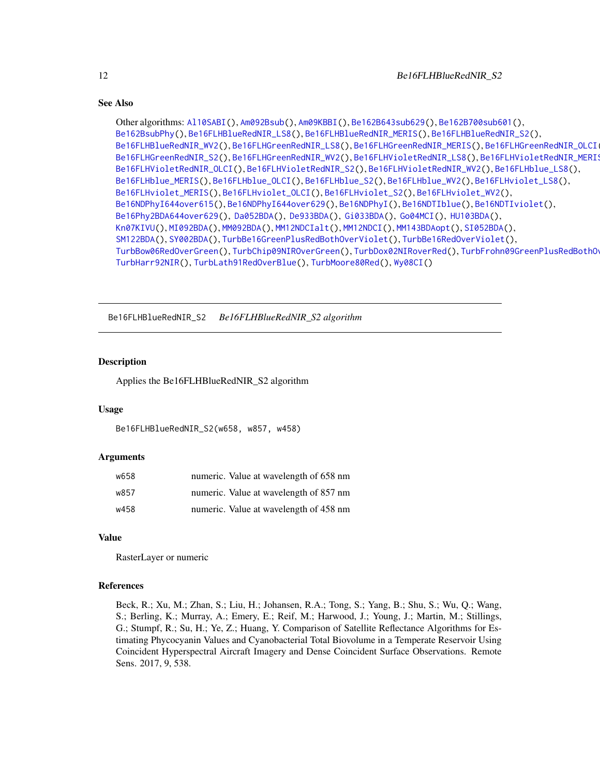```
Other algorithms: Al10SABI(), Am092Bsub(), Am09KBBI(), Be162B643sub629(), Be162B700sub601(),
Be162BsubPhy(), Be16FLHBlueRedNIR_LS8(), Be16FLHBlueRedNIR_MERIS(), Be16FLHBlueRedNIR_S2(),
Be16FLHBlueRedNIR_WV2(), Be16FLHGreenRedNIR_LS8(), Be16FLHGreenRedNIR_MERIS(), Be16FLHGreenRedNIR_OLCI(),
Be16FLHGreenRedNIR_S2(Be16FLHGreenRedNIR_WV2(Be16FLHVioletRedNIR_LS8(),Be16FLHVioletRedNIR_MERI
Be16FLHVioletRedNIR_OLCI(), Be16FLHVioletRedNIR_S2(), Be16FLHVioletRedNIR_WV2(), Be16FLHblue_LS8(),
Be16FLHblue_MERIS(), Be16FLHblue_OLCI(), Be16FLHblue_S2(), Be16FLHblue_WV2(), Be16FLHviolet_LS8(),
Be16FLHviolet_MERIS(), Be16FLHviolet_OLCI(), Be16FLHviolet_S2(), Be16FLHviolet_WV2(),
Be16NDPhyI644over615(), Be16NDPhyI644over629(), Be16NDPhyI(), Be16NDTIblue(), Be16NDTIviolet(),
Be16Phy2BDA644over629(), Da052BDA(), De933BDA(), Gi033BDA(), Go04MCI(), HU103BDA(),
Kn07KIVU(), MI092BDA(), MM092BDA(), MM12NDCIalt(), MM12NDCI(), MM143BDAopt(), SI052BDA(),
SM122BDA(), SY002BDA(), TurbBe16GreenPlusRedBothOverViolet(), TurbBe16RedOverViolet(),
TurbBow06RedOverGreen(), TurbChip09NIROverGreen(), TurbDox02NIRoverRed(), TurbFrohn09GreenPlusRedBothOverBlue(),
TurbHarr92NIR(), TurbLath91RedOverBlue(), TurbMoore80Red(), Wy08CI()
```
<span id="page-11-1"></span>Be16FLHBlueRedNIR\_S2 *Be16FLHBlueRedNIR\_S2 algorithm*

# Description

Applies the Be16FLHBlueRedNIR\_S2 algorithm

#### Usage

Be16FLHBlueRedNIR\_S2(w658, w857, w458)

#### Arguments

| w658 | numeric. Value at wavelength of 658 nm |
|------|----------------------------------------|
| w857 | numeric. Value at wavelength of 857 nm |
| w458 | numeric. Value at wavelength of 458 nm |

# Value

RasterLayer or numeric

#### References

<span id="page-11-0"></span>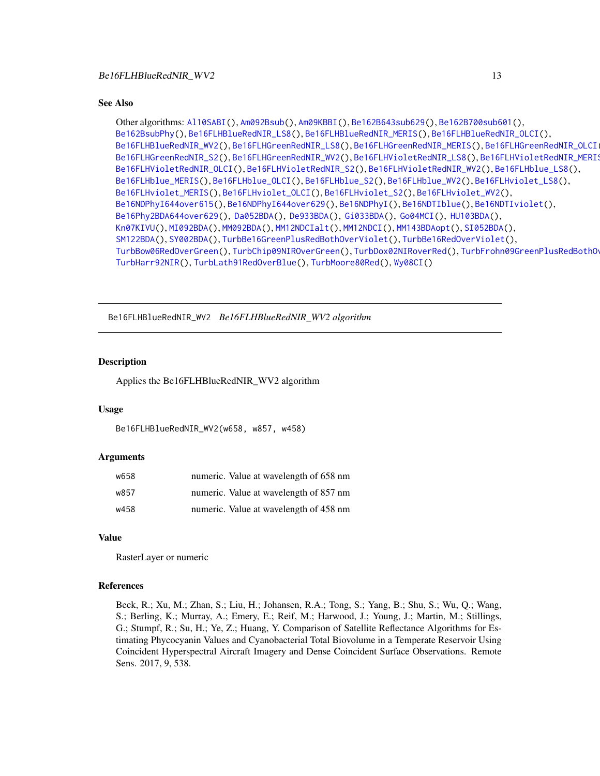```
Other algorithms: Al10SABI(), Am092Bsub(), Am09KBBI(), Be162B643sub629(), Be162B700sub601(),
Be162BsubPhy(), Be16FLHBlueRedNIR_LS8(), Be16FLHBlueRedNIR_MERIS(), Be16FLHBlueRedNIR_OLCI(),
Be16FLHBlueRedNIR_WV2(Be16FLHGreenRedNIR_LS8(Be16FLHGreenRedNIR_MERIS(), Be16FLHGreenRedNIR_OLCI
Be16FLHGreenRedNIR_S2(Be16FLHGreenRedNIR_WV2(Be16FLHVioletRedNIR_LS8(),Be16FLHVioletRedNIR_MERI
Be16FLHVioletRedNIR_OLCI(), Be16FLHVioletRedNIR_S2(), Be16FLHVioletRedNIR_WV2(), Be16FLHblue_LS8(),
Be16FLHblue_MERIS(), Be16FLHblue_OLCI(), Be16FLHblue_S2(), Be16FLHblue_WV2(), Be16FLHviolet_LS8(),
Be16FLHviolet_MERIS(), Be16FLHviolet_OLCI(), Be16FLHviolet_S2(), Be16FLHviolet_WV2(),
Be16NDPhyI644over615(), Be16NDPhyI644over629(), Be16NDPhyI(), Be16NDTIblue(), Be16NDTIviolet(),
Be16Phy2BDA644over629(), Da052BDA(), De933BDA(), Gi033BDA(), Go04MCI(), HU103BDA(),
Kn07KIVU(), MI092BDA(), MM092BDA(), MM12NDCIalt(), MM12NDCI(), MM143BDAopt(), SI052BDA(),
SM122BDA(), SY002BDA(), TurbBe16GreenPlusRedBothOverViolet(), TurbBe16RedOverViolet(),
TurbBow06RedOverGreen(), TurbChip09NIROverGreen(), TurbDox02NIRoverRed(), TurbFrohn09GreenPlusRedBothOverBlue(),
TurbHarr92NIR(), TurbLath91RedOverBlue(), TurbMoore80Red(), Wy08CI()
```
<span id="page-12-1"></span>Be16FLHBlueRedNIR\_WV2 *Be16FLHBlueRedNIR\_WV2 algorithm*

# Description

Applies the Be16FLHBlueRedNIR\_WV2 algorithm

#### Usage

Be16FLHBlueRedNIR\_WV2(w658, w857, w458)

#### Arguments

| w658 | numeric. Value at wavelength of 658 nm |
|------|----------------------------------------|
| w857 | numeric. Value at wavelength of 857 nm |
| w458 | numeric. Value at wavelength of 458 nm |

# Value

RasterLayer or numeric

#### References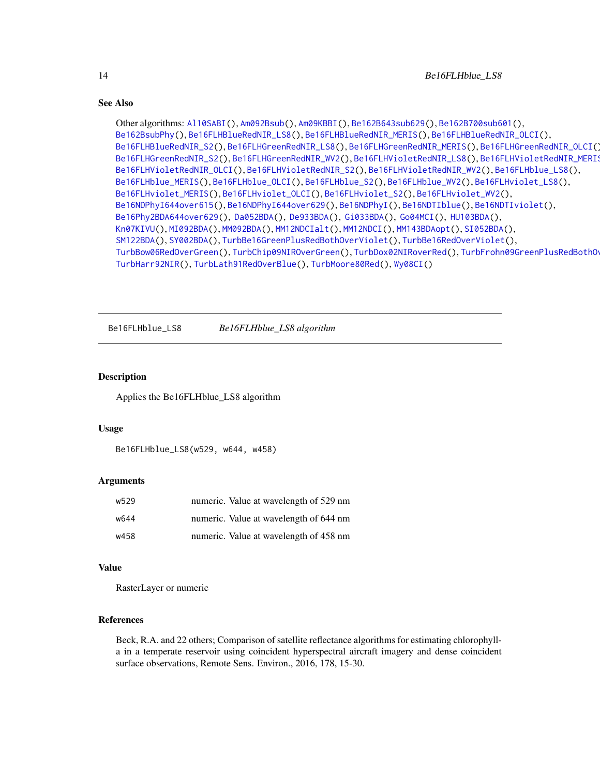```
Other algorithms: Al10SABI(), Am092Bsub(), Am09KBBI(), Be162B643sub629(), Be162B700sub601(),
Be162BsubPhy(), Be16FLHBlueRedNIR_LS8(), Be16FLHBlueRedNIR_MERIS(), Be16FLHBlueRedNIR_OLCI(),
Be16FLHBlueRedNIR_S2(), Be16FLHGreenRedNIR_LS8(), Be16FLHGreenRedNIR_MERIS(), Be16FLHGreenRedNIR_OLCI(),
Be16FLHGreenRedNIR_S2(Be16FLHGreenRedNIR_WV2(Be16FLHVioletRedNIR_LS8(), Be16FLHVioletRedNIR_MERIS
Be16FLHVioletRedNIR_OLCI(), Be16FLHVioletRedNIR_S2(), Be16FLHVioletRedNIR_WV2(), Be16FLHblue_LS8(),
Be16FLHblue_MERIS(), Be16FLHblue_OLCI(), Be16FLHblue_S2(), Be16FLHblue_WV2(), Be16FLHviolet_LS8(),
Be16FLHviolet_MERIS(), Be16FLHviolet_OLCI(), Be16FLHviolet_S2(), Be16FLHviolet_WV2(),
Be16NDPhyI644over615(), Be16NDPhyI644over629(), Be16NDPhyI(), Be16NDTIblue(), Be16NDTIviolet(),
Be16Phy2BDA644over629(), Da052BDA(), De933BDA(), Gi033BDA(), Go04MCI(), HU103BDA(),
Kn07KIVU(), MI092BDA(), MM092BDA(), MM12NDCIalt(), MM12NDCI(), MM143BDAopt(), SI052BDA(),
SM122BDA(), SY002BDA(), TurbBe16GreenPlusRedBothOverViolet(), TurbBe16RedOverViolet(),
TurbBow06RedOverGreen(TurbChip09NIROverGreen(TurbDox02NIRoverRed(),TurbFrohn09GreenPlusRedBothO
TurbHarr92NIR(), TurbLath91RedOverBlue(), TurbMoore80Red(), Wy08CI()
```
<span id="page-13-1"></span>Be16FLHblue\_LS8 *Be16FLHblue\_LS8 algorithm*

# **Description**

Applies the Be16FLHblue\_LS8 algorithm

#### Usage

```
Be16FLHblue_LS8(w529, w644, w458)
```
#### Arguments

| w529 | numeric. Value at wavelength of 529 nm |
|------|----------------------------------------|
| พ644 | numeric. Value at wavelength of 644 nm |
| w458 | numeric. Value at wavelength of 458 nm |

#### Value

RasterLayer or numeric

# References

<span id="page-13-0"></span>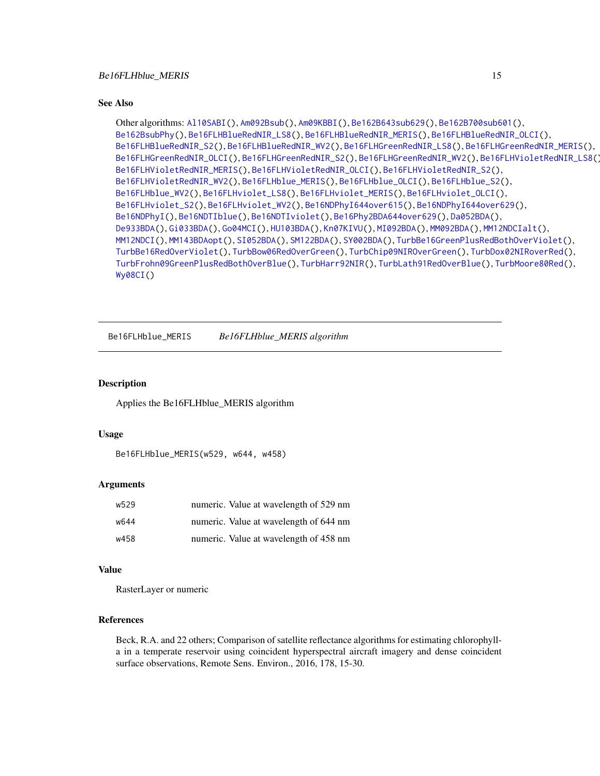```
Other algorithms: Al10SABI(), Am092Bsub(), Am09KBBI(), Be162B643sub629(), Be162B700sub601(),
Be162BsubPhy(), Be16FLHBlueRedNIR_LS8(), Be16FLHBlueRedNIR_MERIS(), Be16FLHBlueRedNIR_OLCI(),
Be16FLHBlueRedNIR_S2(), Be16FLHBlueRedNIR_WV2(), Be16FLHGreenRedNIR_LS8(), Be16FLHGreenRedNIR_MERIS(),
Be16FLHGreenRedNIR_OLCI(), Be16FLHGreenRedNIR_S2(), Be16FLHGreenRedNIR_WV2(), Be16FLHVioletRedNIR_LS8(),
Be16FLHVioletRedNIR_MERIS(), Be16FLHVioletRedNIR_OLCI(), Be16FLHVioletRedNIR_S2(),
Be16FLHVioletRedNIR_WV2(), Be16FLHblue_MERIS(), Be16FLHblue_OLCI(), Be16FLHblue_S2(),
Be16FLHblue_WV2(), Be16FLHviolet_LS8(), Be16FLHviolet_MERIS(), Be16FLHviolet_OLCI(),
Be16FLHviolet_S2(), Be16FLHviolet_WV2(), Be16NDPhyI644over615(), Be16NDPhyI644over629(),
Be16NDPhyI(), Be16NDTIblue(), Be16NDTIviolet(), Be16Phy2BDA644over629(), Da052BDA(),
De933BDA(), Gi033BDA(), Go04MCI(), HU103BDA(), Kn07KIVU(), MI092BDA(), MM092BDA(), MM12NDCIalt(),
MM12NDCI(), MM143BDAopt(), SI052BDA(), SM122BDA(), SY002BDA(), TurbBe16GreenPlusRedBothOverViolet(),
TurbBe16RedOverViolet(), TurbBow06RedOverGreen(), TurbChip09NIROverGreen(), TurbDox02NIRoverRed(),
TurbFrohn09GreenPlusRedBothOverBlue(), TurbHarr92NIR(), TurbLath91RedOverBlue(), TurbMoore80Red(),
Wy08CI()
```
<span id="page-14-1"></span>Be16FLHblue\_MERIS *Be16FLHblue\_MERIS algorithm*

# **Description**

Applies the Be16FLHblue\_MERIS algorithm

#### Usage

```
Be16FLHblue_MERIS(w529, w644, w458)
```
# Arguments

| w529 | numeric. Value at wavelength of 529 nm |
|------|----------------------------------------|
| w644 | numeric. Value at wavelength of 644 nm |
| w458 | numeric. Value at wavelength of 458 nm |

# Value

RasterLayer or numeric

# References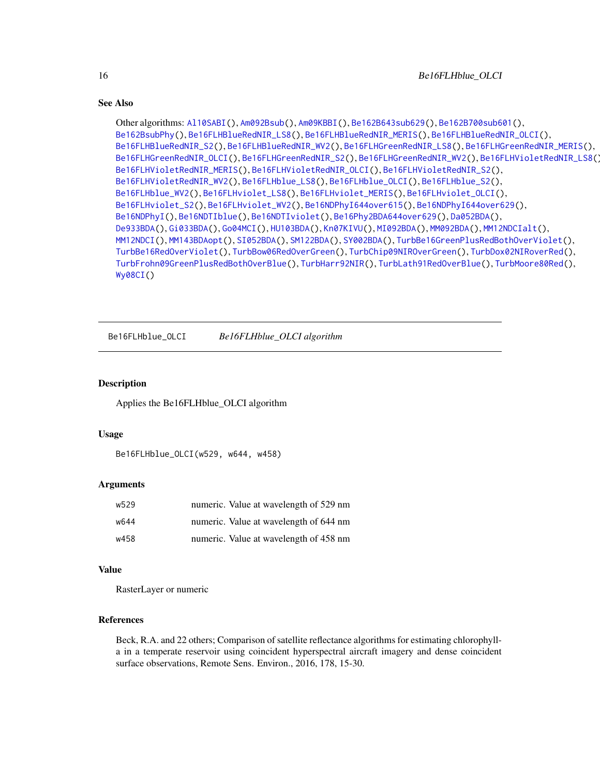```
Other algorithms: Al10SABI(), Am092Bsub(), Am09KBBI(), Be162B643sub629(), Be162B700sub601(),
Be162BsubPhy(), Be16FLHBlueRedNIR_LS8(), Be16FLHBlueRedNIR_MERIS(), Be16FLHBlueRedNIR_OLCI(),
Be16FLHBlueRedNIR_S2(), Be16FLHBlueRedNIR_WV2(), Be16FLHGreenRedNIR_LS8(), Be16FLHGreenRedNIR_MERIS(),
Be16FLHGreenRedNIR_OLCI(), Be16FLHGreenRedNIR_S2(), Be16FLHGreenRedNIR_WV2(), Be16FLHVioletRedNIR_LS8(),
Be16FLHVioletRedNIR_MERIS(), Be16FLHVioletRedNIR_OLCI(), Be16FLHVioletRedNIR_S2(),
Be16FLHVioletRedNIR_WV2(), Be16FLHblue_LS8(), Be16FLHblue_OLCI(), Be16FLHblue_S2(),
Be16FLHblue_WV2(), Be16FLHviolet_LS8(), Be16FLHviolet_MERIS(), Be16FLHviolet_OLCI(),
Be16FLHviolet_S2(), Be16FLHviolet_WV2(), Be16NDPhyI644over615(), Be16NDPhyI644over629(),
Be16NDPhyI(), Be16NDTIblue(), Be16NDTIviolet(), Be16Phy2BDA644over629(), Da052BDA(),
De933BDA(), Gi033BDA(), Go04MCI(), HU103BDA(), Kn07KIVU(), MI092BDA(), MM092BDA(), MM12NDCIalt(),
MM12NDCI(), MM143BDAopt(), SI052BDA(), SM122BDA(), SY002BDA(), TurbBe16GreenPlusRedBothOverViolet(),
TurbBe16RedOverViolet(), TurbBow06RedOverGreen(), TurbChip09NIROverGreen(), TurbDox02NIRoverRed(),
TurbFrohn09GreenPlusRedBothOverBlue(), TurbHarr92NIR(), TurbLath91RedOverBlue(), TurbMoore80Red(),
Wy08CI()
```
<span id="page-15-1"></span>Be16FLHblue\_OLCI *Be16FLHblue\_OLCI algorithm*

# **Description**

Applies the Be16FLHblue\_OLCI algorithm

#### Usage

```
Be16FLHblue_OLCI(w529, w644, w458)
```
# Arguments

| w529 | numeric. Value at wavelength of 529 nm |
|------|----------------------------------------|
| w644 | numeric. Value at wavelength of 644 nm |
| w458 | numeric. Value at wavelength of 458 nm |

# Value

RasterLayer or numeric

# References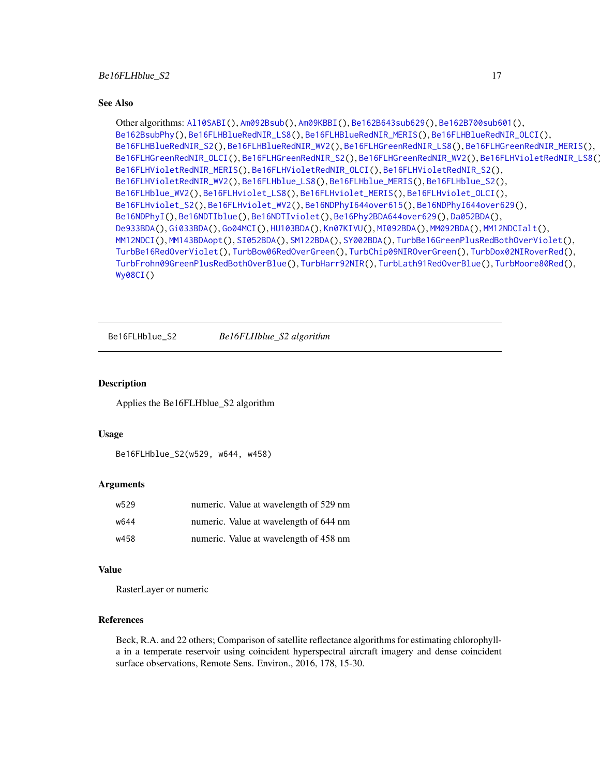#### <span id="page-16-0"></span>Be16FLHblue\_S2 17

#### See Also

```
Other algorithms: Al10SABI(), Am092Bsub(), Am09KBBI(), Be162B643sub629(), Be162B700sub601(),
Be162BsubPhy(), Be16FLHBlueRedNIR_LS8(), Be16FLHBlueRedNIR_MERIS(), Be16FLHBlueRedNIR_OLCI(),
Be16FLHBlueRedNIR_S2(), Be16FLHBlueRedNIR_WV2(), Be16FLHGreenRedNIR_LS8(), Be16FLHGreenRedNIR_MERIS(),
Be16FLHGreenRedNIR_OLCI(), Be16FLHGreenRedNIR_S2(), Be16FLHGreenRedNIR_WV2(), Be16FLHVioletRedNIR_LS8(),
Be16FLHVioletRedNIR_MERIS(), Be16FLHVioletRedNIR_OLCI(), Be16FLHVioletRedNIR_S2(),
Be16FLHVioletRedNIR_WV2(), Be16FLHblue_LS8(), Be16FLHblue_MERIS(), Be16FLHblue_S2(),
Be16FLHblue_WV2(), Be16FLHviolet_LS8(), Be16FLHviolet_MERIS(), Be16FLHviolet_OLCI(),
Be16FLHviolet_S2(), Be16FLHviolet_WV2(), Be16NDPhyI644over615(), Be16NDPhyI644over629(),
Be16NDPhyI(), Be16NDTIblue(), Be16NDTIviolet(), Be16Phy2BDA644over629(), Da052BDA(),
De933BDA(), Gi033BDA(), Go04MCI(), HU103BDA(), Kn07KIVU(), MI092BDA(), MM092BDA(), MM12NDCIalt(),
MM12NDCI(), MM143BDAopt(), SI052BDA(), SM122BDA(), SY002BDA(), TurbBe16GreenPlusRedBothOverViolet(),
TurbBe16RedOverViolet(), TurbBow06RedOverGreen(), TurbChip09NIROverGreen(), TurbDox02NIRoverRed(),
TurbFrohn09GreenPlusRedBothOverBlue(), TurbHarr92NIR(), TurbLath91RedOverBlue(), TurbMoore80Red(),
Wy08CI()
```
<span id="page-16-1"></span>Be16FLHblue\_S2 *Be16FLHblue\_S2 algorithm*

#### **Description**

Applies the Be16FLHblue\_S2 algorithm

#### Usage

Be16FLHblue\_S2(w529, w644, w458)

# Arguments

| w529 | numeric. Value at wavelength of 529 nm |
|------|----------------------------------------|
| w644 | numeric. Value at wavelength of 644 nm |
| w458 | numeric. Value at wavelength of 458 nm |

### Value

RasterLayer or numeric

# References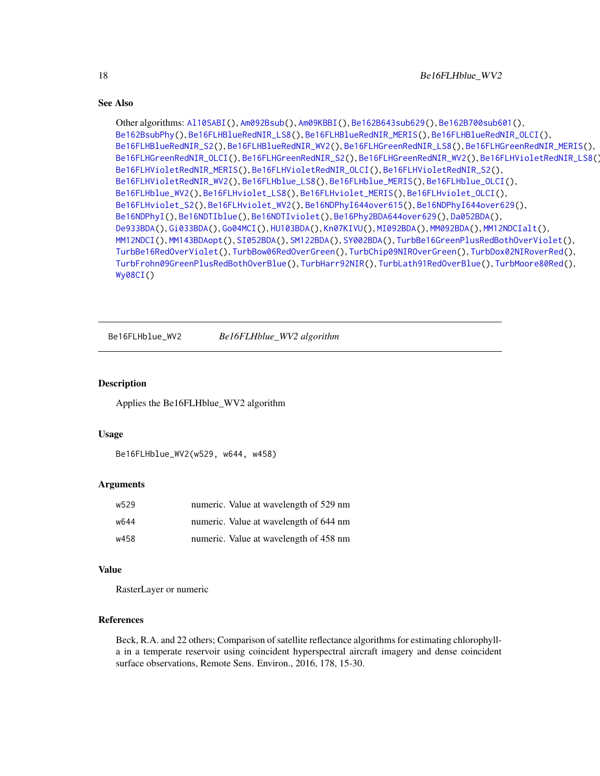```
Other algorithms: Al10SABI(), Am092Bsub(), Am09KBBI(), Be162B643sub629(), Be162B700sub601(),
Be162BsubPhy(), Be16FLHBlueRedNIR_LS8(), Be16FLHBlueRedNIR_MERIS(), Be16FLHBlueRedNIR_OLCI(),
Be16FLHBlueRedNIR_S2(), Be16FLHBlueRedNIR_WV2(), Be16FLHGreenRedNIR_LS8(), Be16FLHGreenRedNIR_MERIS(),
Be16FLHGreenRedNIR_OLCI(), Be16FLHGreenRedNIR_S2(), Be16FLHGreenRedNIR_WV2(), Be16FLHVioletRedNIR_LS8(),
Be16FLHVioletRedNIR_MERIS(), Be16FLHVioletRedNIR_OLCI(), Be16FLHVioletRedNIR_S2(),
Be16FLHVioletRedNIR_WV2(), Be16FLHblue_LS8(), Be16FLHblue_MERIS(), Be16FLHblue_OLCI(),
Be16FLHblue_WV2(), Be16FLHviolet_LS8(), Be16FLHviolet_MERIS(), Be16FLHviolet_OLCI(),
Be16FLHviolet_S2(), Be16FLHviolet_WV2(), Be16NDPhyI644over615(), Be16NDPhyI644over629(),
Be16NDPhyI(), Be16NDTIblue(), Be16NDTIviolet(), Be16Phy2BDA644over629(), Da052BDA(),
De933BDA(), Gi033BDA(), Go04MCI(), HU103BDA(), Kn07KIVU(), MI092BDA(), MM092BDA(), MM12NDCIalt(),
MM12NDCI(), MM143BDAopt(), SI052BDA(), SM122BDA(), SY002BDA(), TurbBe16GreenPlusRedBothOverViolet(),
TurbBe16RedOverViolet(), TurbBow06RedOverGreen(), TurbChip09NIROverGreen(), TurbDox02NIRoverRed(),
TurbFrohn09GreenPlusRedBothOverBlue(), TurbHarr92NIR(), TurbLath91RedOverBlue(), TurbMoore80Red(),
Wy08CI()
```
<span id="page-17-1"></span>Be16FLHblue\_WV2 *Be16FLHblue\_WV2 algorithm*

# Description

Applies the Be16FLHblue\_WV2 algorithm

#### Usage

Be16FLHblue\_WV2(w529, w644, w458)

# Arguments

| w529 | numeric. Value at wavelength of 529 nm |
|------|----------------------------------------|
| w644 | numeric. Value at wavelength of 644 nm |
| w458 | numeric. Value at wavelength of 458 nm |

# Value

RasterLayer or numeric

# References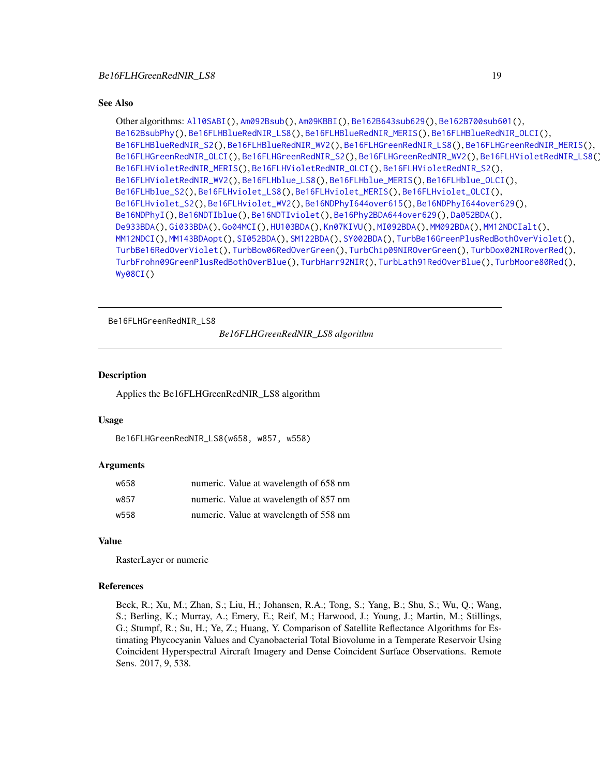```
Other algorithms: Al10SABI(), Am092Bsub(), Am09KBBI(), Be162B643sub629(), Be162B700sub601(),
Be162BsubPhy(), Be16FLHBlueRedNIR_LS8(), Be16FLHBlueRedNIR_MERIS(), Be16FLHBlueRedNIR_OLCI(),
Be16FLHBlueRedNIR_S2(), Be16FLHBlueRedNIR_WV2(), Be16FLHGreenRedNIR_LS8(), Be16FLHGreenRedNIR_MERIS(),
Be16FLHGreenRedNIR_OLCI(), Be16FLHGreenRedNIR_S2(), Be16FLHGreenRedNIR_WV2(), Be16FLHVioletRedNIR_LS8(),
Be16FLHVioletRedNIR_MERIS(), Be16FLHVioletRedNIR_OLCI(), Be16FLHVioletRedNIR_S2(),
Be16FLHVioletRedNIR_WV2(), Be16FLHblue_LS8(), Be16FLHblue_MERIS(), Be16FLHblue_OLCI(),
Be16FLHblue_S2(), Be16FLHviolet_LS8(), Be16FLHviolet_MERIS(), Be16FLHviolet_OLCI(),
Be16FLHviolet_S2(), Be16FLHviolet_WV2(), Be16NDPhyI644over615(), Be16NDPhyI644over629(),
Be16NDPhyI(), Be16NDTIblue(), Be16NDTIviolet(), Be16Phy2BDA644over629(), Da052BDA(),
De933BDA(), Gi033BDA(), Go04MCI(), HU103BDA(), Kn07KIVU(), MI092BDA(), MM092BDA(), MM12NDCIalt(),
MM12NDCI(), MM143BDAopt(), SI052BDA(), SM122BDA(), SY002BDA(), TurbBe16GreenPlusRedBothOverViolet(),
TurbBe16RedOverViolet(), TurbBow06RedOverGreen(), TurbChip09NIROverGreen(), TurbDox02NIRoverRed(),
TurbFrohn09GreenPlusRedBothOverBlue(), TurbHarr92NIR(), TurbLath91RedOverBlue(), TurbMoore80Red(),
Wy08CI()
```

```
Be16FLHGreenRedNIR_LS8
```
*Be16FLHGreenRedNIR\_LS8 algorithm*

#### Description

Applies the Be16FLHGreenRedNIR\_LS8 algorithm

#### Usage

```
Be16FLHGreenRedNIR_LS8(w658, w857, w558)
```
#### Arguments

| w658 | numeric. Value at wavelength of 658 nm |
|------|----------------------------------------|
| w857 | numeric. Value at wavelength of 857 nm |
| w558 | numeric. Value at wavelength of 558 nm |

# Value

RasterLayer or numeric

# References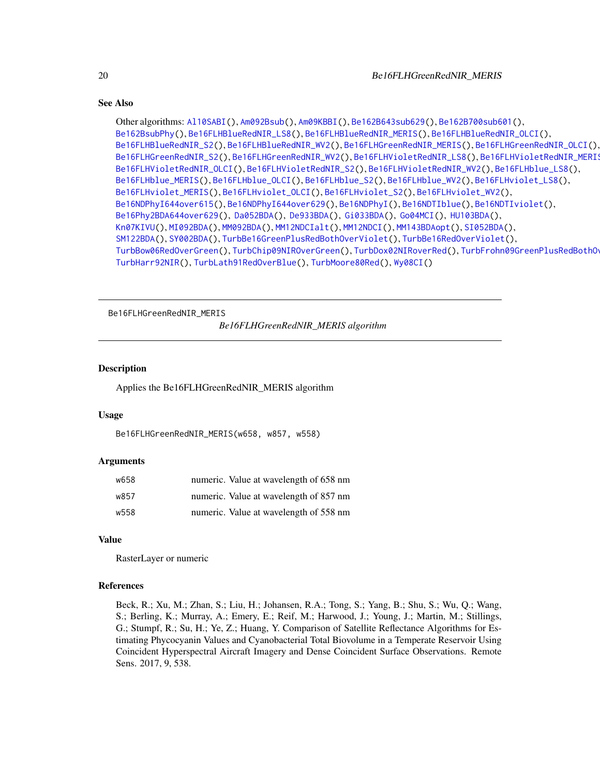```
Other algorithms: Al10SABI(), Am092Bsub(), Am09KBBI(), Be162B643sub629(), Be162B700sub601(),
Be162BsubPhy(), Be16FLHBlueRedNIR_LS8(), Be16FLHBlueRedNIR_MERIS(), Be16FLHBlueRedNIR_OLCI(),
Be16FLHBlueRedNIR_S2(), Be16FLHBlueRedNIR_WV2(), Be16FLHGreenRedNIR_MERIS(), Be16FLHGreenRedNIR_OLCI(),
Be16FLHGreenRedNIR_S2(), Be16FLHGreenRedNIR_WV2(), Be16FLHVioletRedNIR_LS8(), Be16FLHVioletRedNIR_MERIS(),
Be16FLHVioletRedNIR_OLCI(), Be16FLHVioletRedNIR_S2(), Be16FLHVioletRedNIR_WV2(), Be16FLHblue_LS8(),
Be16FLHblue_MERIS(), Be16FLHblue_OLCI(), Be16FLHblue_S2(), Be16FLHblue_WV2(), Be16FLHviolet_LS8(),
Be16FLHviolet_MERIS(), Be16FLHviolet_OLCI(), Be16FLHviolet_S2(), Be16FLHviolet_WV2(),
Be16NDPhyI644over615(), Be16NDPhyI644over629(), Be16NDPhyI(), Be16NDTIblue(), Be16NDTIviolet(),
Be16Phy2BDA644over629(), Da052BDA(), De933BDA(), Gi033BDA(), Go04MCI(), HU103BDA(),
Kn07KIVU(), MI092BDA(), MM092BDA(), MM12NDCIalt(), MM12NDCI(), MM143BDAopt(), SI052BDA(),
SM122BDA(), SY002BDA(), TurbBe16GreenPlusRedBothOverViolet(), TurbBe16RedOverViolet(),
TurbBow06RedOverGreen(), TurbChip09NIROverGreen(), TurbDox02NIRoverRed(), TurbFrohn09GreenPlusRedBothOverBlue(),
TurbHarr92NIR(), TurbLath91RedOverBlue(), TurbMoore80Red(), Wy08CI()
```
<span id="page-19-1"></span>Be16FLHGreenRedNIR\_MERIS

*Be16FLHGreenRedNIR\_MERIS algorithm*

# **Description**

Applies the Be16FLHGreenRedNIR\_MERIS algorithm

# Usage

```
Be16FLHGreenRedNIR_MERIS(w658, w857, w558)
```
#### Arguments

| w658 | numeric. Value at wavelength of 658 nm |
|------|----------------------------------------|
| w857 | numeric. Value at wavelength of 857 nm |
| w558 | numeric. Value at wavelength of 558 nm |

#### Value

RasterLayer or numeric

# References

<span id="page-19-0"></span>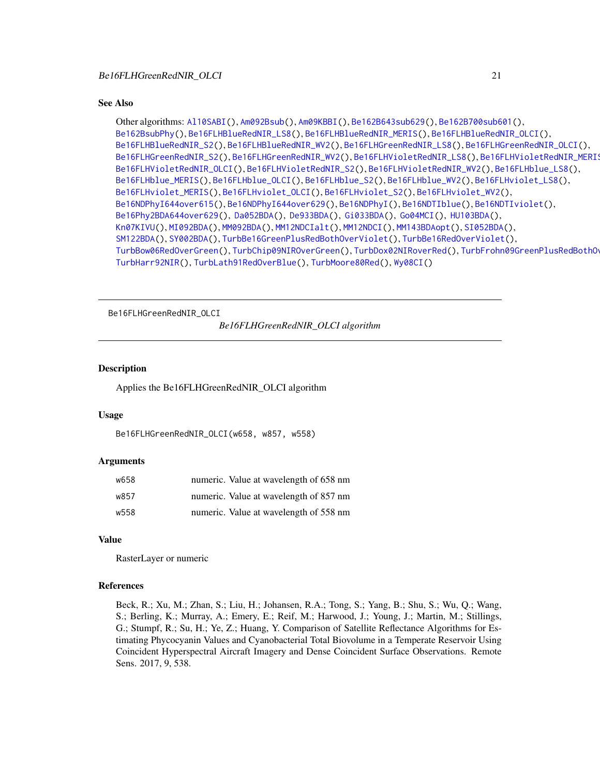```
Other algorithms: Al10SABI(), Am092Bsub(), Am09KBBI(), Be162B643sub629(), Be162B700sub601(),
Be162BsubPhy(), Be16FLHBlueRedNIR_LS8(), Be16FLHBlueRedNIR_MERIS(), Be16FLHBlueRedNIR_OLCI(),
Be16FLHBlueRedNIR_S2(), Be16FLHBlueRedNIR_WV2(), Be16FLHGreenRedNIR_LS8(), Be16FLHGreenRedNIR_OLCI(),
Be16FLHGreenRedNIR_S2(), Be16FLHGreenRedNIR_WV2(), Be16FLHVioletRedNIR_LS8(), Be16FLHVioletRedNIR_MERIS(),
Be16FLHVioletRedNIR_OLCI(), Be16FLHVioletRedNIR_S2(), Be16FLHVioletRedNIR_WV2(), Be16FLHblue_LS8(),
Be16FLHblue_MERIS(), Be16FLHblue_OLCI(), Be16FLHblue_S2(), Be16FLHblue_WV2(), Be16FLHviolet_LS8(),
Be16FLHviolet_MERIS(), Be16FLHviolet_OLCI(), Be16FLHviolet_S2(), Be16FLHviolet_WV2(),
Be16NDPhyI644over615(), Be16NDPhyI644over629(), Be16NDPhyI(), Be16NDTIblue(), Be16NDTIviolet(),
Be16Phy2BDA644over629(), Da052BDA(), De933BDA(), Gi033BDA(), Go04MCI(), HU103BDA(),
Kn07KIVU(), MI092BDA(), MM092BDA(), MM12NDCIalt(), MM12NDCI(), MM143BDAopt(), SI052BDA(),
SM122BDA(), SY002BDA(), TurbBe16GreenPlusRedBothOverViolet(), TurbBe16RedOverViolet(),
TurbBow06RedOverGreen(), TurbChip09NIROverGreen(), TurbDox02NIRoverRed(), TurbFrohn09GreenPlusRedBothOverBlue(),
TurbHarr92NIR(), TurbLath91RedOverBlue(), TurbMoore80Red(), Wy08CI()
```
<span id="page-20-1"></span>Be16FLHGreenRedNIR\_OLCI

*Be16FLHGreenRedNIR\_OLCI algorithm*

# **Description**

Applies the Be16FLHGreenRedNIR\_OLCI algorithm

# Usage

```
Be16FLHGreenRedNIR_OLCI(w658, w857, w558)
```
#### Arguments

| w658 | numeric. Value at wavelength of 658 nm |
|------|----------------------------------------|
| w857 | numeric. Value at wavelength of 857 nm |
| w558 | numeric. Value at wavelength of 558 nm |

#### Value

RasterLayer or numeric

# References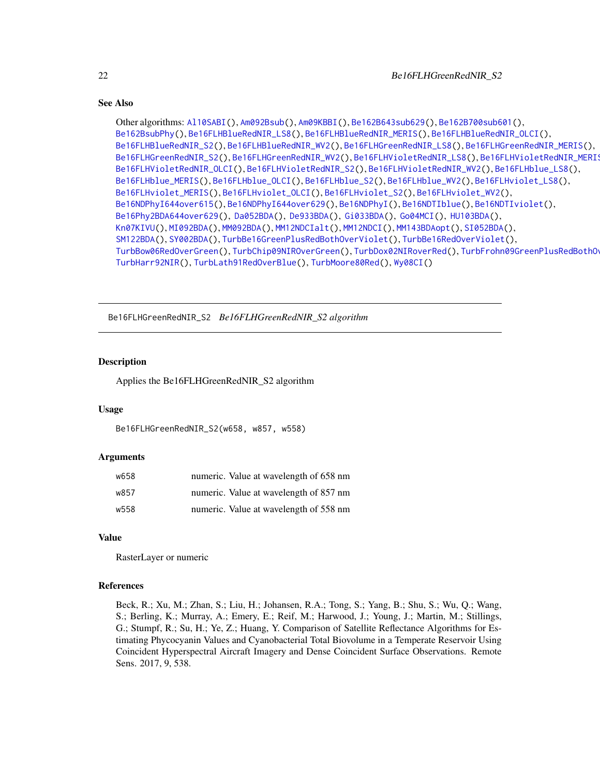```
Other algorithms: Al10SABI(), Am092Bsub(), Am09KBBI(), Be162B643sub629(), Be162B700sub601(),
Be162BsubPhy(), Be16FLHBlueRedNIR_LS8(), Be16FLHBlueRedNIR_MERIS(), Be16FLHBlueRedNIR_OLCI(),
Be16FLHBlueRedNIR_S2(), Be16FLHBlueRedNIR_WV2(), Be16FLHGreenRedNIR_LS8(), Be16FLHGreenRedNIR_MERIS(),
Be16FLHGreenRedNIR_S2(Be16FLHGreenRedNIR_WV2(Be16FLHVioletRedNIR_LS8(),Be16FLHVioletRedNIR_MERI
Be16FLHVioletRedNIR_OLCI(), Be16FLHVioletRedNIR_S2(), Be16FLHVioletRedNIR_WV2(), Be16FLHblue_LS8(),
Be16FLHblue_MERIS(), Be16FLHblue_OLCI(), Be16FLHblue_S2(), Be16FLHblue_WV2(), Be16FLHviolet_LS8(),
Be16FLHviolet_MERIS(), Be16FLHviolet_OLCI(), Be16FLHviolet_S2(), Be16FLHviolet_WV2(),
Be16NDPhyI644over615(), Be16NDPhyI644over629(), Be16NDPhyI(), Be16NDTIblue(), Be16NDTIviolet(),
Be16Phy2BDA644over629(), Da052BDA(), De933BDA(), Gi033BDA(), Go04MCI(), HU103BDA(),
Kn07KIVU(), MI092BDA(), MM092BDA(), MM12NDCIalt(), MM12NDCI(), MM143BDAopt(), SI052BDA(),
SM122BDA(), SY002BDA(), TurbBe16GreenPlusRedBothOverViolet(), TurbBe16RedOverViolet(),
TurbBow06RedOverGreen(), TurbChip09NIROverGreen(), TurbDox02NIRoverRed(), TurbFrohn09GreenPlusRedBothOverBlue(),
TurbHarr92NIR(), TurbLath91RedOverBlue(), TurbMoore80Red(), Wy08CI()
```
<span id="page-21-1"></span>Be16FLHGreenRedNIR\_S2 *Be16FLHGreenRedNIR\_S2 algorithm*

# Description

Applies the Be16FLHGreenRedNIR\_S2 algorithm

# Usage

Be16FLHGreenRedNIR\_S2(w658, w857, w558)

# Arguments

| w658 | numeric. Value at wavelength of 658 nm |
|------|----------------------------------------|
| w857 | numeric. Value at wavelength of 857 nm |
| w558 | numeric. Value at wavelength of 558 nm |

# Value

RasterLayer or numeric

#### References

<span id="page-21-0"></span>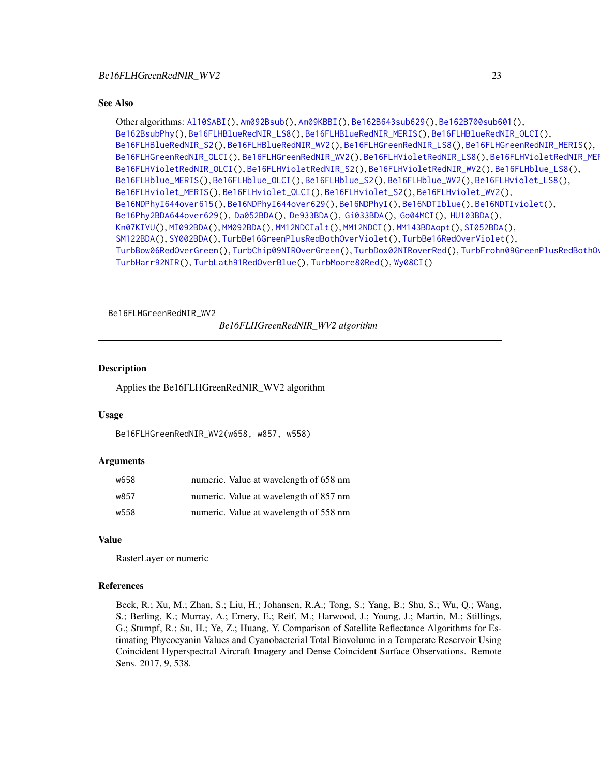```
Other algorithms: Al10SABI(), Am092Bsub(), Am09KBBI(), Be162B643sub629(), Be162B700sub601(),
Be162BsubPhy(), Be16FLHBlueRedNIR_LS8(), Be16FLHBlueRedNIR_MERIS(), Be16FLHBlueRedNIR_OLCI(),
Be16FLHBlueRedNIR_S2(), Be16FLHBlueRedNIR_WV2(), Be16FLHGreenRedNIR_LS8(), Be16FLHGreenRedNIR_MERIS(),
Be16FLHGreenRedNIR_OLCI(Be16FLHGreenRedNIR_WV2(Be16FLHVioletRedNIR_LS8(),Be16FLHVioletRedNIR_MEI
Be16FLHVioletRedNIR_OLCI(), Be16FLHVioletRedNIR_S2(), Be16FLHVioletRedNIR_WV2(), Be16FLHblue_LS8(),
Be16FLHblue_MERIS(), Be16FLHblue_OLCI(), Be16FLHblue_S2(), Be16FLHblue_WV2(), Be16FLHviolet_LS8(),
Be16FLHviolet_MERIS(), Be16FLHviolet_OLCI(), Be16FLHviolet_S2(), Be16FLHviolet_WV2(),
Be16NDPhyI644over615(), Be16NDPhyI644over629(), Be16NDPhyI(), Be16NDTIblue(), Be16NDTIviolet(),
Be16Phy2BDA644over629(), Da052BDA(), De933BDA(), Gi033BDA(), Go04MCI(), HU103BDA(),
Kn07KIVU(), MI092BDA(), MM092BDA(), MM12NDCIalt(), MM12NDCI(), MM143BDAopt(), SI052BDA(),
SM122BDA(), SY002BDA(), TurbBe16GreenPlusRedBothOverViolet(), TurbBe16RedOverViolet(),
TurbBow06RedOverGreen(), TurbChip09NIROverGreen(), TurbDox02NIRoverRed(), TurbFrohn09GreenPlusRedBothOverBlue(),
TurbHarr92NIR(), TurbLath91RedOverBlue(), TurbMoore80Red(), Wy08CI()
```
<span id="page-22-1"></span>Be16FLHGreenRedNIR\_WV2

*Be16FLHGreenRedNIR\_WV2 algorithm*

# **Description**

Applies the Be16FLHGreenRedNIR\_WV2 algorithm

# Usage

```
Be16FLHGreenRedNIR_WV2(w658, w857, w558)
```
#### Arguments

| w658 | numeric. Value at wavelength of 658 nm |
|------|----------------------------------------|
| w857 | numeric. Value at wavelength of 857 nm |
| w558 | numeric. Value at wavelength of 558 nm |

#### Value

RasterLayer or numeric

# References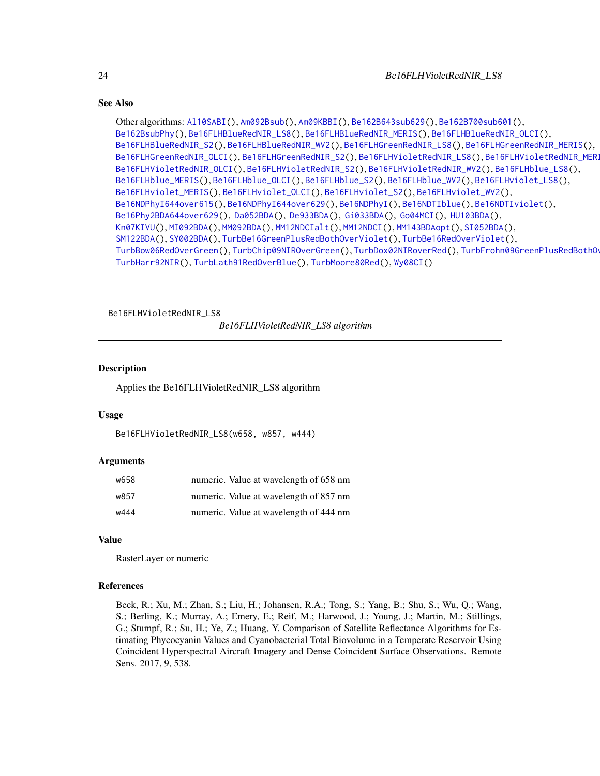```
Other algorithms: Al10SABI(), Am092Bsub(), Am09KBBI(), Be162B643sub629(), Be162B700sub601(),
Be162BsubPhy(), Be16FLHBlueRedNIR_LS8(), Be16FLHBlueRedNIR_MERIS(), Be16FLHBlueRedNIR_OLCI(),
Be16FLHBlueRedNIR_S2(), Be16FLHBlueRedNIR_WV2(), Be16FLHGreenRedNIR_LS8(), Be16FLHGreenRedNIR_MERIS(),
Be16FLHGreenRedNIR_OLCI(Be16FLHGreenRedNIR_S2(Be16FLHVioletRedNIR_LS8(),Be16FLHVioletRedNIR_MERI
Be16FLHVioletRedNIR_OLCI(), Be16FLHVioletRedNIR_S2(), Be16FLHVioletRedNIR_WV2(), Be16FLHblue_LS8(),
Be16FLHblue_MERIS(), Be16FLHblue_OLCI(), Be16FLHblue_S2(), Be16FLHblue_WV2(), Be16FLHviolet_LS8(),
Be16FLHviolet_MERIS(), Be16FLHviolet_OLCI(), Be16FLHviolet_S2(), Be16FLHviolet_WV2(),
Be16NDPhyI644over615(), Be16NDPhyI644over629(), Be16NDPhyI(), Be16NDTIblue(), Be16NDTIviolet(),
Be16Phy2BDA644over629(), Da052BDA(), De933BDA(), Gi033BDA(), Go04MCI(), HU103BDA(),
Kn07KIVU(), MI092BDA(), MM092BDA(), MM12NDCIalt(), MM12NDCI(), MM143BDAopt(), SI052BDA(),
SM122BDA(), SY002BDA(), TurbBe16GreenPlusRedBothOverViolet(), TurbBe16RedOverViolet(),
TurbBow06RedOverGreen(), TurbChip09NIROverGreen(), TurbDox02NIRoverRed(), TurbFrohn09GreenPlusRedBothOverBlue(),
TurbHarr92NIR(), TurbLath91RedOverBlue(), TurbMoore80Red(), Wy08CI()
```
<span id="page-23-1"></span>Be16FLHVioletRedNIR\_LS8

*Be16FLHVioletRedNIR\_LS8 algorithm*

# **Description**

Applies the Be16FLHVioletRedNIR\_LS8 algorithm

# Usage

```
Be16FLHVioletRedNIR_LS8(w658, w857, w444)
```
#### Arguments

| w658 | numeric. Value at wavelength of 658 nm |
|------|----------------------------------------|
| w857 | numeric. Value at wavelength of 857 nm |
| w444 | numeric. Value at wavelength of 444 nm |

#### Value

RasterLayer or numeric

# References

<span id="page-23-0"></span>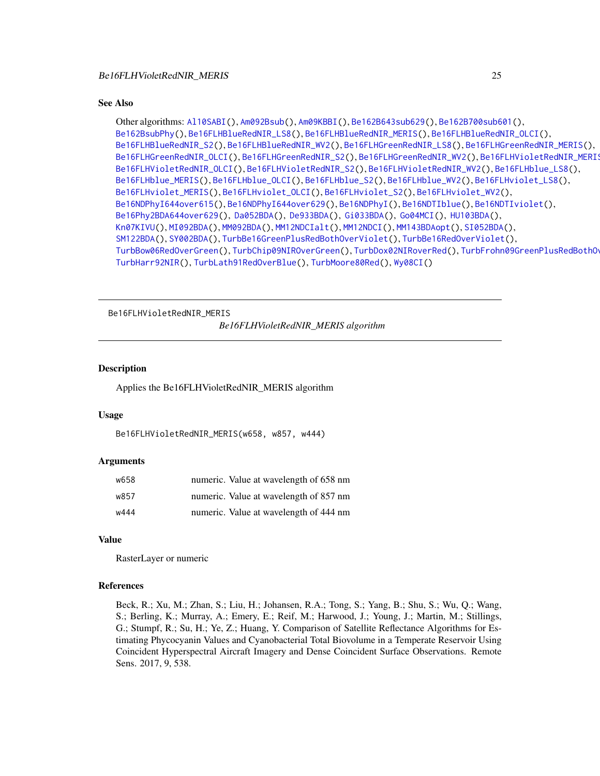```
Other algorithms: Al10SABI(), Am092Bsub(), Am09KBBI(), Be162B643sub629(), Be162B700sub601(),
Be162BsubPhy(), Be16FLHBlueRedNIR_LS8(), Be16FLHBlueRedNIR_MERIS(), Be16FLHBlueRedNIR_OLCI(),
Be16FLHBlueRedNIR_S2(), Be16FLHBlueRedNIR_WV2(), Be16FLHGreenRedNIR_LS8(), Be16FLHGreenRedNIR_MERIS(),
Be16FLHGreenRedNIR_OLCI(), Be16FLHGreenRedNIR_S2(), Be16FLHGreenRedNIR_WV2(), Be16FLHVioletRedNIR_MERIS(),
Be16FLHVioletRedNIR_OLCI(), Be16FLHVioletRedNIR_S2(), Be16FLHVioletRedNIR_WV2(), Be16FLHblue_LS8(),
Be16FLHblue_MERIS(), Be16FLHblue_OLCI(), Be16FLHblue_S2(), Be16FLHblue_WV2(), Be16FLHviolet_LS8(),
Be16FLHviolet_MERIS(), Be16FLHviolet_OLCI(), Be16FLHviolet_S2(), Be16FLHviolet_WV2(),
Be16NDPhyI644over615(), Be16NDPhyI644over629(), Be16NDPhyI(), Be16NDTIblue(), Be16NDTIviolet(),
Be16Phy2BDA644over629(), Da052BDA(), De933BDA(), Gi033BDA(), Go04MCI(), HU103BDA(),
Kn07KIVU(), MI092BDA(), MM092BDA(), MM12NDCIalt(), MM12NDCI(), MM143BDAopt(), SI052BDA(),
SM122BDA(), SY002BDA(), TurbBe16GreenPlusRedBothOverViolet(), TurbBe16RedOverViolet(),
TurbBow06RedOverGreen(), TurbChip09NIROverGreen(), TurbDox02NIRoverRed(), TurbFrohn09GreenPlusRedBothOverBlue(),
TurbHarr92NIR(), TurbLath91RedOverBlue(), TurbMoore80Red(), Wy08CI()
```
<span id="page-24-1"></span>Be16FLHVioletRedNIR\_MERIS

*Be16FLHVioletRedNIR\_MERIS algorithm*

#### **Description**

Applies the Be16FLHVioletRedNIR\_MERIS algorithm

# Usage

```
Be16FLHVioletRedNIR_MERIS(w658, w857, w444)
```
#### Arguments

| w658 | numeric. Value at wavelength of 658 nm |
|------|----------------------------------------|
| w857 | numeric. Value at wavelength of 857 nm |
| w444 | numeric. Value at wavelength of 444 nm |

#### Value

RasterLayer or numeric

# References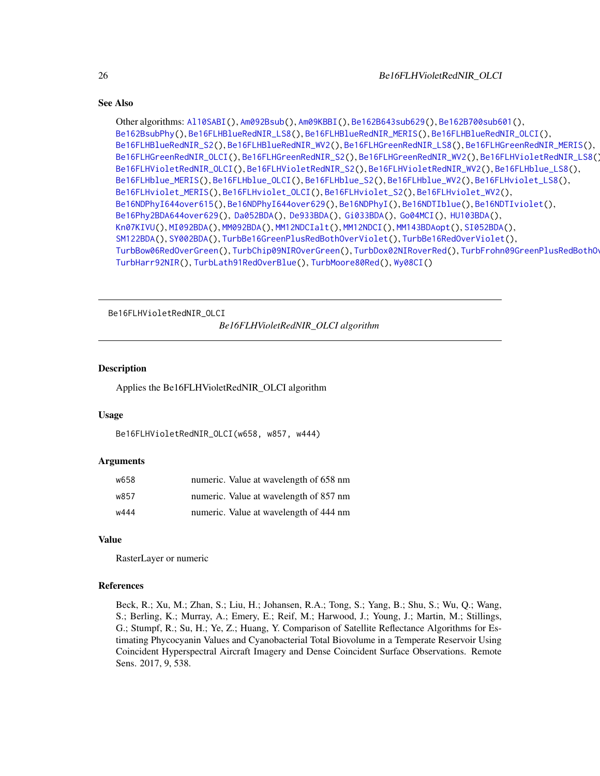```
Other algorithms: Al10SABI(), Am092Bsub(), Am09KBBI(), Be162B643sub629(), Be162B700sub601(),
Be162BsubPhy(), Be16FLHBlueRedNIR_LS8(), Be16FLHBlueRedNIR_MERIS(), Be16FLHBlueRedNIR_OLCI(),
Be16FLHBlueRedNIR_S2(), Be16FLHBlueRedNIR_WV2(), Be16FLHGreenRedNIR_LS8(), Be16FLHGreenRedNIR_MERIS(),
Be16FLHGreenRedNIR_OLCI(), Be16FLHGreenRedNIR_S2(), Be16FLHGreenRedNIR_WV2(), Be16FLHVioletRedNIR_LS8(),
Be16FLHVioletRedNIR_OLCI(), Be16FLHVioletRedNIR_S2(), Be16FLHVioletRedNIR_WV2(), Be16FLHblue_LS8(),
Be16FLHblue_MERIS(), Be16FLHblue_OLCI(), Be16FLHblue_S2(), Be16FLHblue_WV2(), Be16FLHviolet_LS8(),
Be16FLHviolet_MERIS(), Be16FLHviolet_OLCI(), Be16FLHviolet_S2(), Be16FLHviolet_WV2(),
Be16NDPhyI644over615(), Be16NDPhyI644over629(), Be16NDPhyI(), Be16NDTIblue(), Be16NDTIviolet(),
Be16Phy2BDA644over629(), Da052BDA(), De933BDA(), Gi033BDA(), Go04MCI(), HU103BDA(),
Kn07KIVU(), MI092BDA(), MM092BDA(), MM12NDCIalt(), MM12NDCI(), MM143BDAopt(), SI052BDA(),
SM122BDA(), SY002BDA(), TurbBe16GreenPlusRedBothOverViolet(), TurbBe16RedOverViolet(),
TurbBow06RedOverGreen(), TurbChip09NIROverGreen(), TurbDox02NIRoverRed(), TurbFrohn09GreenPlusRedBothOverBlue(),
TurbHarr92NIR(), TurbLath91RedOverBlue(), TurbMoore80Red(), Wy08CI()
```
<span id="page-25-1"></span>Be16FLHVioletRedNIR\_OLCI

*Be16FLHVioletRedNIR\_OLCI algorithm*

# **Description**

Applies the Be16FLHVioletRedNIR\_OLCI algorithm

# Usage

```
Be16FLHVioletRedNIR_OLCI(w658, w857, w444)
```
#### Arguments

| w658 | numeric. Value at wavelength of 658 nm |
|------|----------------------------------------|
| w857 | numeric. Value at wavelength of 857 nm |
| w444 | numeric. Value at wavelength of 444 nm |

#### Value

RasterLayer or numeric

# References

<span id="page-25-0"></span>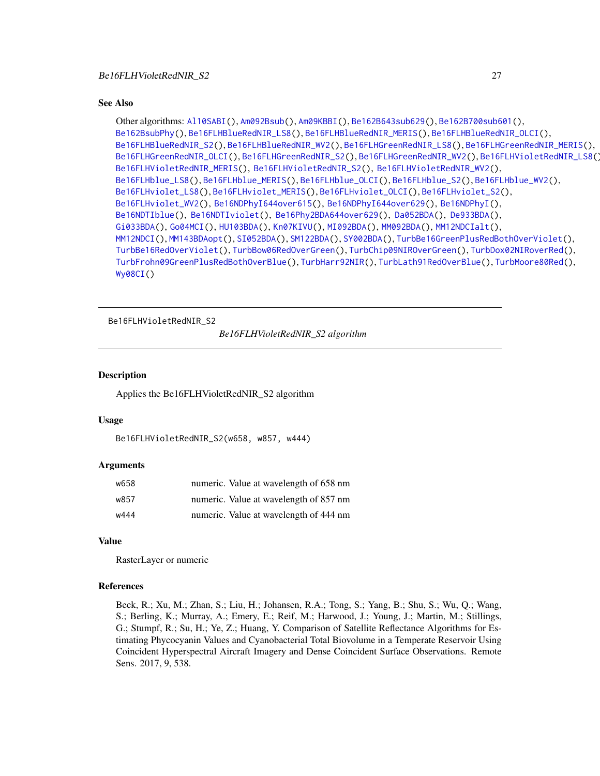```
Other algorithms: Al10SABI(), Am092Bsub(), Am09KBBI(), Be162B643sub629(), Be162B700sub601(),
Be162BsubPhy(), Be16FLHBlueRedNIR_LS8(), Be16FLHBlueRedNIR_MERIS(), Be16FLHBlueRedNIR_OLCI(),
Be16FLHBlueRedNIR_S2(), Be16FLHBlueRedNIR_WV2(), Be16FLHGreenRedNIR_LS8(), Be16FLHGreenRedNIR_MERIS(),
Be16FLHGreenRedNIR_OLCI(), Be16FLHGreenRedNIR_S2(), Be16FLHGreenRedNIR_WV2(), Be16FLHVioletRedNIR_LS8(),
Be16FLHVioletRedNIR_MERIS(), Be16FLHVioletRedNIR_S2(), Be16FLHVioletRedNIR_WV2(),
Be16FLHblue_LS8(), Be16FLHblue_MERIS(), Be16FLHblue_OLCI(), Be16FLHblue_S2(), Be16FLHblue_WV2(),
Be16FLHviolet_LS8(), Be16FLHviolet_MERIS(), Be16FLHviolet_OLCI(), Be16FLHviolet_S2(),
Be16FLHviolet_WV2(), Be16NDPhyI644over615(), Be16NDPhyI644over629(), Be16NDPhyI(),
Be16NDTIblue(), Be16NDTIviolet(), Be16Phy2BDA644over629(), Da052BDA(), De933BDA(),
Gi033BDA(), Go04MCI(), HU103BDA(), Kn07KIVU(), MI092BDA(), MM092BDA(), MM12NDCIalt(),
MM12NDCI(), MM143BDAopt(), SI052BDA(), SM122BDA(), SY002BDA(), TurbBe16GreenPlusRedBothOverViolet(),
TurbBe16RedOverViolet(), TurbBow06RedOverGreen(), TurbChip09NIROverGreen(), TurbDox02NIRoverRed(),
TurbFrohn09GreenPlusRedBothOverBlue(), TurbHarr92NIR(), TurbLath91RedOverBlue(), TurbMoore80Red(),
Wy08CI()
```
<span id="page-26-1"></span>Be16FLHVioletRedNIR\_S2

*Be16FLHVioletRedNIR\_S2 algorithm*

#### Description

Applies the Be16FLHVioletRedNIR\_S2 algorithm

#### Usage

```
Be16FLHVioletRedNIR_S2(w658, w857, w444)
```
#### Arguments

| w658 | numeric. Value at wavelength of 658 nm |
|------|----------------------------------------|
| w857 | numeric. Value at wavelength of 857 nm |
| w444 | numeric. Value at wavelength of 444 nm |

# Value

RasterLayer or numeric

# References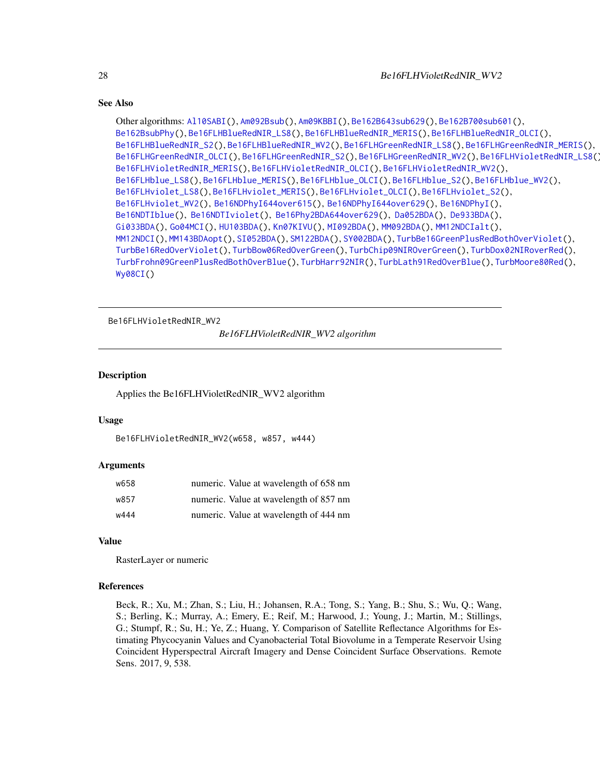```
Other algorithms: Al10SABI(), Am092Bsub(), Am09KBBI(), Be162B643sub629(), Be162B700sub601(),
Be162BsubPhy(), Be16FLHBlueRedNIR_LS8(), Be16FLHBlueRedNIR_MERIS(), Be16FLHBlueRedNIR_OLCI(),
Be16FLHBlueRedNIR_S2(), Be16FLHBlueRedNIR_WV2(), Be16FLHGreenRedNIR_LS8(), Be16FLHGreenRedNIR_MERIS(),
Be16FLHGreenRedNIR_OLCI(), Be16FLHGreenRedNIR_S2(), Be16FLHGreenRedNIR_WV2(), Be16FLHVioletRedNIR_LS8(),
Be16FLHVioletRedNIR_MERIS(), Be16FLHVioletRedNIR_OLCI(), Be16FLHVioletRedNIR_WV2(),
Be16FLHblue_LS8(), Be16FLHblue_MERIS(), Be16FLHblue_OLCI(), Be16FLHblue_S2(), Be16FLHblue_WV2(),
Be16FLHviolet_LS8(), Be16FLHviolet_MERIS(), Be16FLHviolet_OLCI(), Be16FLHviolet_S2(),
Be16FLHviolet_WV2(), Be16NDPhyI644over615(), Be16NDPhyI644over629(), Be16NDPhyI(),
Be16NDTIblue(), Be16NDTIviolet(), Be16Phy2BDA644over629(), Da052BDA(), De933BDA(),
Gi033BDA(), Go04MCI(), HU103BDA(), Kn07KIVU(), MI092BDA(), MM092BDA(), MM12NDCIalt(),
MM12NDCI(), MM143BDAopt(), SI052BDA(), SM122BDA(), SY002BDA(), TurbBe16GreenPlusRedBothOverViolet(),
TurbBe16RedOverViolet(), TurbBow06RedOverGreen(), TurbChip09NIROverGreen(), TurbDox02NIRoverRed(),
TurbFrohn09GreenPlusRedBothOverBlue(), TurbHarr92NIR(), TurbLath91RedOverBlue(), TurbMoore80Red(),
Wy08CI()
```
<span id="page-27-1"></span>Be16FLHVioletRedNIR\_WV2

*Be16FLHVioletRedNIR\_WV2 algorithm*

#### Description

Applies the Be16FLHVioletRedNIR\_WV2 algorithm

#### Usage

```
Be16FLHVioletRedNIR_WV2(w658, w857, w444)
```
#### Arguments

| w658 | numeric. Value at wavelength of 658 nm |
|------|----------------------------------------|
| w857 | numeric. Value at wavelength of 857 nm |
| w444 | numeric. Value at wavelength of 444 nm |

#### Value

RasterLayer or numeric

#### References

<span id="page-27-0"></span>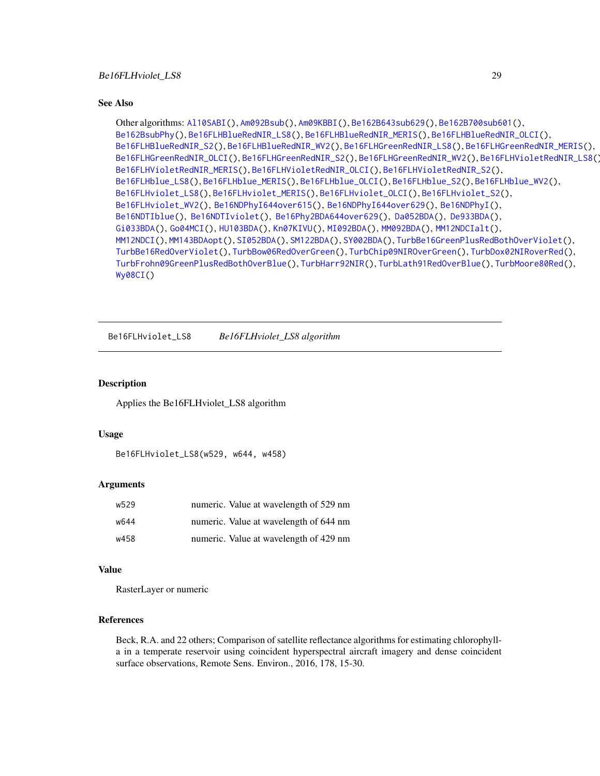```
Other algorithms: Al10SABI(), Am092Bsub(), Am09KBBI(), Be162B643sub629(), Be162B700sub601(),
Be162BsubPhy(), Be16FLHBlueRedNIR_LS8(), Be16FLHBlueRedNIR_MERIS(), Be16FLHBlueRedNIR_OLCI(),
Be16FLHBlueRedNIR_S2(), Be16FLHBlueRedNIR_WV2(), Be16FLHGreenRedNIR_LS8(), Be16FLHGreenRedNIR_MERIS(),
Be16FLHGreenRedNIR_OLCI(), Be16FLHGreenRedNIR_S2(), Be16FLHGreenRedNIR_WV2(), Be16FLHVioletRedNIR_LS8(),
Be16FLHVioletRedNIR_MERIS(), Be16FLHVioletRedNIR_OLCI(), Be16FLHVioletRedNIR_S2(),
Be16FLHblue_LS8(), Be16FLHblue_MERIS(), Be16FLHblue_OLCI(), Be16FLHblue_S2(), Be16FLHblue_WV2(),
Be16FLHviolet_LS8(), Be16FLHviolet_MERIS(), Be16FLHviolet_OLCI(), Be16FLHviolet_S2(),
Be16FLHviolet_WV2(), Be16NDPhyI644over615(), Be16NDPhyI644over629(), Be16NDPhyI(),
Be16NDTIblue(), Be16NDTIviolet(), Be16Phy2BDA644over629(), Da052BDA(), De933BDA(),
Gi033BDA(), Go04MCI(), HU103BDA(), Kn07KIVU(), MI092BDA(), MM092BDA(), MM12NDCIalt(),
MM12NDCI(), MM143BDAopt(), SI052BDA(), SM122BDA(), SY002BDA(), TurbBe16GreenPlusRedBothOverViolet(),
TurbBe16RedOverViolet(), TurbBow06RedOverGreen(), TurbChip09NIROverGreen(), TurbDox02NIRoverRed(),
TurbFrohn09GreenPlusRedBothOverBlue(), TurbHarr92NIR(), TurbLath91RedOverBlue(), TurbMoore80Red(),
Wy08CI()
```
<span id="page-28-1"></span>Be16FLHviolet\_LS8 *Be16FLHviolet\_LS8 algorithm*

# **Description**

Applies the Be16FLHviolet\_LS8 algorithm

#### Usage

```
Be16FLHviolet_LS8(w529, w644, w458)
```
# Arguments

| w529 | numeric. Value at wavelength of 529 nm |
|------|----------------------------------------|
| w644 | numeric. Value at wavelength of 644 nm |
| w458 | numeric. Value at wavelength of 429 nm |

# Value

RasterLayer or numeric

# References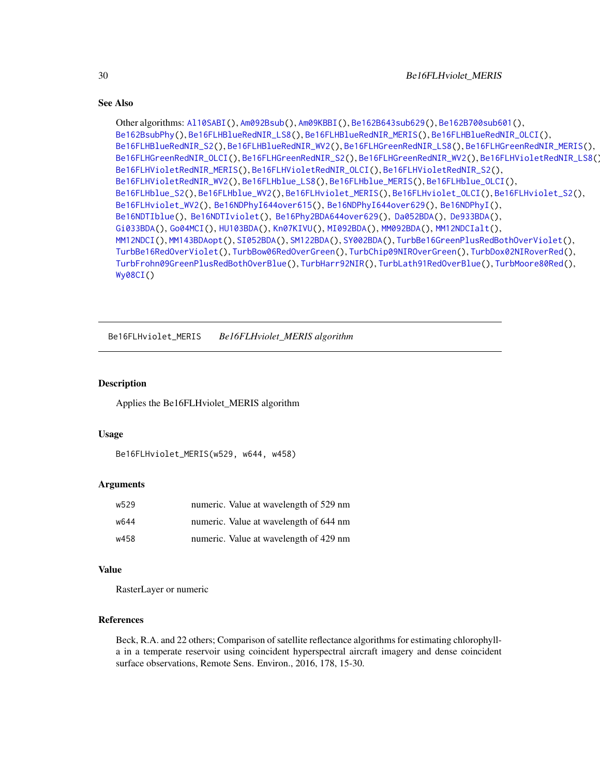```
Other algorithms: Al10SABI(), Am092Bsub(), Am09KBBI(), Be162B643sub629(), Be162B700sub601(),
Be162BsubPhy(), Be16FLHBlueRedNIR_LS8(), Be16FLHBlueRedNIR_MERIS(), Be16FLHBlueRedNIR_OLCI(),
Be16FLHBlueRedNIR_S2(), Be16FLHBlueRedNIR_WV2(), Be16FLHGreenRedNIR_LS8(), Be16FLHGreenRedNIR_MERIS(),
Be16FLHGreenRedNIR_OLCI(), Be16FLHGreenRedNIR_S2(), Be16FLHGreenRedNIR_WV2(), Be16FLHVioletRedNIR_LS8(),
Be16FLHVioletRedNIR_MERIS(), Be16FLHVioletRedNIR_OLCI(), Be16FLHVioletRedNIR_S2(),
Be16FLHVioletRedNIR_WV2(), Be16FLHblue_LS8(), Be16FLHblue_MERIS(), Be16FLHblue_OLCI(),
Be16FLHblue_S2(), Be16FLHblue_WV2(), Be16FLHviolet_MERIS(), Be16FLHviolet_OLCI(), Be16FLHviolet_S2(),
Be16FLHviolet_WV2(), Be16NDPhyI644over615(), Be16NDPhyI644over629(), Be16NDPhyI(),
Be16NDTIblue(), Be16NDTIviolet(), Be16Phy2BDA644over629(), Da052BDA(), De933BDA(),
Gi033BDA(), Go04MCI(), HU103BDA(), Kn07KIVU(), MI092BDA(), MM092BDA(), MM12NDCIalt(),
MM12NDCI(), MM143BDAopt(), SI052BDA(), SM122BDA(), SY002BDA(), TurbBe16GreenPlusRedBothOverViolet(),
TurbBe16RedOverViolet(), TurbBow06RedOverGreen(), TurbChip09NIROverGreen(), TurbDox02NIRoverRed(),
TurbFrohn09GreenPlusRedBothOverBlue(), TurbHarr92NIR(), TurbLath91RedOverBlue(), TurbMoore80Red(),
Wy08CI()
```
<span id="page-29-1"></span>Be16FLHviolet\_MERIS *Be16FLHviolet\_MERIS algorithm*

# **Description**

Applies the Be16FLHviolet\_MERIS algorithm

#### Usage

```
Be16FLHviolet_MERIS(w529, w644, w458)
```
# Arguments

| w529 | numeric. Value at wavelength of 529 nm |
|------|----------------------------------------|
| w644 | numeric. Value at wavelength of 644 nm |
| w458 | numeric. Value at wavelength of 429 nm |

# Value

RasterLayer or numeric

# References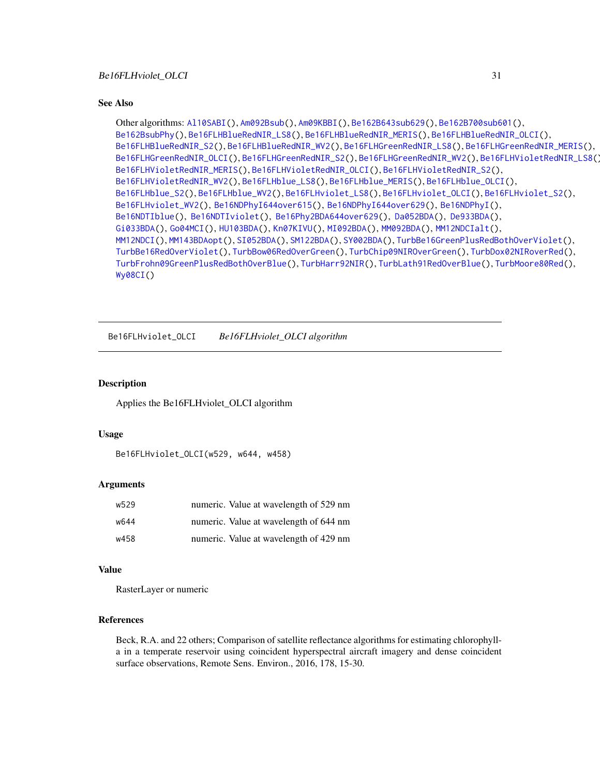<span id="page-30-0"></span>Other algorithms: [Al10SABI\(](#page-2-1)), [Am092Bsub\(](#page-3-1)), [Am09KBBI\(](#page-4-1)), [Be162B643sub629\(](#page-5-1)), [Be162B700sub601\(](#page-6-1)), [Be162BsubPhy\(](#page-7-1)), [Be16FLHBlueRedNIR\\_LS8\(](#page-8-1)), [Be16FLHBlueRedNIR\\_MERIS\(](#page-9-1)), [Be16FLHBlueRedNIR\\_OLCI\(](#page-10-1)), [Be16FLHBlueRedNIR\\_S2\(](#page-11-1)), [Be16FLHBlueRedNIR\\_WV2\(](#page-12-1)), [Be16FLHGreenRedNIR\\_LS8\(](#page-18-1)), [Be16FLHGreenRedNIR\\_MERIS\(](#page-19-1)), [Be16FLHGreenRedNIR\\_OLCI\(](#page-20-1)), [Be16FLHGreenRedNIR\\_S2\(](#page-21-1)), [Be16FLHGreenRedNIR\\_WV2\(](#page-22-1)), [Be16FLHVioletRedNIR\\_LS8\(](#page-23-1)), [Be16FLHVioletRedNIR\\_MERIS\(](#page-24-1)), [Be16FLHVioletRedNIR\\_OLCI\(](#page-25-1)), [Be16FLHVioletRedNIR\\_S2\(](#page-26-1)), [Be16FLHVioletRedNIR\\_WV2\(](#page-27-1)), [Be16FLHblue\\_LS8\(](#page-13-1)), [Be16FLHblue\\_MERIS\(](#page-14-1)), [Be16FLHblue\\_OLCI\(](#page-15-1)), [Be16FLHblue\\_S2\(](#page-16-1)), [Be16FLHblue\\_WV2\(](#page-17-1)), [Be16FLHviolet\\_LS8\(](#page-28-1)), [Be16FLHviolet\\_OLCI\(](#page-30-1)), [Be16FLHviolet\\_S2\(](#page-31-1)), [Be16FLHviolet\\_WV2\(](#page-32-1)), [Be16NDPhyI644over615\(](#page-34-1)), [Be16NDPhyI644over629\(](#page-35-1)), [Be16NDPhyI\(](#page-33-1)), [Be16NDTIblue\(](#page-36-1)), [Be16NDTIviolet\(](#page-37-1)), [Be16Phy2BDA644over629\(](#page-38-1)), [Da052BDA\(](#page-39-1)), [De933BDA\(](#page-40-1)), [Gi033BDA\(](#page-45-1)), [Go04MCI\(](#page-46-1)), [HU103BDA\(](#page-47-1)), [Kn07KIVU\(](#page-48-1)), [MI092BDA\(](#page-51-1)), [MM092BDA\(](#page-52-1)), [MM12NDCIalt\(](#page-54-1)), [MM12NDCI\(](#page-53-1)), [MM143BDAopt\(](#page-55-1)), [SI052BDA\(](#page-56-1)), [SM122BDA\(](#page-57-1)), [SY002BDA\(](#page-58-1)), [TurbBe16GreenPlusRedBothOverViolet\(](#page-59-1)), [TurbBe16RedOverViolet\(](#page-60-1)), [TurbBow06RedOverGreen\(](#page-61-1)), [TurbChip09NIROverGreen\(](#page-62-1)), [TurbDox02NIRoverRed\(](#page-63-1)), [TurbFrohn09GreenPlusRedBothOverBlue\(](#page-64-1)), [TurbHarr92NIR\(](#page-65-1)), [TurbLath91RedOverBlue\(](#page-66-1)), [TurbMoore80Red\(](#page-67-1)), [Wy08CI\(](#page-69-1))

<span id="page-30-1"></span>Be16FLHviolet\_OLCI *Be16FLHviolet\_OLCI algorithm*

# **Description**

Applies the Be16FLHviolet\_OLCI algorithm

#### Usage

```
Be16FLHviolet_OLCI(w529, w644, w458)
```
# Arguments

| w529 | numeric. Value at wavelength of 529 nm |
|------|----------------------------------------|
| w644 | numeric. Value at wavelength of 644 nm |
| w458 | numeric. Value at wavelength of 429 nm |

# Value

RasterLayer or numeric

# References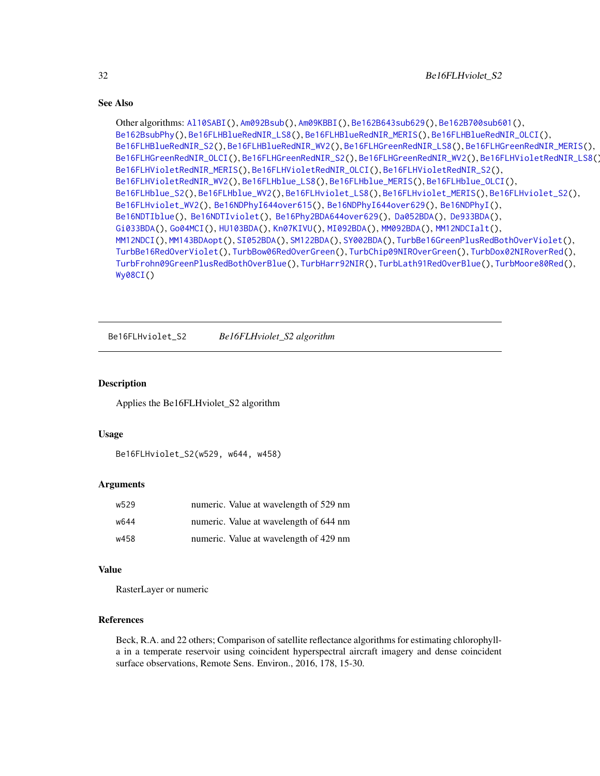```
Other algorithms: Al10SABI(), Am092Bsub(), Am09KBBI(), Be162B643sub629(), Be162B700sub601(),
Be162BsubPhy(), Be16FLHBlueRedNIR_LS8(), Be16FLHBlueRedNIR_MERIS(), Be16FLHBlueRedNIR_OLCI(),
Be16FLHBlueRedNIR_S2(), Be16FLHBlueRedNIR_WV2(), Be16FLHGreenRedNIR_LS8(), Be16FLHGreenRedNIR_MERIS(),
Be16FLHGreenRedNIR_OLCI(), Be16FLHGreenRedNIR_S2(), Be16FLHGreenRedNIR_WV2(), Be16FLHVioletRedNIR_LS8(),
Be16FLHVioletRedNIR_MERIS(), Be16FLHVioletRedNIR_OLCI(), Be16FLHVioletRedNIR_S2(),
Be16FLHVioletRedNIR_WV2(), Be16FLHblue_LS8(), Be16FLHblue_MERIS(), Be16FLHblue_OLCI(),
Be16FLHblue_S2(), Be16FLHblue_WV2(), Be16FLHviolet_LS8(), Be16FLHviolet_MERIS(), Be16FLHviolet_S2(),
Be16FLHviolet_WV2(), Be16NDPhyI644over615(), Be16NDPhyI644over629(), Be16NDPhyI(),
Be16NDTIblue(), Be16NDTIviolet(), Be16Phy2BDA644over629(), Da052BDA(), De933BDA(),
Gi033BDA(), Go04MCI(), HU103BDA(), Kn07KIVU(), MI092BDA(), MM092BDA(), MM12NDCIalt(),
MM12NDCI(), MM143BDAopt(), SI052BDA(), SM122BDA(), SY002BDA(), TurbBe16GreenPlusRedBothOverViolet(),
TurbBe16RedOverViolet(), TurbBow06RedOverGreen(), TurbChip09NIROverGreen(), TurbDox02NIRoverRed(),
TurbFrohn09GreenPlusRedBothOverBlue(), TurbHarr92NIR(), TurbLath91RedOverBlue(), TurbMoore80Red(),
Wy08CI()
```
<span id="page-31-1"></span>Be16FLHviolet\_S2 *Be16FLHviolet\_S2 algorithm*

# Description

Applies the Be16FLHviolet\_S2 algorithm

#### Usage

```
Be16FLHviolet_S2(w529, w644, w458)
```
# Arguments

| w529 | numeric. Value at wavelength of 529 nm |
|------|----------------------------------------|
| w644 | numeric. Value at wavelength of 644 nm |
| w458 | numeric. Value at wavelength of 429 nm |

# Value

RasterLayer or numeric

# References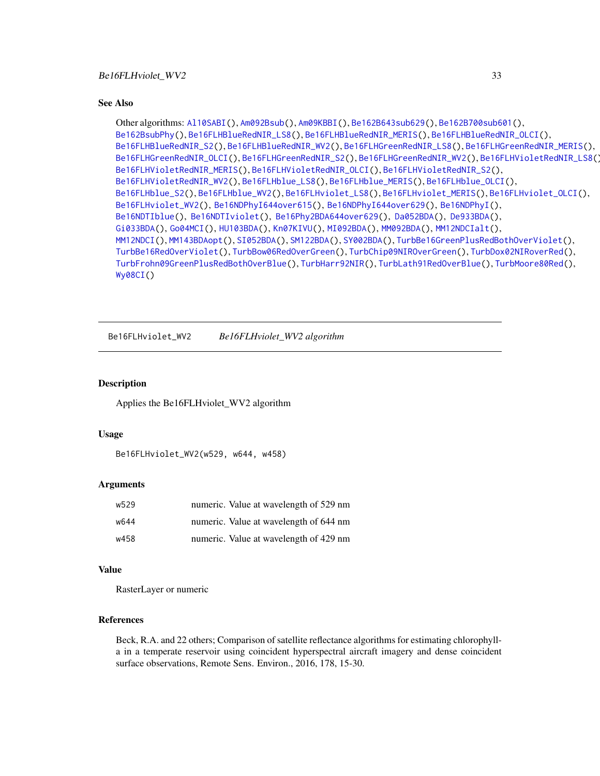<span id="page-32-0"></span>Other algorithms: [Al10SABI\(](#page-2-1)), [Am092Bsub\(](#page-3-1)), [Am09KBBI\(](#page-4-1)), [Be162B643sub629\(](#page-5-1)), [Be162B700sub601\(](#page-6-1)), [Be162BsubPhy\(](#page-7-1)), [Be16FLHBlueRedNIR\\_LS8\(](#page-8-1)), [Be16FLHBlueRedNIR\\_MERIS\(](#page-9-1)), [Be16FLHBlueRedNIR\\_OLCI\(](#page-10-1)), [Be16FLHBlueRedNIR\\_S2\(](#page-11-1)), [Be16FLHBlueRedNIR\\_WV2\(](#page-12-1)), [Be16FLHGreenRedNIR\\_LS8\(](#page-18-1)), [Be16FLHGreenRedNIR\\_MERIS\(](#page-19-1)), [Be16FLHGreenRedNIR\\_OLCI\(](#page-20-1)), [Be16FLHGreenRedNIR\\_S2\(](#page-21-1)), [Be16FLHGreenRedNIR\\_WV2\(](#page-22-1)), [Be16FLHVioletRedNIR\\_LS8\(](#page-23-1)), [Be16FLHVioletRedNIR\\_MERIS\(](#page-24-1)), [Be16FLHVioletRedNIR\\_OLCI\(](#page-25-1)), [Be16FLHVioletRedNIR\\_S2\(](#page-26-1)), [Be16FLHVioletRedNIR\\_WV2\(](#page-27-1)), [Be16FLHblue\\_LS8\(](#page-13-1)), [Be16FLHblue\\_MERIS\(](#page-14-1)), [Be16FLHblue\\_OLCI\(](#page-15-1)), [Be16FLHblue\\_S2\(](#page-16-1)), [Be16FLHblue\\_WV2\(](#page-17-1)), [Be16FLHviolet\\_LS8\(](#page-28-1)), [Be16FLHviolet\\_MERIS\(](#page-29-1)), [Be16FLHviolet\\_OLCI\(](#page-30-1)), [Be16FLHviolet\\_WV2\(](#page-32-1)), [Be16NDPhyI644over615\(](#page-34-1)), [Be16NDPhyI644over629\(](#page-35-1)), [Be16NDPhyI\(](#page-33-1)), [Be16NDTIblue\(](#page-36-1)), [Be16NDTIviolet\(](#page-37-1)), [Be16Phy2BDA644over629\(](#page-38-1)), [Da052BDA\(](#page-39-1)), [De933BDA\(](#page-40-1)), [Gi033BDA\(](#page-45-1)), [Go04MCI\(](#page-46-1)), [HU103BDA\(](#page-47-1)), [Kn07KIVU\(](#page-48-1)), [MI092BDA\(](#page-51-1)), [MM092BDA\(](#page-52-1)), [MM12NDCIalt\(](#page-54-1)), [MM12NDCI\(](#page-53-1)), [MM143BDAopt\(](#page-55-1)), [SI052BDA\(](#page-56-1)), [SM122BDA\(](#page-57-1)), [SY002BDA\(](#page-58-1)), [TurbBe16GreenPlusRedBothOverViolet\(](#page-59-1)), [TurbBe16RedOverViolet\(](#page-60-1)), [TurbBow06RedOverGreen\(](#page-61-1)), [TurbChip09NIROverGreen\(](#page-62-1)), [TurbDox02NIRoverRed\(](#page-63-1)), [TurbFrohn09GreenPlusRedBothOverBlue\(](#page-64-1)), [TurbHarr92NIR\(](#page-65-1)), [TurbLath91RedOverBlue\(](#page-66-1)), [TurbMoore80Red\(](#page-67-1)), [Wy08CI\(](#page-69-1))

<span id="page-32-1"></span>Be16FLHviolet\_WV2 *Be16FLHviolet\_WV2 algorithm*

# **Description**

Applies the Be16FLHviolet\_WV2 algorithm

#### Usage

Be16FLHviolet\_WV2(w529, w644, w458)

# Arguments

| w529 | numeric. Value at wavelength of 529 nm |
|------|----------------------------------------|
| w644 | numeric. Value at wavelength of 644 nm |
| w458 | numeric. Value at wavelength of 429 nm |

# Value

RasterLayer or numeric

# References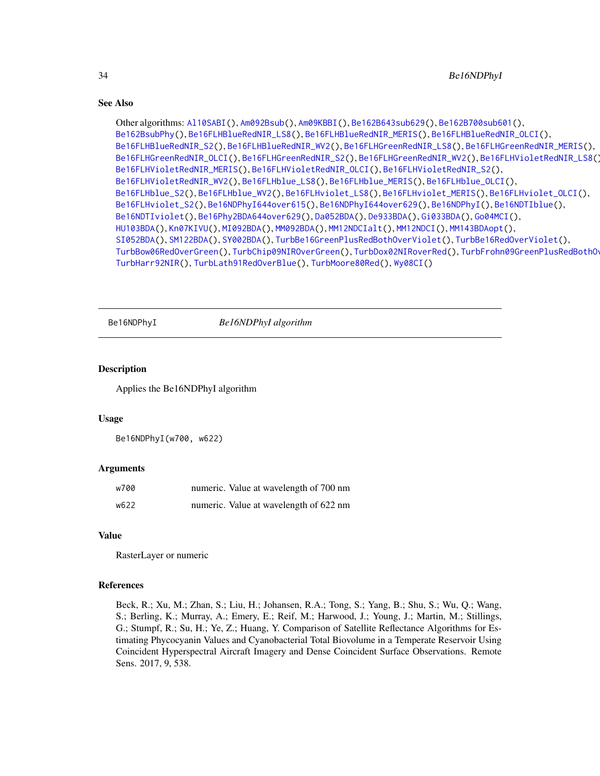```
Other algorithms: Al10SABI(), Am092Bsub(), Am09KBBI(), Be162B643sub629(), Be162B700sub601(),
Be162BsubPhy(), Be16FLHBlueRedNIR_LS8(), Be16FLHBlueRedNIR_MERIS(), Be16FLHBlueRedNIR_OLCI(),
Be16FLHBlueRedNIR_S2(), Be16FLHBlueRedNIR_WV2(), Be16FLHGreenRedNIR_LS8(), Be16FLHGreenRedNIR_MERIS(),
Be16FLHGreenRedNIR_OLCI(), Be16FLHGreenRedNIR_S2(), Be16FLHGreenRedNIR_WV2(), Be16FLHVioletRedNIR_LS8(),
Be16FLHVioletRedNIR_MERIS(), Be16FLHVioletRedNIR_OLCI(), Be16FLHVioletRedNIR_S2(),
Be16FLHVioletRedNIR_WV2(), Be16FLHblue_LS8(), Be16FLHblue_MERIS(), Be16FLHblue_OLCI(),
Be16FLHblue_S2(), Be16FLHblue_WV2(), Be16FLHviolet_LS8(), Be16FLHviolet_MERIS(), Be16FLHviolet_OLCI(),
Be16FLHviolet_S2(), Be16NDPhyI644over615(), Be16NDPhyI644over629(), Be16NDPhyI(), Be16NDTIblue(),
Be16NDTIviolet(), Be16Phy2BDA644over629(), Da052BDA(), De933BDA(), Gi033BDA(), Go04MCI(),
HU103BDA(), Kn07KIVU(), MI092BDA(), MM092BDA(), MM12NDCIalt(), MM12NDCI(), MM143BDAopt(),
SI052BDA(), SM122BDA(), SY002BDA(), TurbBe16GreenPlusRedBothOverViolet(), TurbBe16RedOverViolet(),
TurbBow06RedOverGreen(), TurbChip09NIROverGreen(), TurbDox02NIRoverRed(), TurbFrohn09GreenPlusRedBothOverBlue(),
TurbHarr92NIR(), TurbLath91RedOverBlue(), TurbMoore80Red(), Wy08CI()
```
<span id="page-33-1"></span>Be16NDPhyI *Be16NDPhyI algorithm*

#### Description

Applies the Be16NDPhyI algorithm

# Usage

Be16NDPhyI(w700, w622)

#### Arguments

| w700 | numeric. Value at wavelength of 700 nm |
|------|----------------------------------------|
| w622 | numeric. Value at wavelength of 622 nm |

#### Value

RasterLayer or numeric

# References

<span id="page-33-0"></span>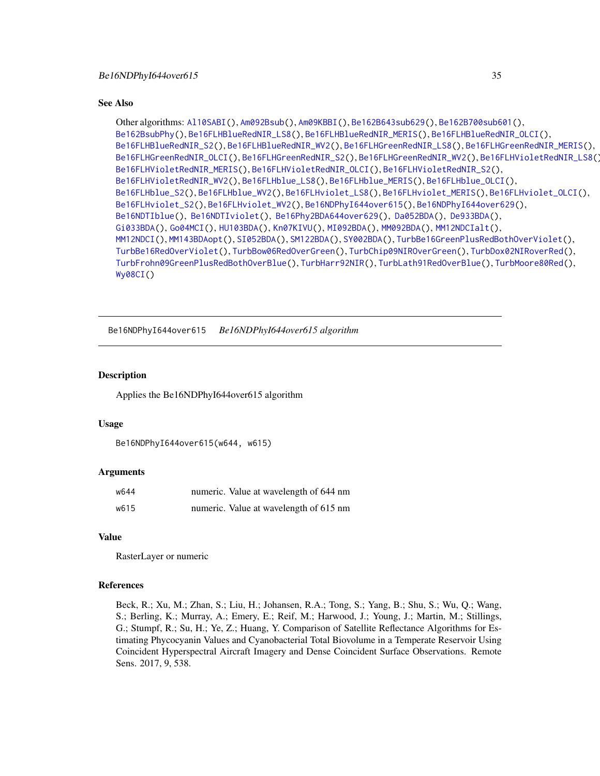<span id="page-34-0"></span>Other algorithms: [Al10SABI\(](#page-2-1)), [Am092Bsub\(](#page-3-1)), [Am09KBBI\(](#page-4-1)), [Be162B643sub629\(](#page-5-1)), [Be162B700sub601\(](#page-6-1)), [Be162BsubPhy\(](#page-7-1)), [Be16FLHBlueRedNIR\\_LS8\(](#page-8-1)), [Be16FLHBlueRedNIR\\_MERIS\(](#page-9-1)), [Be16FLHBlueRedNIR\\_OLCI\(](#page-10-1)), [Be16FLHBlueRedNIR\\_S2\(](#page-11-1)), [Be16FLHBlueRedNIR\\_WV2\(](#page-12-1)), [Be16FLHGreenRedNIR\\_LS8\(](#page-18-1)), [Be16FLHGreenRedNIR\\_MERIS\(](#page-19-1)), [Be16FLHGreenRedNIR\\_OLCI\(](#page-20-1)), [Be16FLHGreenRedNIR\\_S2\(](#page-21-1)), [Be16FLHGreenRedNIR\\_WV2\(](#page-22-1)), [Be16FLHVioletRedNIR\\_LS8\(](#page-23-1)), [Be16FLHVioletRedNIR\\_MERIS\(](#page-24-1)), [Be16FLHVioletRedNIR\\_OLCI\(](#page-25-1)), [Be16FLHVioletRedNIR\\_S2\(](#page-26-1)), [Be16FLHVioletRedNIR\\_WV2\(](#page-27-1)), [Be16FLHblue\\_LS8\(](#page-13-1)), [Be16FLHblue\\_MERIS\(](#page-14-1)), [Be16FLHblue\\_OLCI\(](#page-15-1)), [Be16FLHblue\\_S2\(](#page-16-1)), [Be16FLHblue\\_WV2\(](#page-17-1)), [Be16FLHviolet\\_LS8\(](#page-28-1)), [Be16FLHviolet\\_MERIS\(](#page-29-1)), [Be16FLHviolet\\_OLCI\(](#page-30-1)), [Be16FLHviolet\\_S2\(](#page-31-1)), [Be16FLHviolet\\_WV2\(](#page-32-1)), [Be16NDPhyI644over615\(](#page-34-1)), [Be16NDPhyI644over629\(](#page-35-1)), [Be16NDTIblue\(](#page-36-1)), [Be16NDTIviolet\(](#page-37-1)), [Be16Phy2BDA644over629\(](#page-38-1)), [Da052BDA\(](#page-39-1)), [De933BDA\(](#page-40-1)), [Gi033BDA\(](#page-45-1)), [Go04MCI\(](#page-46-1)), [HU103BDA\(](#page-47-1)), [Kn07KIVU\(](#page-48-1)), [MI092BDA\(](#page-51-1)), [MM092BDA\(](#page-52-1)), [MM12NDCIalt\(](#page-54-1)), [MM12NDCI\(](#page-53-1)), [MM143BDAopt\(](#page-55-1)), [SI052BDA\(](#page-56-1)), [SM122BDA\(](#page-57-1)), [SY002BDA\(](#page-58-1)), [TurbBe16GreenPlusRedBothOverViolet\(](#page-59-1)), [TurbBe16RedOverViolet\(](#page-60-1)), [TurbBow06RedOverGreen\(](#page-61-1)), [TurbChip09NIROverGreen\(](#page-62-1)), [TurbDox02NIRoverRed\(](#page-63-1)), [TurbFrohn09GreenPlusRedBothOverBlue\(](#page-64-1)), [TurbHarr92NIR\(](#page-65-1)), [TurbLath91RedOverBlue\(](#page-66-1)), [TurbMoore80Red\(](#page-67-1)), [Wy08CI\(](#page-69-1))

<span id="page-34-1"></span>Be16NDPhyI644over615 *Be16NDPhyI644over615 algorithm*

### Description

Applies the Be16NDPhyI644over615 algorithm

#### Usage

```
Be16NDPhyI644over615(w644, w615)
```
### Arguments

| w644 | numeric. Value at wavelength of 644 nm |
|------|----------------------------------------|
| w615 | numeric. Value at wavelength of 615 nm |

#### Value

RasterLayer or numeric

#### References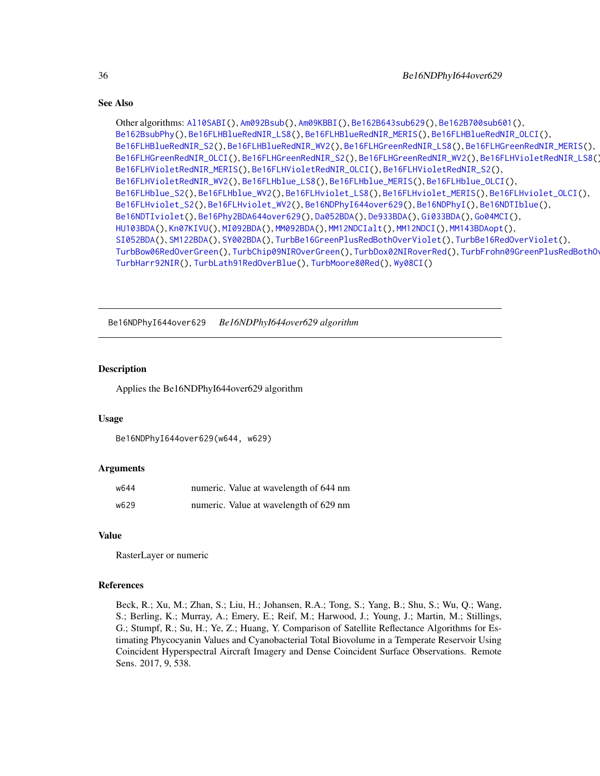```
Other algorithms: Al10SABI(), Am092Bsub(), Am09KBBI(), Be162B643sub629(), Be162B700sub601(),
Be162BsubPhy(), Be16FLHBlueRedNIR_LS8(), Be16FLHBlueRedNIR_MERIS(), Be16FLHBlueRedNIR_OLCI(),
Be16FLHBlueRedNIR_S2(), Be16FLHBlueRedNIR_WV2(), Be16FLHGreenRedNIR_LS8(), Be16FLHGreenRedNIR_MERIS(),
Be16FLHGreenRedNIR_OLCI(), Be16FLHGreenRedNIR_S2(), Be16FLHGreenRedNIR_WV2(), Be16FLHVioletRedNIR_LS8(),
Be16FLHVioletRedNIR_MERIS(), Be16FLHVioletRedNIR_OLCI(), Be16FLHVioletRedNIR_S2(),
Be16FLHVioletRedNIR_WV2(), Be16FLHblue_LS8(), Be16FLHblue_MERIS(), Be16FLHblue_OLCI(),
Be16FLHblue_S2(), Be16FLHblue_WV2(), Be16FLHviolet_LS8(), Be16FLHviolet_MERIS(), Be16FLHviolet_OLCI(),
Be16FLHviolet_S2(), Be16FLHviolet_WV2(), Be16NDPhyI644over629(), Be16NDPhyI(), Be16NDTIblue(),
Be16NDTIviolet(), Be16Phy2BDA644over629(), Da052BDA(), De933BDA(), Gi033BDA(), Go04MCI(),
HU103BDA(), Kn07KIVU(), MI092BDA(), MM092BDA(), MM12NDCIalt(), MM12NDCI(), MM143BDAopt(),
SI052BDA(), SM122BDA(), SY002BDA(), TurbBe16GreenPlusRedBothOverViolet(), TurbBe16RedOverViolet(),
TurbBow06RedOverGreen(), TurbChip09NIROverGreen(), TurbDox02NIRoverRed(), TurbFrohn09GreenPlusRedBothOverBlue(),
TurbHarr92NIR(), TurbLath91RedOverBlue(), TurbMoore80Red(), Wy08CI()
```
<span id="page-35-1"></span>Be16NDPhyI644over629 *Be16NDPhyI644over629 algorithm*

#### Description

Applies the Be16NDPhyI644over629 algorithm

#### Usage

```
Be16NDPhyI644over629(w644, w629)
```
#### Arguments

| w644 | numeric. Value at wavelength of 644 nm |
|------|----------------------------------------|
| w629 | numeric. Value at wavelength of 629 nm |

# Value

RasterLayer or numeric

#### References

<span id="page-35-0"></span>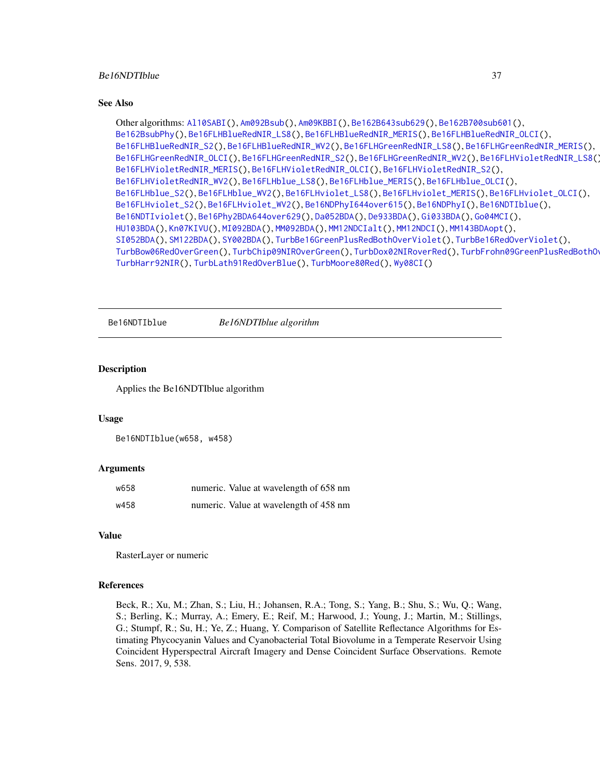### <span id="page-36-1"></span>Be16NDTIblue 37

#### See Also

```
Other algorithms: Al10SABI(), Am092Bsub(), Am09KBBI(), Be162B643sub629(), Be162B700sub601(),
Be162BsubPhy(), Be16FLHBlueRedNIR_LS8(), Be16FLHBlueRedNIR_MERIS(), Be16FLHBlueRedNIR_OLCI(),
Be16FLHBlueRedNIR_S2(), Be16FLHBlueRedNIR_WV2(), Be16FLHGreenRedNIR_LS8(), Be16FLHGreenRedNIR_MERIS(),
Be16FLHGreenRedNIR_OLCI(), Be16FLHGreenRedNIR_S2(), Be16FLHGreenRedNIR_WV2(), Be16FLHVioletRedNIR_LS8(),
Be16FLHVioletRedNIR_MERIS(), Be16FLHVioletRedNIR_OLCI(), Be16FLHVioletRedNIR_S2(),
Be16FLHVioletRedNIR_WV2(), Be16FLHblue_LS8(), Be16FLHblue_MERIS(), Be16FLHblue_OLCI(),
Be16FLHblue_S2(), Be16FLHblue_WV2(), Be16FLHviolet_LS8(), Be16FLHviolet_MERIS(), Be16FLHviolet_OLCI(),
Be16FLHviolet_S2(), Be16FLHviolet_WV2(), Be16NDPhyI644over615(), Be16NDPhyI(), Be16NDTIblue(),
Be16NDTIviolet(), Be16Phy2BDA644over629(), Da052BDA(), De933BDA(), Gi033BDA(), Go04MCI(),
HU103BDA(), Kn07KIVU(), MI092BDA(), MM092BDA(), MM12NDCIalt(), MM12NDCI(), MM143BDAopt(),
SI052BDA(), SM122BDA(), SY002BDA(), TurbBe16GreenPlusRedBothOverViolet(), TurbBe16RedOverViolet(),
TurbBow06RedOverGreen(), TurbChip09NIROverGreen(), TurbDox02NIRoverRed(), TurbFrohn09GreenPlusRedBothOverBlue(),
TurbHarr92NIR(), TurbLath91RedOverBlue(), TurbMoore80Red(), Wy08CI()
```
<span id="page-36-0"></span>Be16NDTIblue *Be16NDTIblue algorithm*

#### Description

Applies the Be16NDTIblue algorithm

#### Usage

```
Be16NDTIblue(w658, w458)
```
#### Arguments

| w658 | numeric. Value at wavelength of 658 nm |
|------|----------------------------------------|
| w458 | numeric. Value at wavelength of 458 nm |

#### Value

RasterLayer or numeric

#### **References**

Beck, R.; Xu, M.; Zhan, S.; Liu, H.; Johansen, R.A.; Tong, S.; Yang, B.; Shu, S.; Wu, Q.; Wang, S.; Berling, K.; Murray, A.; Emery, E.; Reif, M.; Harwood, J.; Young, J.; Martin, M.; Stillings, G.; Stumpf, R.; Su, H.; Ye, Z.; Huang, Y. Comparison of Satellite Reflectance Algorithms for Estimating Phycocyanin Values and Cyanobacterial Total Biovolume in a Temperate Reservoir Using Coincident Hyperspectral Aircraft Imagery and Dense Coincident Surface Observations. Remote Sens. 2017, 9, 538.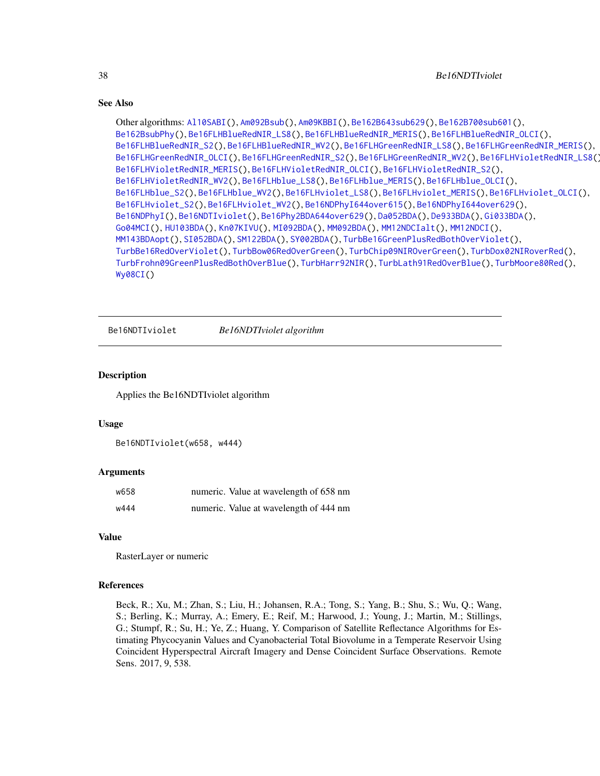```
Other algorithms: Al10SABI(), Am092Bsub(), Am09KBBI(), Be162B643sub629(), Be162B700sub601(),
Be162BsubPhy(), Be16FLHBlueRedNIR_LS8(), Be16FLHBlueRedNIR_MERIS(), Be16FLHBlueRedNIR_OLCI(),
Be16FLHBlueRedNIR_S2(), Be16FLHBlueRedNIR_WV2(), Be16FLHGreenRedNIR_LS8(), Be16FLHGreenRedNIR_MERIS(),
Be16FLHGreenRedNIR_OLCI(), Be16FLHGreenRedNIR_S2(), Be16FLHGreenRedNIR_WV2(), Be16FLHVioletRedNIR_LS8(),
Be16FLHVioletRedNIR_MERIS(), Be16FLHVioletRedNIR_OLCI(), Be16FLHVioletRedNIR_S2(),
Be16FLHVioletRedNIR_WV2(), Be16FLHblue_LS8(), Be16FLHblue_MERIS(), Be16FLHblue_OLCI(),
Be16FLHblue_S2(), Be16FLHblue_WV2(), Be16FLHviolet_LS8(), Be16FLHviolet_MERIS(), Be16FLHviolet_OLCI(),
Be16FLHviolet_S2(), Be16FLHviolet_WV2(), Be16NDPhyI644over615(), Be16NDPhyI644over629(),
Be16NDPhyI(), Be16NDTIviolet(), Be16Phy2BDA644over629(), Da052BDA(), De933BDA(), Gi033BDA(),
Go04MCI(), HU103BDA(), Kn07KIVU(), MI092BDA(), MM092BDA(), MM12NDCIalt(), MM12NDCI(),
MM143BDAopt(), SI052BDA(), SM122BDA(), SY002BDA(), TurbBe16GreenPlusRedBothOverViolet(),
TurbBe16RedOverViolet(), TurbBow06RedOverGreen(), TurbChip09NIROverGreen(), TurbDox02NIRoverRed(),
TurbFrohn09GreenPlusRedBothOverBlue(), TurbHarr92NIR(), TurbLath91RedOverBlue(), TurbMoore80Red(),
Wy08CI()
```
<span id="page-37-0"></span>Be16NDTIviolet *Be16NDTIviolet algorithm*

# Description

Applies the Be16NDTIviolet algorithm

#### Usage

```
Be16NDTIviolet(w658, w444)
```
# Arguments

| w658 | numeric. Value at wavelength of 658 nm |
|------|----------------------------------------|
| w444 | numeric. Value at wavelength of 444 nm |

#### Value

RasterLayer or numeric

#### References

Beck, R.; Xu, M.; Zhan, S.; Liu, H.; Johansen, R.A.; Tong, S.; Yang, B.; Shu, S.; Wu, Q.; Wang, S.; Berling, K.; Murray, A.; Emery, E.; Reif, M.; Harwood, J.; Young, J.; Martin, M.; Stillings, G.; Stumpf, R.; Su, H.; Ye, Z.; Huang, Y. Comparison of Satellite Reflectance Algorithms for Estimating Phycocyanin Values and Cyanobacterial Total Biovolume in a Temperate Reservoir Using Coincident Hyperspectral Aircraft Imagery and Dense Coincident Surface Observations. Remote Sens. 2017, 9, 538.

<span id="page-37-1"></span>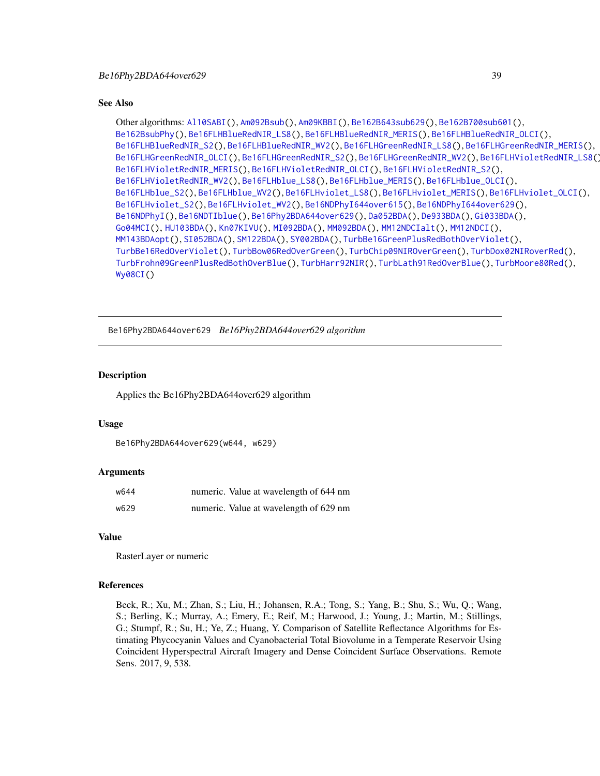<span id="page-38-1"></span>Other algorithms: [Al10SABI\(](#page-2-0)), [Am092Bsub\(](#page-3-0)), [Am09KBBI\(](#page-4-0)), [Be162B643sub629\(](#page-5-0)), [Be162B700sub601\(](#page-6-0)), [Be162BsubPhy\(](#page-7-0)), [Be16FLHBlueRedNIR\\_LS8\(](#page-8-0)), [Be16FLHBlueRedNIR\\_MERIS\(](#page-9-0)), [Be16FLHBlueRedNIR\\_OLCI\(](#page-10-0)), [Be16FLHBlueRedNIR\\_S2\(](#page-11-0)), [Be16FLHBlueRedNIR\\_WV2\(](#page-12-0)), [Be16FLHGreenRedNIR\\_LS8\(](#page-18-0)), [Be16FLHGreenRedNIR\\_MERIS\(](#page-19-0)), [Be16FLHGreenRedNIR\\_OLCI\(](#page-20-0)), [Be16FLHGreenRedNIR\\_S2\(](#page-21-0)), [Be16FLHGreenRedNIR\\_WV2\(](#page-22-0)), [Be16FLHVioletRedNIR\\_LS8\(](#page-23-0)), [Be16FLHVioletRedNIR\\_MERIS\(](#page-24-0)), [Be16FLHVioletRedNIR\\_OLCI\(](#page-25-0)), [Be16FLHVioletRedNIR\\_S2\(](#page-26-0)), [Be16FLHVioletRedNIR\\_WV2\(](#page-27-0)), [Be16FLHblue\\_LS8\(](#page-13-0)), [Be16FLHblue\\_MERIS\(](#page-14-0)), [Be16FLHblue\\_OLCI\(](#page-15-0)), [Be16FLHblue\\_S2\(](#page-16-0)), [Be16FLHblue\\_WV2\(](#page-17-0)), [Be16FLHviolet\\_LS8\(](#page-28-0)), [Be16FLHviolet\\_MERIS\(](#page-29-0)), [Be16FLHviolet\\_OLCI\(](#page-30-0)), [Be16FLHviolet\\_S2\(](#page-31-0)), [Be16FLHviolet\\_WV2\(](#page-32-0)), [Be16NDPhyI644over615\(](#page-34-0)), [Be16NDPhyI644over629\(](#page-35-0)), [Be16NDPhyI\(](#page-33-0)), [Be16NDTIblue\(](#page-36-0)), [Be16Phy2BDA644over629\(](#page-38-0)), [Da052BDA\(](#page-39-0)), [De933BDA\(](#page-40-0)), [Gi033BDA\(](#page-45-0)), [Go04MCI\(](#page-46-0)), [HU103BDA\(](#page-47-0)), [Kn07KIVU\(](#page-48-0)), [MI092BDA\(](#page-51-0)), [MM092BDA\(](#page-52-0)), [MM12NDCIalt\(](#page-54-0)), [MM12NDCI\(](#page-53-0)), [MM143BDAopt\(](#page-55-0)), [SI052BDA\(](#page-56-0)), [SM122BDA\(](#page-57-0)), [SY002BDA\(](#page-58-0)), [TurbBe16GreenPlusRedBothOverViolet\(](#page-59-0)), [TurbBe16RedOverViolet\(](#page-60-0)), [TurbBow06RedOverGreen\(](#page-61-0)), [TurbChip09NIROverGreen\(](#page-62-0)), [TurbDox02NIRoverRed\(](#page-63-0)), [TurbFrohn09GreenPlusRedBothOverBlue\(](#page-64-0)), [TurbHarr92NIR\(](#page-65-0)), [TurbLath91RedOverBlue\(](#page-66-0)), [TurbMoore80Red\(](#page-67-0)), [Wy08CI\(](#page-69-0))

<span id="page-38-0"></span>Be16Phy2BDA644over629 *Be16Phy2BDA644over629 algorithm*

# Description

Applies the Be16Phy2BDA644over629 algorithm

#### Usage

```
Be16Phy2BDA644over629(w644, w629)
```
#### Arguments

| w644 | numeric. Value at wavelength of 644 nm |
|------|----------------------------------------|
| w629 | numeric. Value at wavelength of 629 nm |

#### Value

RasterLayer or numeric

#### References

Beck, R.; Xu, M.; Zhan, S.; Liu, H.; Johansen, R.A.; Tong, S.; Yang, B.; Shu, S.; Wu, Q.; Wang, S.; Berling, K.; Murray, A.; Emery, E.; Reif, M.; Harwood, J.; Young, J.; Martin, M.; Stillings, G.; Stumpf, R.; Su, H.; Ye, Z.; Huang, Y. Comparison of Satellite Reflectance Algorithms for Estimating Phycocyanin Values and Cyanobacterial Total Biovolume in a Temperate Reservoir Using Coincident Hyperspectral Aircraft Imagery and Dense Coincident Surface Observations. Remote Sens. 2017, 9, 538.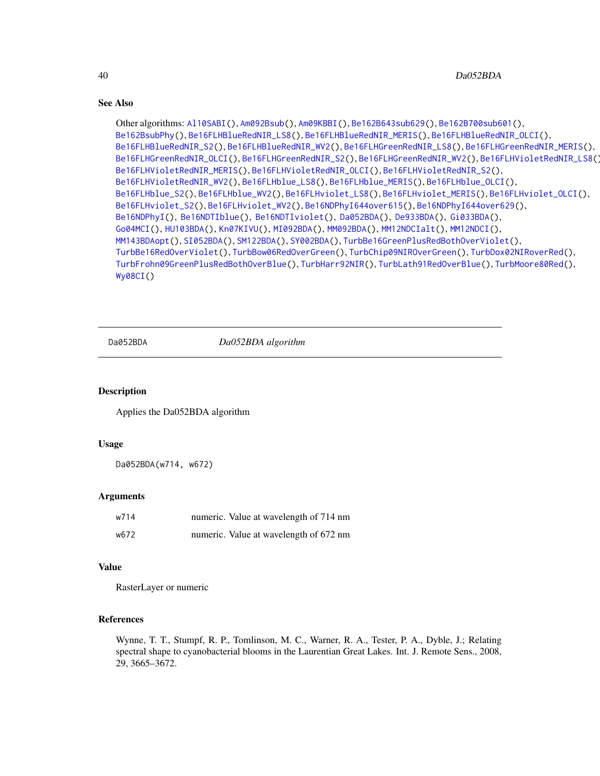```
Other algorithms: Al10SABI(), Am092Bsub(), Am09KBBI(), Be162B643sub629(), Be162B700sub601(),
Be162BsubPhy(), Be16FLHBlueRedNIR_LS8(), Be16FLHBlueRedNIR_MERIS(), Be16FLHBlueRedNIR_OLCI(),
Be16FLHBlueRedNIR_S2(), Be16FLHBlueRedNIR_WV2(), Be16FLHGreenRedNIR_LS8(), Be16FLHGreenRedNIR_MERIS(),
Be16FLHGreenRedNIR_OLCI(), Be16FLHGreenRedNIR_S2(), Be16FLHGreenRedNIR_WV2(), Be16FLHVioletRedNIR_LS8(),
Be16FLHVioletRedNIR_MERIS(), Be16FLHVioletRedNIR_OLCI(), Be16FLHVioletRedNIR_S2(),
Be16FLHVioletRedNIR_WV2(), Be16FLHblue_LS8(), Be16FLHblue_MERIS(), Be16FLHblue_OLCI(),
Be16FLHblue_S2(), Be16FLHblue_WV2(), Be16FLHviolet_LS8(), Be16FLHviolet_MERIS(), Be16FLHviolet_OLCI(),
Be16FLHviolet_S2(), Be16FLHviolet_WV2(), Be16NDPhyI644over615(), Be16NDPhyI644over629(),
Be16NDPhyI(), Be16NDTIblue(), Be16NDTIviolet(), Da052BDA(), De933BDA(), Gi033BDA(),
Go04MCI(), HU103BDA(), Kn07KIVU(), MI092BDA(), MM092BDA(), MM12NDCIalt(), MM12NDCI(),
MM143BDAopt(), SI052BDA(), SM122BDA(), SY002BDA(), TurbBe16GreenPlusRedBothOverViolet(),
TurbBe16RedOverViolet(), TurbBow06RedOverGreen(), TurbChip09NIROverGreen(), TurbDox02NIRoverRed(),
TurbFrohn09GreenPlusRedBothOverBlue(), TurbHarr92NIR(), TurbLath91RedOverBlue(), TurbMoore80Red(),
Wy08CI()
```
<span id="page-39-0"></span>

Da052BDA *Da052BDA algorithm*

#### Description

Applies the Da052BDA algorithm

#### Usage

Da052BDA(w714, w672)

# Arguments

| w714 | numeric. Value at wavelength of 714 nm |
|------|----------------------------------------|
| w672 | numeric. Value at wavelength of 672 nm |

# Value

RasterLayer or numeric

# References

Wynne, T. T., Stumpf, R. P., Tomlinson, M. C., Warner, R. A., Tester, P. A., Dyble, J.; Relating spectral shape to cyanobacterial blooms in the Laurentian Great Lakes. Int. J. Remote Sens., 2008, 29, 3665–3672.

<span id="page-39-1"></span>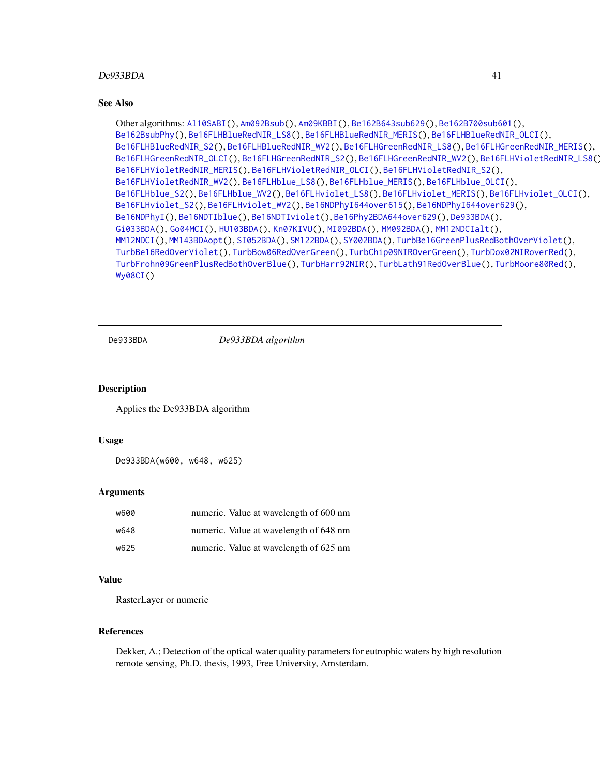# <span id="page-40-1"></span> $De933BDA$  41

#### See Also

```
Other algorithms: Al10SABI(), Am092Bsub(), Am09KBBI(), Be162B643sub629(), Be162B700sub601(),
Be162BsubPhy(), Be16FLHBlueRedNIR_LS8(), Be16FLHBlueRedNIR_MERIS(), Be16FLHBlueRedNIR_OLCI(),
Be16FLHBlueRedNIR_S2(), Be16FLHBlueRedNIR_WV2(), Be16FLHGreenRedNIR_LS8(), Be16FLHGreenRedNIR_MERIS(),
Be16FLHGreenRedNIR_OLCI(), Be16FLHGreenRedNIR_S2(), Be16FLHGreenRedNIR_WV2(), Be16FLHVioletRedNIR_LS8(),
Be16FLHVioletRedNIR_MERIS(), Be16FLHVioletRedNIR_OLCI(), Be16FLHVioletRedNIR_S2(),
Be16FLHVioletRedNIR_WV2(), Be16FLHblue_LS8(), Be16FLHblue_MERIS(), Be16FLHblue_OLCI(),
Be16FLHblue_S2(), Be16FLHblue_WV2(), Be16FLHviolet_LS8(), Be16FLHviolet_MERIS(), Be16FLHviolet_OLCI(),
Be16FLHviolet_S2(), Be16FLHviolet_WV2(), Be16NDPhyI644over615(), Be16NDPhyI644over629(),
Be16NDPhyI(), Be16NDTIblue(), Be16NDTIviolet(), Be16Phy2BDA644over629(), De933BDA(),
Gi033BDA(), Go04MCI(), HU103BDA(), Kn07KIVU(), MI092BDA(), MM092BDA(), MM12NDCIalt(),
MM12NDCI(), MM143BDAopt(), SI052BDA(), SM122BDA(), SY002BDA(), TurbBe16GreenPlusRedBothOverViolet(),
TurbBe16RedOverViolet(), TurbBow06RedOverGreen(), TurbChip09NIROverGreen(), TurbDox02NIRoverRed(),
TurbFrohn09GreenPlusRedBothOverBlue(), TurbHarr92NIR(), TurbLath91RedOverBlue(), TurbMoore80Red(),
Wy08CI()
```
<span id="page-40-0"></span>

De933BDA *De933BDA algorithm*

# Description

Applies the De933BDA algorithm

# Usage

```
De933BDA(w600, w648, w625)
```
#### **Arguments**

| w600 | numeric. Value at wavelength of 600 nm |
|------|----------------------------------------|
| w648 | numeric. Value at wavelength of 648 nm |
| w625 | numeric. Value at wavelength of 625 nm |

#### Value

RasterLayer or numeric

#### References

Dekker, A.; Detection of the optical water quality parameters for eutrophic waters by high resolution remote sensing, Ph.D. thesis, 1993, Free University, Amsterdam.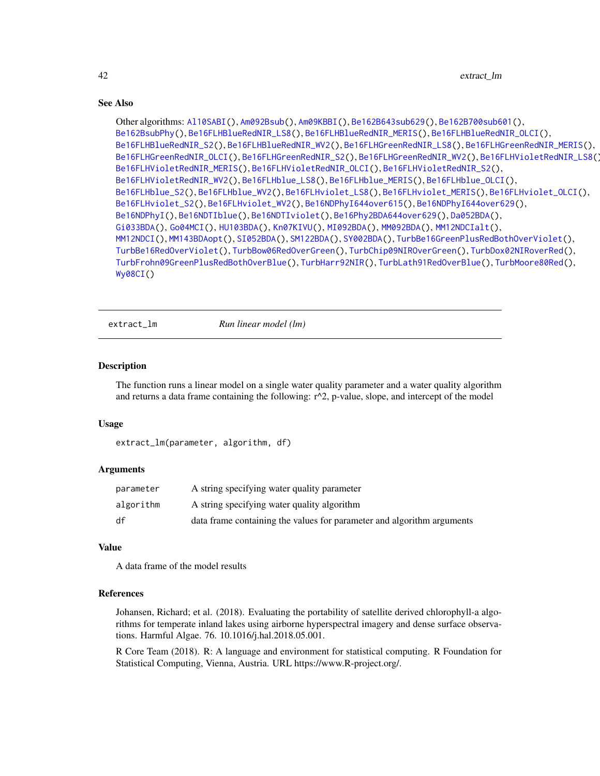```
Other algorithms: Al10SABI(), Am092Bsub(), Am09KBBI(), Be162B643sub629(), Be162B700sub601(),
Be162BsubPhy(), Be16FLHBlueRedNIR_LS8(), Be16FLHBlueRedNIR_MERIS(), Be16FLHBlueRedNIR_OLCI(),
Be16FLHBlueRedNIR_S2(), Be16FLHBlueRedNIR_WV2(), Be16FLHGreenRedNIR_LS8(), Be16FLHGreenRedNIR_MERIS(),
Be16FLHGreenRedNIR_OLCI(), Be16FLHGreenRedNIR_S2(), Be16FLHGreenRedNIR_WV2(), Be16FLHVioletRedNIR_LS8(),
Be16FLHVioletRedNIR_MERIS(), Be16FLHVioletRedNIR_OLCI(), Be16FLHVioletRedNIR_S2(),
Be16FLHVioletRedNIR_WV2(), Be16FLHblue_LS8(), Be16FLHblue_MERIS(), Be16FLHblue_OLCI(),
Be16FLHblue_S2(), Be16FLHblue_WV2(), Be16FLHviolet_LS8(), Be16FLHviolet_MERIS(), Be16FLHviolet_OLCI(),
Be16FLHviolet_S2(), Be16FLHviolet_WV2(), Be16NDPhyI644over615(), Be16NDPhyI644over629(),
Be16NDPhyI(), Be16NDTIblue(), Be16NDTIviolet(), Be16Phy2BDA644over629(), Da052BDA(),
Gi033BDA(), Go04MCI(), HU103BDA(), Kn07KIVU(), MI092BDA(), MM092BDA(), MM12NDCIalt(),
MM12NDCI(), MM143BDAopt(), SI052BDA(), SM122BDA(), SY002BDA(), TurbBe16GreenPlusRedBothOverViolet(),
TurbBe16RedOverViolet(), TurbBow06RedOverGreen(), TurbChip09NIROverGreen(), TurbDox02NIRoverRed(),
TurbFrohn09GreenPlusRedBothOverBlue(), TurbHarr92NIR(), TurbLath91RedOverBlue(), TurbMoore80Red(),
Wy08CI()
```
<span id="page-41-0"></span>extract\_lm *Run linear model (lm)*

# Description

The function runs a linear model on a single water quality parameter and a water quality algorithm and returns a data frame containing the following:  $r^2$ , p-value, slope, and intercept of the model

#### Usage

```
extract_lm(parameter, algorithm, df)
```
#### Arguments

| parameter | A string specifying water quality parameter                            |
|-----------|------------------------------------------------------------------------|
| algorithm | A string specifying water quality algorithm                            |
| df        | data frame containing the values for parameter and algorithm arguments |

# Value

A data frame of the model results

#### References

Johansen, Richard; et al. (2018). Evaluating the portability of satellite derived chlorophyll-a algorithms for temperate inland lakes using airborne hyperspectral imagery and dense surface observations. Harmful Algae. 76. 10.1016/j.hal.2018.05.001.

R Core Team (2018). R: A language and environment for statistical computing. R Foundation for Statistical Computing, Vienna, Austria. URL https://www.R-project.org/.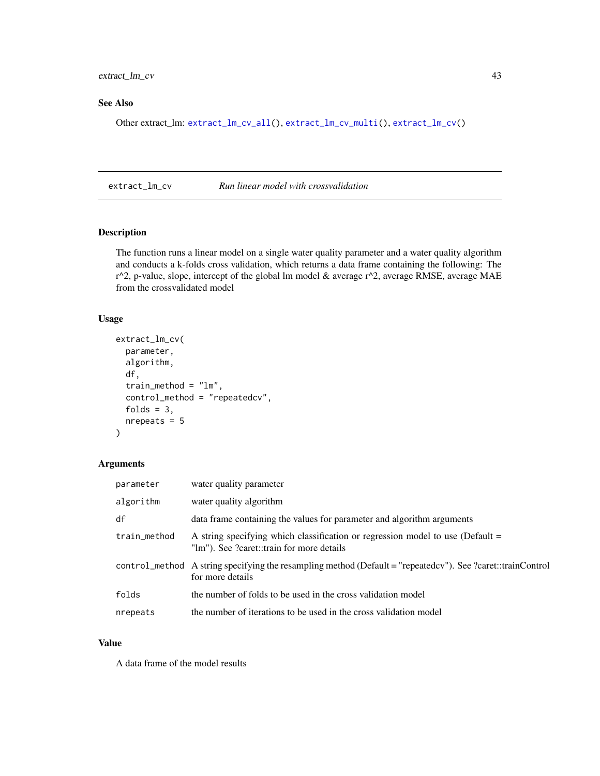# <span id="page-42-1"></span>extract\_lm\_cv 43

# See Also

Other extract\_lm: [extract\\_lm\\_cv\\_all\(](#page-43-0)), [extract\\_lm\\_cv\\_multi\(](#page-44-0)), [extract\\_lm\\_cv\(](#page-42-0))

<span id="page-42-0"></span>extract\_lm\_cv *Run linear model with crossvalidation*

# Description

The function runs a linear model on a single water quality parameter and a water quality algorithm and conducts a k-folds cross validation, which returns a data frame containing the following: The  $r^2$ , p-value, slope, intercept of the global lm model & average  $r^2$ , average RMSE, average MAE from the crossvalidated model

# Usage

```
extract_lm_cv(
  parameter,
  algorithm,
  df,
  train_method = "lm",
  control_method = "repeatedcv",
  folds = 3,
  nrepeats = 5\mathcal{L}
```
# Arguments

| parameter    | water quality parameter                                                                                                         |
|--------------|---------------------------------------------------------------------------------------------------------------------------------|
| algorithm    | water quality algorithm                                                                                                         |
| df           | data frame containing the values for parameter and algorithm arguments                                                          |
| train_method | A string specifying which classification or regression model to use (Default =<br>"lm"). See ?caret::train for more details     |
|              | control_method A string specifying the resampling method (Default = "repeatedcy"). See ?caret::trainControl<br>for more details |
| folds        | the number of folds to be used in the cross validation model                                                                    |
| nrepeats     | the number of iterations to be used in the cross validation model                                                               |

# Value

A data frame of the model results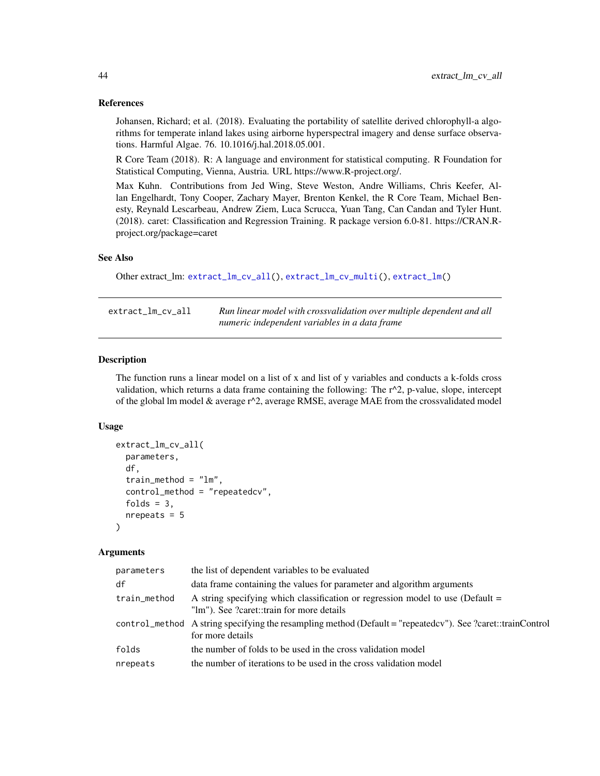# References

Johansen, Richard; et al. (2018). Evaluating the portability of satellite derived chlorophyll-a algorithms for temperate inland lakes using airborne hyperspectral imagery and dense surface observations. Harmful Algae. 76. 10.1016/j.hal.2018.05.001.

R Core Team (2018). R: A language and environment for statistical computing. R Foundation for Statistical Computing, Vienna, Austria. URL https://www.R-project.org/.

Max Kuhn. Contributions from Jed Wing, Steve Weston, Andre Williams, Chris Keefer, Allan Engelhardt, Tony Cooper, Zachary Mayer, Brenton Kenkel, the R Core Team, Michael Benesty, Reynald Lescarbeau, Andrew Ziem, Luca Scrucca, Yuan Tang, Can Candan and Tyler Hunt. (2018). caret: Classification and Regression Training. R package version 6.0-81. https://CRAN.Rproject.org/package=caret

# See Also

```
Other extract_lm: extract_lm_cv_all(), extract_lm_cv_multi(), extract_lm()
```
<span id="page-43-0"></span>

| extract_lm_cv_all | Run linear model with crossvalidation over multiple dependent and all |
|-------------------|-----------------------------------------------------------------------|
|                   | numeric independent variables in a data frame                         |

# Description

The function runs a linear model on a list of x and list of y variables and conducts a k-folds cross validation, which returns a data frame containing the following: The  $r^2$ , p-value, slope, intercept of the global lm model & average  $r^2$ , average RMSE, average MAE from the crossvalidated model

#### Usage

```
extract_lm_cv_all(
  parameters,
  df,
  train_method = "lm",
  control_method = "repeatedcv",
  folds = 3,
  nrepeats = 5)
```
#### Arguments

| parameters   | the list of dependent variables to be evaluated                                                                                  |
|--------------|----------------------------------------------------------------------------------------------------------------------------------|
| df           | data frame containing the values for parameter and algorithm arguments                                                           |
| train_method | A string specifying which classification or regression model to use (Default =<br>"lm"). See ?caret::train for more details      |
|              | control_method A string specifying the resampling method (Default = "repeated cv"). See ?caret::trainControl<br>for more details |
| folds        | the number of folds to be used in the cross validation model                                                                     |
| nrepeats     | the number of iterations to be used in the cross validation model                                                                |

<span id="page-43-1"></span>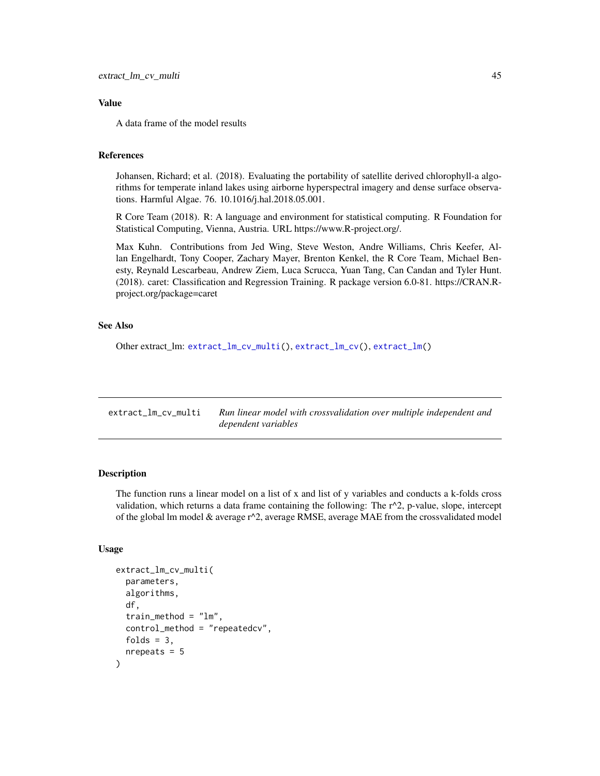# <span id="page-44-1"></span>Value

A data frame of the model results

# References

Johansen, Richard; et al. (2018). Evaluating the portability of satellite derived chlorophyll-a algorithms for temperate inland lakes using airborne hyperspectral imagery and dense surface observations. Harmful Algae. 76. 10.1016/j.hal.2018.05.001.

R Core Team (2018). R: A language and environment for statistical computing. R Foundation for Statistical Computing, Vienna, Austria. URL https://www.R-project.org/.

Max Kuhn. Contributions from Jed Wing, Steve Weston, Andre Williams, Chris Keefer, Allan Engelhardt, Tony Cooper, Zachary Mayer, Brenton Kenkel, the R Core Team, Michael Benesty, Reynald Lescarbeau, Andrew Ziem, Luca Scrucca, Yuan Tang, Can Candan and Tyler Hunt. (2018). caret: Classification and Regression Training. R package version 6.0-81. https://CRAN.Rproject.org/package=caret

# See Also

Other extract\_lm: [extract\\_lm\\_cv\\_multi\(](#page-44-0)), [extract\\_lm\\_cv\(](#page-42-0)), [extract\\_lm\(](#page-41-0))

<span id="page-44-0"></span>extract\_lm\_cv\_multi *Run linear model with crossvalidation over multiple independent and dependent variables*

# Description

The function runs a linear model on a list of x and list of y variables and conducts a k-folds cross validation, which returns a data frame containing the following: The  $r^2$ , p-value, slope, intercept of the global lm model  $\&$  average  $r^2$ , average RMSE, average MAE from the crossvalidated model

# Usage

```
extract_lm_cv_multi(
  parameters,
  algorithms,
  df,
  train_method = "lm",control_method = "repeatedcv",
  folds = 3,
  nrepeats = 5)
```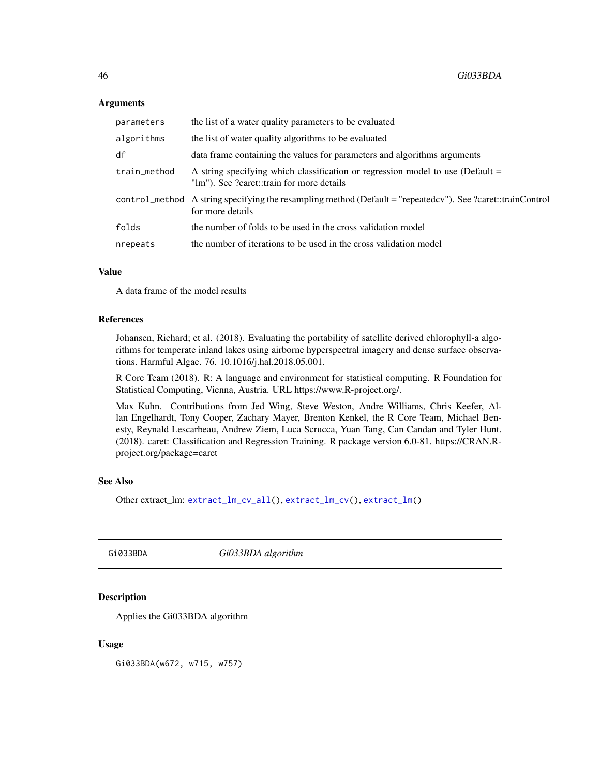# **Arguments**

| parameters   | the list of a water quality parameters to be evaluated                                                                          |
|--------------|---------------------------------------------------------------------------------------------------------------------------------|
| algorithms   | the list of water quality algorithms to be evaluated                                                                            |
| df           | data frame containing the values for parameters and algorithms arguments                                                        |
| train_method | A string specifying which classification or regression model to use (Default $=$<br>"lm"). See ?caret::train for more details   |
|              | control_method A string specifying the resampling method (Default = "repeatedcy"). See ?caret::trainControl<br>for more details |
| folds        | the number of folds to be used in the cross validation model                                                                    |
| nrepeats     | the number of iterations to be used in the cross validation model                                                               |

#### Value

A data frame of the model results

# References

Johansen, Richard; et al. (2018). Evaluating the portability of satellite derived chlorophyll-a algorithms for temperate inland lakes using airborne hyperspectral imagery and dense surface observations. Harmful Algae. 76. 10.1016/j.hal.2018.05.001.

R Core Team (2018). R: A language and environment for statistical computing. R Foundation for Statistical Computing, Vienna, Austria. URL https://www.R-project.org/.

Max Kuhn. Contributions from Jed Wing, Steve Weston, Andre Williams, Chris Keefer, Allan Engelhardt, Tony Cooper, Zachary Mayer, Brenton Kenkel, the R Core Team, Michael Benesty, Reynald Lescarbeau, Andrew Ziem, Luca Scrucca, Yuan Tang, Can Candan and Tyler Hunt. (2018). caret: Classification and Regression Training. R package version 6.0-81. https://CRAN.Rproject.org/package=caret

# See Also

Other extract\_lm: [extract\\_lm\\_cv\\_all\(](#page-43-0)), [extract\\_lm\\_cv\(](#page-42-0)), [extract\\_lm\(](#page-41-0))

<span id="page-45-0"></span>Gi033BDA *Gi033BDA algorithm*

# **Description**

Applies the Gi033BDA algorithm

# Usage

Gi033BDA(w672, w715, w757)

<span id="page-45-1"></span>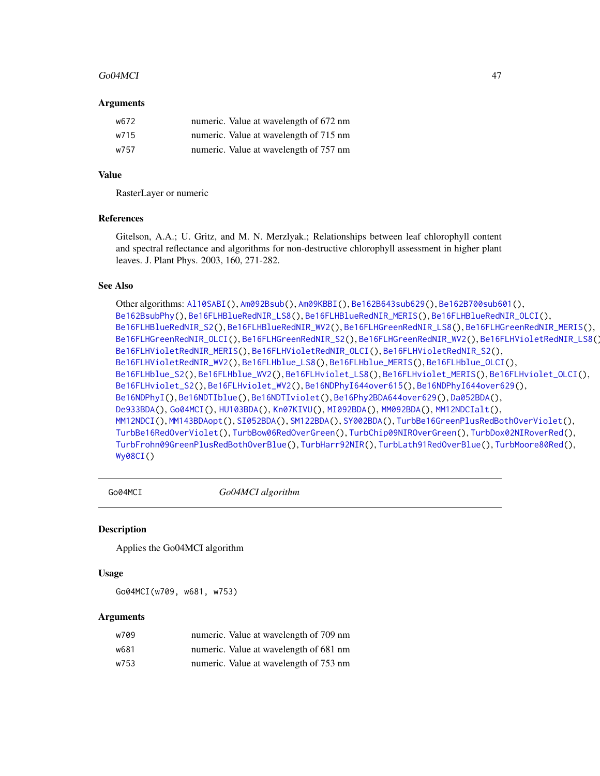#### <span id="page-46-1"></span>Go04MCI 47

#### Arguments

| w672 | numeric. Value at wavelength of 672 nm |
|------|----------------------------------------|
| w715 | numeric. Value at wavelength of 715 nm |
| w757 | numeric. Value at wavelength of 757 nm |

# Value

RasterLayer or numeric

# References

Gitelson, A.A.; U. Gritz, and M. N. Merzlyak.; Relationships between leaf chlorophyll content and spectral reflectance and algorithms for non-destructive chlorophyll assessment in higher plant leaves. J. Plant Phys. 2003, 160, 271-282.

# See Also

```
Other algorithms: Al10SABI(), Am092Bsub(), Am09KBBI(), Be162B643sub629(), Be162B700sub601(),
Be162BsubPhy(), Be16FLHBlueRedNIR_LS8(), Be16FLHBlueRedNIR_MERIS(), Be16FLHBlueRedNIR_OLCI(),
Be16FLHBlueRedNIR_S2(), Be16FLHBlueRedNIR_WV2(), Be16FLHGreenRedNIR_LS8(), Be16FLHGreenRedNIR_MERIS(),
Be16FLHGreenRedNIR_OLCI(), Be16FLHGreenRedNIR_S2(), Be16FLHGreenRedNIR_WV2(), Be16FLHVioletRedNIR_LS8(),
Be16FLHVioletRedNIR_MERIS(), Be16FLHVioletRedNIR_OLCI(), Be16FLHVioletRedNIR_S2(),
Be16FLHVioletRedNIR_WV2(), Be16FLHblue_LS8(), Be16FLHblue_MERIS(), Be16FLHblue_OLCI(),
Be16FLHblue_S2(), Be16FLHblue_WV2(), Be16FLHviolet_LS8(), Be16FLHviolet_MERIS(), Be16FLHviolet_OLCI(),
Be16FLHviolet_S2(), Be16FLHviolet_WV2(), Be16NDPhyI644over615(), Be16NDPhyI644over629(),
Be16NDPhyI(), Be16NDTIblue(), Be16NDTIviolet(), Be16Phy2BDA644over629(), Da052BDA(),
De933BDA(), Go04MCI(), HU103BDA(), Kn07KIVU(), MI092BDA(), MM092BDA(), MM12NDCIalt(),
MM12NDCI(), MM143BDAopt(), SI052BDA(), SM122BDA(), SY002BDA(), TurbBe16GreenPlusRedBothOverViolet(),
TurbBe16RedOverViolet(), TurbBow06RedOverGreen(), TurbChip09NIROverGreen(), TurbDox02NIRoverRed(),
TurbFrohn09GreenPlusRedBothOverBlue(), TurbHarr92NIR(), TurbLath91RedOverBlue(), TurbMoore80Red(),
Wy08CI()
```
<span id="page-46-0"></span>

Go04MCI *Go04MCI algorithm*

#### **Description**

Applies the Go04MCI algorithm

#### Usage

Go04MCI(w709, w681, w753)

#### Arguments

| w709 | numeric. Value at wavelength of 709 nm |
|------|----------------------------------------|
| w681 | numeric. Value at wavelength of 681 nm |
| w753 | numeric. Value at wavelength of 753 nm |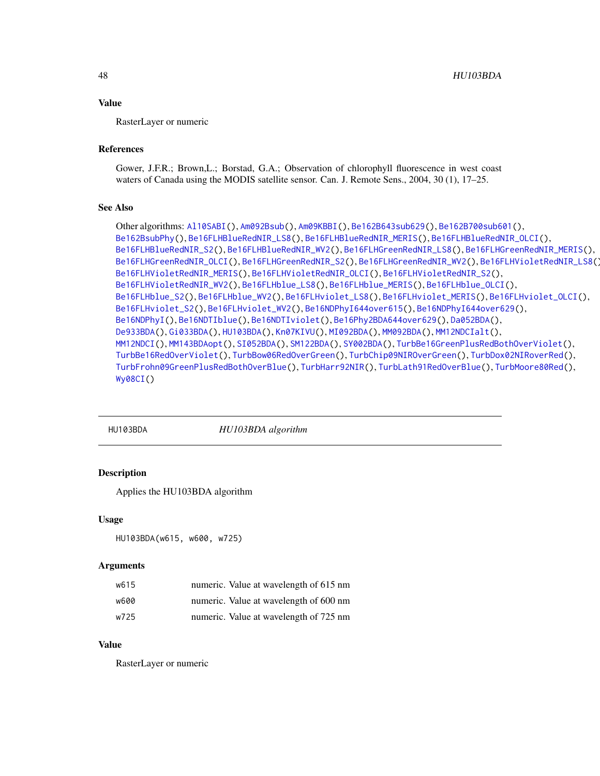# <span id="page-47-1"></span>Value

RasterLayer or numeric

# References

Gower, J.F.R.; Brown,L.; Borstad, G.A.; Observation of chlorophyll fluorescence in west coast waters of Canada using the MODIS satellite sensor. Can. J. Remote Sens., 2004, 30 (1), 17–25.

# See Also

```
Other algorithms: Al10SABI(), Am092Bsub(), Am09KBBI(), Be162B643sub629(), Be162B700sub601(),
Be162BsubPhy(), Be16FLHBlueRedNIR_LS8(), Be16FLHBlueRedNIR_MERIS(), Be16FLHBlueRedNIR_OLCI(),
Be16FLHBlueRedNIR_S2(), Be16FLHBlueRedNIR_WV2(), Be16FLHGreenRedNIR_LS8(), Be16FLHGreenRedNIR_MERIS(),
Be16FLHGreenRedNIR_OLCI(), Be16FLHGreenRedNIR_S2(), Be16FLHGreenRedNIR_WV2(), Be16FLHVioletRedNIR_LS8(),
Be16FLHVioletRedNIR_MERIS(), Be16FLHVioletRedNIR_OLCI(), Be16FLHVioletRedNIR_S2(),
Be16FLHVioletRedNIR_WV2(), Be16FLHblue_LS8(), Be16FLHblue_MERIS(), Be16FLHblue_OLCI(),
Be16FLHblue_S2(), Be16FLHblue_WV2(), Be16FLHviolet_LS8(), Be16FLHviolet_MERIS(), Be16FLHviolet_OLCI(),
Be16FLHviolet_S2(), Be16FLHviolet_WV2(), Be16NDPhyI644over615(), Be16NDPhyI644over629(),
Be16NDPhyI(), Be16NDTIblue(), Be16NDTIviolet(), Be16Phy2BDA644over629(), Da052BDA(),
De933BDA(), Gi033BDA(), HU103BDA(), Kn07KIVU(), MI092BDA(), MM092BDA(), MM12NDCIalt(),
MM12NDCI(), MM143BDAopt(), SI052BDA(), SM122BDA(), SY002BDA(), TurbBe16GreenPlusRedBothOverViolet(),
TurbBe16RedOverViolet(), TurbBow06RedOverGreen(), TurbChip09NIROverGreen(), TurbDox02NIRoverRed(),
TurbFrohn09GreenPlusRedBothOverBlue(), TurbHarr92NIR(), TurbLath91RedOverBlue(), TurbMoore80Red(),
Wy08CI()
```
<span id="page-47-0"></span>

HU103BDA *HU103BDA algorithm*

# Description

Applies the HU103BDA algorithm

#### Usage

```
HU103BDA(w615, w600, w725)
```
# Arguments

| w615 | numeric. Value at wavelength of 615 nm |
|------|----------------------------------------|
| w600 | numeric. Value at wavelength of 600 nm |
| w725 | numeric. Value at wavelength of 725 nm |

# Value

RasterLayer or numeric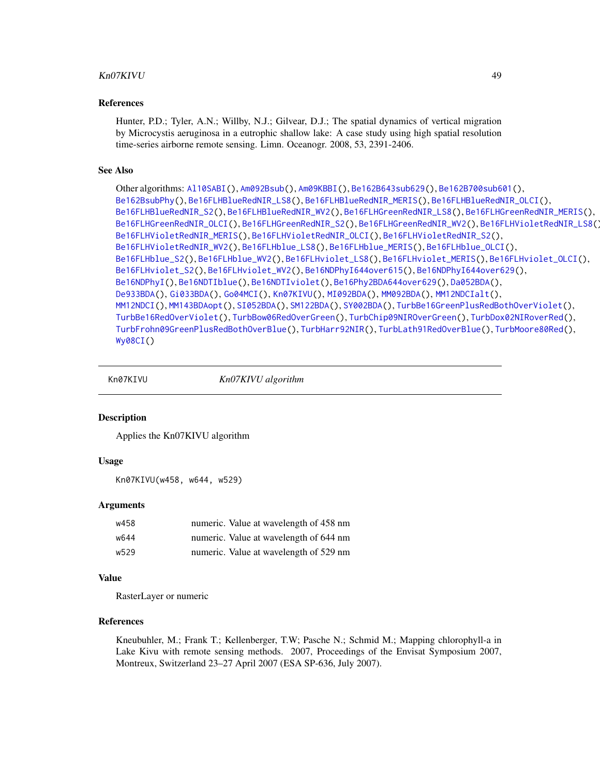# <span id="page-48-1"></span>Kn07KIVU 49

#### References

Hunter, P.D.; Tyler, A.N.; Willby, N.J.; Gilvear, D.J.; The spatial dynamics of vertical migration by Microcystis aeruginosa in a eutrophic shallow lake: A case study using high spatial resolution time-series airborne remote sensing. Limn. Oceanogr. 2008, 53, 2391-2406.

#### See Also

```
Other algorithms: Al10SABI(), Am092Bsub(), Am09KBBI(), Be162B643sub629(), Be162B700sub601(),
Be162BsubPhy(), Be16FLHBlueRedNIR_LS8(), Be16FLHBlueRedNIR_MERIS(), Be16FLHBlueRedNIR_OLCI(),
Be16FLHBlueRedNIR_S2(), Be16FLHBlueRedNIR_WV2(), Be16FLHGreenRedNIR_LS8(), Be16FLHGreenRedNIR_MERIS(),
Be16FLHGreenRedNIR_OLCI(), Be16FLHGreenRedNIR_S2(), Be16FLHGreenRedNIR_WV2(), Be16FLHVioletRedNIR_LS8(),
Be16FLHVioletRedNIR_MERIS(), Be16FLHVioletRedNIR_OLCI(), Be16FLHVioletRedNIR_S2(),
Be16FLHVioletRedNIR_WV2(), Be16FLHblue_LS8(), Be16FLHblue_MERIS(), Be16FLHblue_OLCI(),
Be16FLHblue_S2(), Be16FLHblue_WV2(), Be16FLHviolet_LS8(), Be16FLHviolet_MERIS(), Be16FLHviolet_OLCI(),
Be16FLHviolet_S2(), Be16FLHviolet_WV2(), Be16NDPhyI644over615(), Be16NDPhyI644over629(),
Be16NDPhyI(), Be16NDTIblue(), Be16NDTIviolet(), Be16Phy2BDA644over629(), Da052BDA(),
De933BDA(), Gi033BDA(), Go04MCI(), Kn07KIVU(), MI092BDA(), MM092BDA(), MM12NDCIalt(),
MM12NDCI(), MM143BDAopt(), SI052BDA(), SM122BDA(), SY002BDA(), TurbBe16GreenPlusRedBothOverViolet(),
TurbBe16RedOverViolet(), TurbBow06RedOverGreen(), TurbChip09NIROverGreen(), TurbDox02NIRoverRed(),
TurbFrohn09GreenPlusRedBothOverBlue(), TurbHarr92NIR(), TurbLath91RedOverBlue(), TurbMoore80Red(),
Wy08CI()
```
<span id="page-48-0"></span>

Kn07KIVU *Kn07KIVU algorithm*

#### Description

Applies the Kn07KIVU algorithm

#### Usage

```
Kn07KIVU(w458, w644, w529)
```
# Arguments

| w458 | numeric. Value at wavelength of 458 nm |
|------|----------------------------------------|
| w644 | numeric. Value at wavelength of 644 nm |
| w529 | numeric. Value at wavelength of 529 nm |

#### Value

RasterLayer or numeric

#### References

Kneubuhler, M.; Frank T.; Kellenberger, T.W; Pasche N.; Schmid M.; Mapping chlorophyll-a in Lake Kivu with remote sensing methods. 2007, Proceedings of the Envisat Symposium 2007, Montreux, Switzerland 23–27 April 2007 (ESA SP-636, July 2007).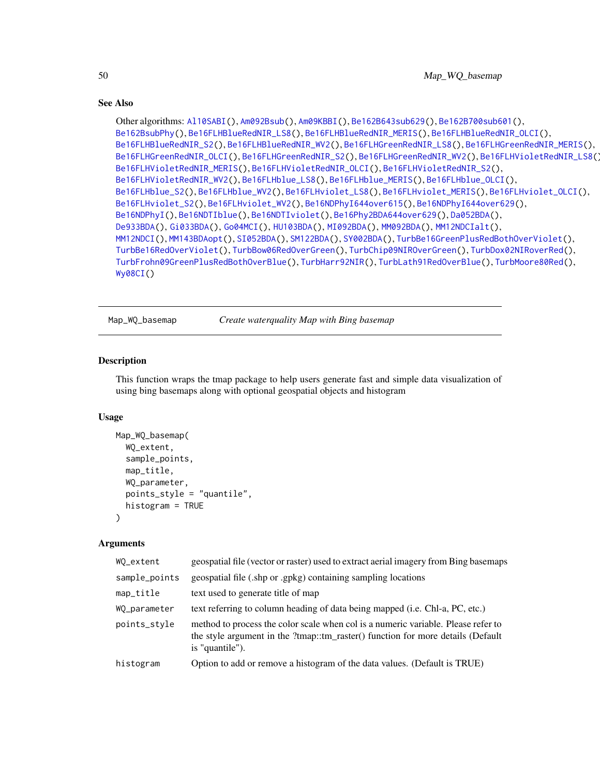```
Other algorithms: Al10SABI(), Am092Bsub(), Am09KBBI(), Be162B643sub629(), Be162B700sub601(),
Be162BsubPhy(), Be16FLHBlueRedNIR_LS8(), Be16FLHBlueRedNIR_MERIS(), Be16FLHBlueRedNIR_OLCI(),
Be16FLHBlueRedNIR_S2(), Be16FLHBlueRedNIR_WV2(), Be16FLHGreenRedNIR_LS8(), Be16FLHGreenRedNIR_MERIS(),
Be16FLHGreenRedNIR_OLCI(), Be16FLHGreenRedNIR_S2(), Be16FLHGreenRedNIR_WV2(), Be16FLHVioletRedNIR_LS8(),
Be16FLHVioletRedNIR_MERIS(), Be16FLHVioletRedNIR_OLCI(), Be16FLHVioletRedNIR_S2(),
Be16FLHVioletRedNIR_WV2(), Be16FLHblue_LS8(), Be16FLHblue_MERIS(), Be16FLHblue_OLCI(),
Be16FLHblue_S2(), Be16FLHblue_WV2(), Be16FLHviolet_LS8(), Be16FLHviolet_MERIS(), Be16FLHviolet_OLCI(),
Be16FLHviolet_S2(), Be16FLHviolet_WV2(), Be16NDPhyI644over615(), Be16NDPhyI644over629(),
Be16NDPhyI(), Be16NDTIblue(), Be16NDTIviolet(), Be16Phy2BDA644over629(), Da052BDA(),
De933BDA(), Gi033BDA(), Go04MCI(), HU103BDA(), MI092BDA(), MM092BDA(), MM12NDCIalt(),
MM12NDCI(), MM143BDAopt(), SI052BDA(), SM122BDA(), SY002BDA(), TurbBe16GreenPlusRedBothOverViolet(),
TurbBe16RedOverViolet(), TurbBow06RedOverGreen(), TurbChip09NIROverGreen(), TurbDox02NIRoverRed(),
TurbFrohn09GreenPlusRedBothOverBlue(), TurbHarr92NIR(), TurbLath91RedOverBlue(), TurbMoore80Red(),
Wy08CI()
```
<span id="page-49-0"></span>Map\_WQ\_basemap *Create waterquality Map with Bing basemap*

# Description

This function wraps the tmap package to help users generate fast and simple data visualization of using bing basemaps along with optional geospatial objects and histogram

# Usage

```
Map_WQ_basemap(
  WQ_extent,
  sample_points,
  map_title,
  WQ_parameter,
  points_style = "quantile",
  histogram = TRUE
)
```
### Arguments

| WO_extent     | geospatial file (vector or raster) used to extract aerial imagery from Bing basemaps                                                                                                    |
|---------------|-----------------------------------------------------------------------------------------------------------------------------------------------------------------------------------------|
| sample_points | geospatial file (.shp or .gpkg) containing sampling locations                                                                                                                           |
| map_title     | text used to generate title of map                                                                                                                                                      |
| WO_parameter  | text referring to column heading of data being mapped (i.e. Chl-a, PC, etc.)                                                                                                            |
| points_style  | method to process the color scale when col is a numeric variable. Please refer to<br>the style argument in the ?tmap::tm_raster() function for more details (Default<br>is "quantile"). |
| histogram     | Option to add or remove a histogram of the data values. (Default is TRUE)                                                                                                               |

<span id="page-49-1"></span>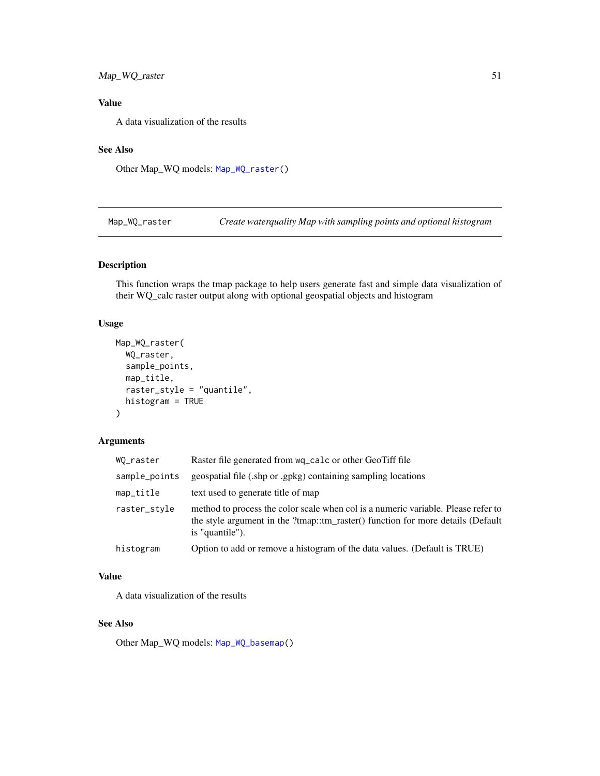# <span id="page-50-1"></span>Map\_WQ\_raster 51

# Value

A data visualization of the results

# See Also

Other Map\_WQ models: [Map\\_WQ\\_raster\(](#page-50-0))

<span id="page-50-0"></span>Map\_WQ\_raster *Create waterquality Map with sampling points and optional histogram*

# Description

This function wraps the tmap package to help users generate fast and simple data visualization of their WQ\_calc raster output along with optional geospatial objects and histogram

# Usage

```
Map_WQ_raster(
  WQ_raster,
  sample_points,
  map_title,
  raster_style = "quantile",
  histogram = TRUE
\mathcal{L}
```
# Arguments

| WQ_raster     | Raster file generated from wq_calc or other GeoTiff file                                                                                                                                |
|---------------|-----------------------------------------------------------------------------------------------------------------------------------------------------------------------------------------|
| sample_points | geospatial file (.shp or .gpkg) containing sampling locations                                                                                                                           |
| map_title     | text used to generate title of map                                                                                                                                                      |
| raster_stvle  | method to process the color scale when col is a numeric variable. Please refer to<br>the style argument in the ?tmap::tm_raster() function for more details (Default<br>is "quantile"). |
| histogram     | Option to add or remove a histogram of the data values. (Default is TRUE)                                                                                                               |

# Value

A data visualization of the results

# See Also

Other Map\_WQ models: [Map\\_WQ\\_basemap\(](#page-49-0))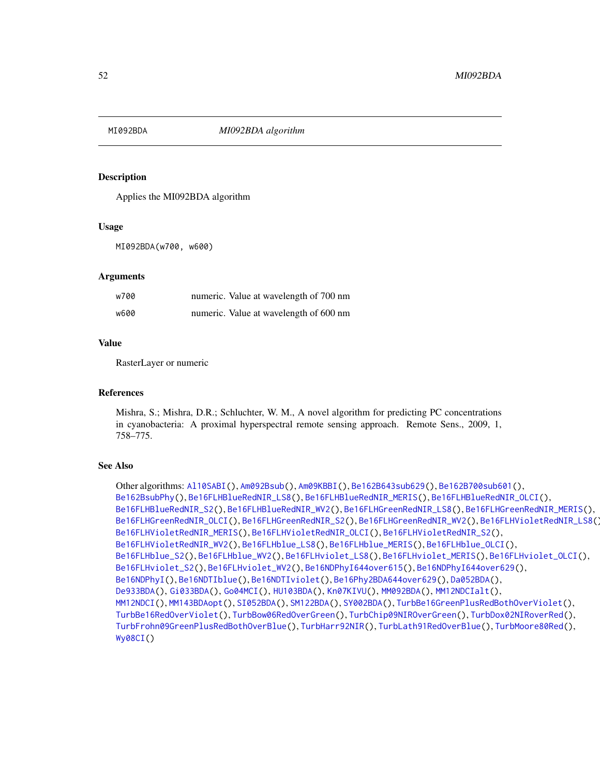<span id="page-51-1"></span><span id="page-51-0"></span>

Applies the MI092BDA algorithm

#### Usage

MI092BDA(w700, w600)

#### Arguments

| w700 | numeric. Value at wavelength of 700 nm |
|------|----------------------------------------|
| w600 | numeric. Value at wavelength of 600 nm |

# Value

RasterLayer or numeric

#### References

Mishra, S.; Mishra, D.R.; Schluchter, W. M., A novel algorithm for predicting PC concentrations in cyanobacteria: A proximal hyperspectral remote sensing approach. Remote Sens., 2009, 1, 758–775.

```
Other algorithms: Al10SABI(), Am092Bsub(), Am09KBBI(), Be162B643sub629(), Be162B700sub601(),
Be162BsubPhy(), Be16FLHBlueRedNIR_LS8(), Be16FLHBlueRedNIR_MERIS(), Be16FLHBlueRedNIR_OLCI(),
Be16FLHBlueRedNIR_S2(), Be16FLHBlueRedNIR_WV2(), Be16FLHGreenRedNIR_LS8(), Be16FLHGreenRedNIR_MERIS(),
Be16FLHGreenRedNIR_OLCI(), Be16FLHGreenRedNIR_S2(), Be16FLHGreenRedNIR_WV2(), Be16FLHVioletRedNIR_LS8(),
Be16FLHVioletRedNIR_MERIS(), Be16FLHVioletRedNIR_OLCI(), Be16FLHVioletRedNIR_S2(),
Be16FLHVioletRedNIR_WV2(), Be16FLHblue_LS8(), Be16FLHblue_MERIS(), Be16FLHblue_OLCI(),
Be16FLHblue_S2(), Be16FLHblue_WV2(), Be16FLHviolet_LS8(), Be16FLHviolet_MERIS(), Be16FLHviolet_OLCI(),
Be16FLHviolet_S2(), Be16FLHviolet_WV2(), Be16NDPhyI644over615(), Be16NDPhyI644over629(),
Be16NDPhyI(), Be16NDTIblue(), Be16NDTIviolet(), Be16Phy2BDA644over629(), Da052BDA(),
De933BDA(), Gi033BDA(), Go04MCI(), HU103BDA(), Kn07KIVU(), MM092BDA(), MM12NDCIalt(),
MM12NDCI(), MM143BDAopt(), SI052BDA(), SM122BDA(), SY002BDA(), TurbBe16GreenPlusRedBothOverViolet(),
TurbBe16RedOverViolet(), TurbBow06RedOverGreen(), TurbChip09NIROverGreen(), TurbDox02NIRoverRed(),
TurbFrohn09GreenPlusRedBothOverBlue(), TurbHarr92NIR(), TurbLath91RedOverBlue(), TurbMoore80Red(),
Wy08CI()
```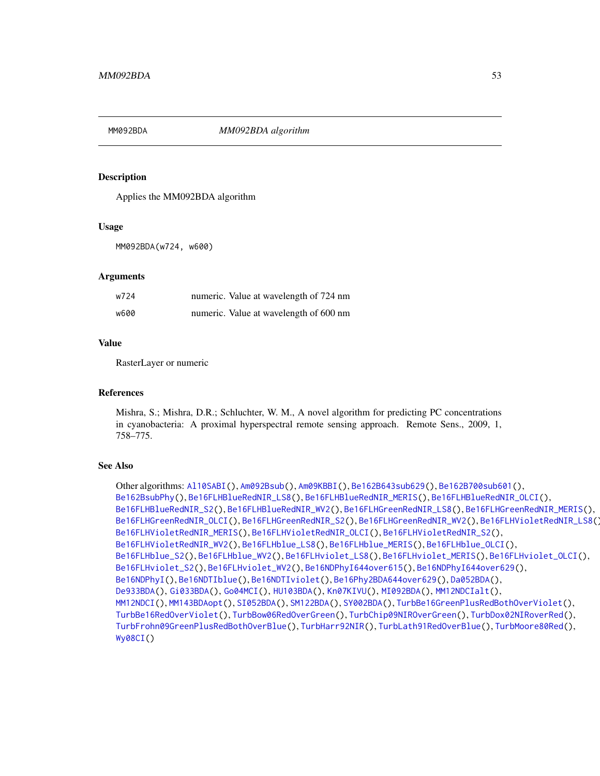<span id="page-52-1"></span><span id="page-52-0"></span>

Applies the MM092BDA algorithm

#### Usage

MM092BDA(w724, w600)

#### Arguments

| w724 | numeric. Value at wavelength of 724 nm |
|------|----------------------------------------|
| w600 | numeric. Value at wavelength of 600 nm |

#### Value

RasterLayer or numeric

#### References

Mishra, S.; Mishra, D.R.; Schluchter, W. M., A novel algorithm for predicting PC concentrations in cyanobacteria: A proximal hyperspectral remote sensing approach. Remote Sens., 2009, 1, 758–775.

```
Other algorithms: Al10SABI(), Am092Bsub(), Am09KBBI(), Be162B643sub629(), Be162B700sub601(),
Be162BsubPhy(), Be16FLHBlueRedNIR_LS8(), Be16FLHBlueRedNIR_MERIS(), Be16FLHBlueRedNIR_OLCI(),
Be16FLHBlueRedNIR_S2(), Be16FLHBlueRedNIR_WV2(), Be16FLHGreenRedNIR_LS8(), Be16FLHGreenRedNIR_MERIS(),
Be16FLHGreenRedNIR_OLCI(), Be16FLHGreenRedNIR_S2(), Be16FLHGreenRedNIR_WV2(), Be16FLHVioletRedNIR_LS8(),
Be16FLHVioletRedNIR_MERIS(), Be16FLHVioletRedNIR_OLCI(), Be16FLHVioletRedNIR_S2(),
Be16FLHVioletRedNIR_WV2(), Be16FLHblue_LS8(), Be16FLHblue_MERIS(), Be16FLHblue_OLCI(),
Be16FLHblue_S2(), Be16FLHblue_WV2(), Be16FLHviolet_LS8(), Be16FLHviolet_MERIS(), Be16FLHviolet_OLCI(),
Be16FLHviolet_S2(), Be16FLHviolet_WV2(), Be16NDPhyI644over615(), Be16NDPhyI644over629(),
Be16NDPhyI(), Be16NDTIblue(), Be16NDTIviolet(), Be16Phy2BDA644over629(), Da052BDA(),
De933BDA(), Gi033BDA(), Go04MCI(), HU103BDA(), Kn07KIVU(), MI092BDA(), MM12NDCIalt(),
MM12NDCI(), MM143BDAopt(), SI052BDA(), SM122BDA(), SY002BDA(), TurbBe16GreenPlusRedBothOverViolet(),
TurbBe16RedOverViolet(), TurbBow06RedOverGreen(), TurbChip09NIROverGreen(), TurbDox02NIRoverRed(),
TurbFrohn09GreenPlusRedBothOverBlue(), TurbHarr92NIR(), TurbLath91RedOverBlue(), TurbMoore80Red(),
Wy08CI()
```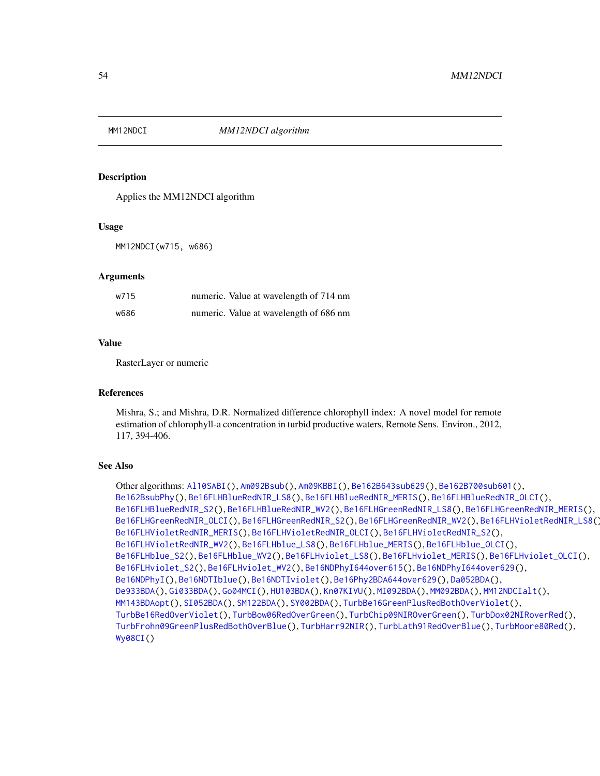<span id="page-53-1"></span><span id="page-53-0"></span>

Applies the MM12NDCI algorithm

#### Usage

MM12NDCI(w715, w686)

#### Arguments

| w715 | numeric. Value at wavelength of 714 nm |
|------|----------------------------------------|
| w686 | numeric. Value at wavelength of 686 nm |

#### Value

RasterLayer or numeric

#### References

Mishra, S.; and Mishra, D.R. Normalized difference chlorophyll index: A novel model for remote estimation of chlorophyll-a concentration in turbid productive waters, Remote Sens. Environ., 2012, 117, 394-406.

```
Other algorithms: Al10SABI(), Am092Bsub(), Am09KBBI(), Be162B643sub629(), Be162B700sub601(),
Be162BsubPhy(), Be16FLHBlueRedNIR_LS8(), Be16FLHBlueRedNIR_MERIS(), Be16FLHBlueRedNIR_OLCI(),
Be16FLHBlueRedNIR_S2(), Be16FLHBlueRedNIR_WV2(), Be16FLHGreenRedNIR_LS8(), Be16FLHGreenRedNIR_MERIS(),
Be16FLHGreenRedNIR_OLCI(), Be16FLHGreenRedNIR_S2(), Be16FLHGreenRedNIR_WV2(), Be16FLHVioletRedNIR_LS8(),
Be16FLHVioletRedNIR_MERIS(), Be16FLHVioletRedNIR_OLCI(), Be16FLHVioletRedNIR_S2(),
Be16FLHVioletRedNIR_WV2(), Be16FLHblue_LS8(), Be16FLHblue_MERIS(), Be16FLHblue_OLCI(),
Be16FLHblue_S2(), Be16FLHblue_WV2(), Be16FLHviolet_LS8(), Be16FLHviolet_MERIS(), Be16FLHviolet_OLCI(),
Be16FLHviolet_S2(), Be16FLHviolet_WV2(), Be16NDPhyI644over615(), Be16NDPhyI644over629(),
Be16NDPhyI(), Be16NDTIblue(), Be16NDTIviolet(), Be16Phy2BDA644over629(), Da052BDA(),
De933BDA(), Gi033BDA(), Go04MCI(), HU103BDA(), Kn07KIVU(), MI092BDA(), MM092BDA(), MM12NDCIalt(),
MM143BDAopt(), SI052BDA(), SM122BDA(), SY002BDA(), TurbBe16GreenPlusRedBothOverViolet(),
TurbBe16RedOverViolet(), TurbBow06RedOverGreen(), TurbChip09NIROverGreen(), TurbDox02NIRoverRed(),
TurbFrohn09GreenPlusRedBothOverBlue(), TurbHarr92NIR(), TurbLath91RedOverBlue(), TurbMoore80Red(),
Wy08CI()
```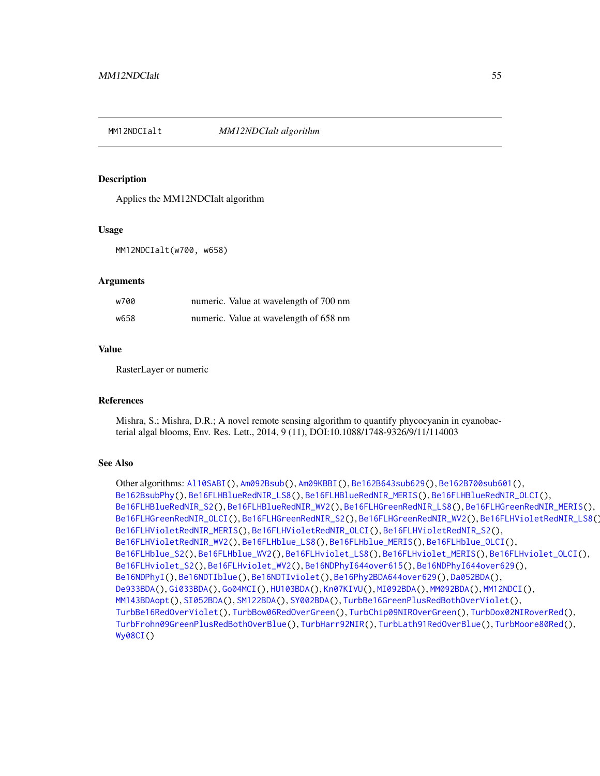<span id="page-54-1"></span><span id="page-54-0"></span>

Applies the MM12NDCIalt algorithm

#### Usage

MM12NDCIalt(w700, w658)

# **Arguments**

| w700 | numeric. Value at wavelength of 700 nm |
|------|----------------------------------------|
| w658 | numeric. Value at wavelength of 658 nm |

# Value

RasterLayer or numeric

#### References

Mishra, S.; Mishra, D.R.; A novel remote sensing algorithm to quantify phycocyanin in cyanobacterial algal blooms, Env. Res. Lett., 2014, 9 (11), DOI:10.1088/1748-9326/9/11/114003

# See Also

Other algorithms: [Al10SABI\(](#page-2-0)), [Am092Bsub\(](#page-3-0)), [Am09KBBI\(](#page-4-0)), [Be162B643sub629\(](#page-5-0)), [Be162B700sub601\(](#page-6-0)), [Be162BsubPhy\(](#page-7-0)), [Be16FLHBlueRedNIR\\_LS8\(](#page-8-0)), [Be16FLHBlueRedNIR\\_MERIS\(](#page-9-0)), [Be16FLHBlueRedNIR\\_OLCI\(](#page-10-0)), [Be16FLHBlueRedNIR\\_S2\(](#page-11-0)), [Be16FLHBlueRedNIR\\_WV2\(](#page-12-0)), [Be16FLHGreenRedNIR\\_LS8\(](#page-18-0)), [Be16FLHGreenRedNIR\\_MERIS\(](#page-19-0)), [Be16FLHGreenRedNIR\\_OLCI\(](#page-20-0)), [Be16FLHGreenRedNIR\\_S2\(](#page-21-0)), [Be16FLHGreenRedNIR\\_WV2\(](#page-22-0)), [Be16FLHVioletRedNIR\\_LS8\(](#page-23-0)), [Be16FLHVioletRedNIR\\_MERIS\(](#page-24-0)), [Be16FLHVioletRedNIR\\_OLCI\(](#page-25-0)), [Be16FLHVioletRedNIR\\_S2\(](#page-26-0)), [Be16FLHVioletRedNIR\\_WV2\(](#page-27-0)), [Be16FLHblue\\_LS8\(](#page-13-0)), [Be16FLHblue\\_MERIS\(](#page-14-0)), [Be16FLHblue\\_OLCI\(](#page-15-0)), [Be16FLHblue\\_S2\(](#page-16-0)), [Be16FLHblue\\_WV2\(](#page-17-0)), [Be16FLHviolet\\_LS8\(](#page-28-0)), [Be16FLHviolet\\_MERIS\(](#page-29-0)), [Be16FLHviolet\\_OLCI\(](#page-30-0)), [Be16FLHviolet\\_S2\(](#page-31-0)), [Be16FLHviolet\\_WV2\(](#page-32-0)), [Be16NDPhyI644over615\(](#page-34-0)), [Be16NDPhyI644over629\(](#page-35-0)), [Be16NDPhyI\(](#page-33-0)), [Be16NDTIblue\(](#page-36-0)), [Be16NDTIviolet\(](#page-37-0)), [Be16Phy2BDA644over629\(](#page-38-0)), [Da052BDA\(](#page-39-0)), [De933BDA\(](#page-40-0)), [Gi033BDA\(](#page-45-0)), [Go04MCI\(](#page-46-0)), [HU103BDA\(](#page-47-0)), [Kn07KIVU\(](#page-48-0)), [MI092BDA\(](#page-51-0)), [MM092BDA\(](#page-52-0)), [MM12NDCI\(](#page-53-0)), [MM143BDAopt\(](#page-55-0)), [SI052BDA\(](#page-56-0)), [SM122BDA\(](#page-57-0)), [SY002BDA\(](#page-58-0)), [TurbBe16GreenPlusRedBothOverViolet\(](#page-59-0)), [TurbBe16RedOverViolet\(](#page-60-0)), [TurbBow06RedOverGreen\(](#page-61-0)), [TurbChip09NIROverGreen\(](#page-62-0)), [TurbDox02NIRoverRed\(](#page-63-0)), [TurbFrohn09GreenPlusRedBothOverBlue\(](#page-64-0)), [TurbHarr92NIR\(](#page-65-0)), [TurbLath91RedOverBlue\(](#page-66-0)), [TurbMoore80Red\(](#page-67-0)), [Wy08CI\(](#page-69-0))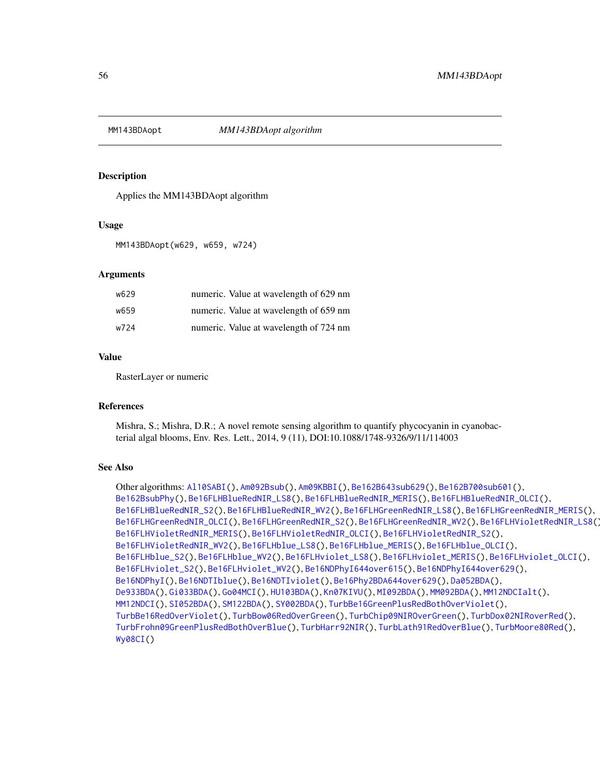<span id="page-55-1"></span><span id="page-55-0"></span>

Applies the MM143BDAopt algorithm

# Usage

MM143BDAopt(w629, w659, w724)

# Arguments

| w629 | numeric. Value at wavelength of 629 nm |
|------|----------------------------------------|
| w659 | numeric. Value at wavelength of 659 nm |
| w724 | numeric. Value at wavelength of 724 nm |

# Value

RasterLayer or numeric

#### References

Mishra, S.; Mishra, D.R.; A novel remote sensing algorithm to quantify phycocyanin in cyanobacterial algal blooms, Env. Res. Lett., 2014, 9 (11), DOI:10.1088/1748-9326/9/11/114003

```
Other algorithms: Al10SABI(), Am092Bsub(), Am09KBBI(), Be162B643sub629(), Be162B700sub601(),
Be162BsubPhy(), Be16FLHBlueRedNIR_LS8(), Be16FLHBlueRedNIR_MERIS(), Be16FLHBlueRedNIR_OLCI(),
Be16FLHBlueRedNIR_S2(), Be16FLHBlueRedNIR_WV2(), Be16FLHGreenRedNIR_LS8(), Be16FLHGreenRedNIR_MERIS(),
Be16FLHGreenRedNIR_OLCI(), Be16FLHGreenRedNIR_S2(), Be16FLHGreenRedNIR_WV2(), Be16FLHVioletRedNIR_LS8(),
Be16FLHVioletRedNIR_MERIS(), Be16FLHVioletRedNIR_OLCI(), Be16FLHVioletRedNIR_S2(),
Be16FLHVioletRedNIR_WV2(), Be16FLHblue_LS8(), Be16FLHblue_MERIS(), Be16FLHblue_OLCI(),
Be16FLHblue_S2(), Be16FLHblue_WV2(), Be16FLHviolet_LS8(), Be16FLHviolet_MERIS(), Be16FLHviolet_OLCI(),
Be16FLHviolet_S2(), Be16FLHviolet_WV2(), Be16NDPhyI644over615(), Be16NDPhyI644over629(),
Be16NDPhyI(), Be16NDTIblue(), Be16NDTIviolet(), Be16Phy2BDA644over629(), Da052BDA(),
De933BDA(), Gi033BDA(), Go04MCI(), HU103BDA(), Kn07KIVU(), MI092BDA(), MM092BDA(), MM12NDCIalt(),
MM12NDCI(), SI052BDA(), SM122BDA(), SY002BDA(), TurbBe16GreenPlusRedBothOverViolet(),
TurbBe16RedOverViolet(), TurbBow06RedOverGreen(), TurbChip09NIROverGreen(), TurbDox02NIRoverRed(),
TurbFrohn09GreenPlusRedBothOverBlue(), TurbHarr92NIR(), TurbLath91RedOverBlue(), TurbMoore80Red(),
Wy08CI()
```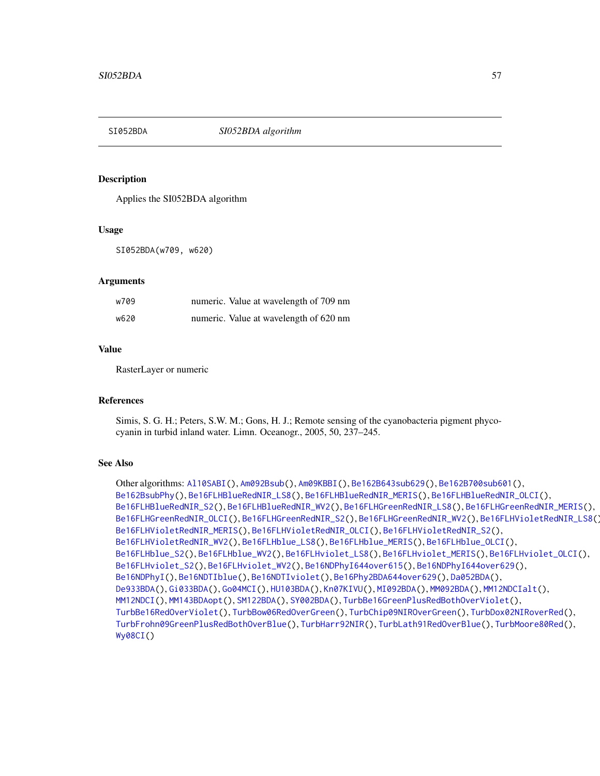<span id="page-56-1"></span><span id="page-56-0"></span>

Applies the SI052BDA algorithm

#### Usage

SI052BDA(w709, w620)

# **Arguments**

| w709 | numeric. Value at wavelength of 709 nm |
|------|----------------------------------------|
| w620 | numeric. Value at wavelength of 620 nm |

# Value

RasterLayer or numeric

#### References

Simis, S. G. H.; Peters, S.W. M.; Gons, H. J.; Remote sensing of the cyanobacteria pigment phycocyanin in turbid inland water. Limn. Oceanogr., 2005, 50, 237–245.

# See Also

Other algorithms: [Al10SABI\(](#page-2-0)), [Am092Bsub\(](#page-3-0)), [Am09KBBI\(](#page-4-0)), [Be162B643sub629\(](#page-5-0)), [Be162B700sub601\(](#page-6-0)), [Be162BsubPhy\(](#page-7-0)), [Be16FLHBlueRedNIR\\_LS8\(](#page-8-0)), [Be16FLHBlueRedNIR\\_MERIS\(](#page-9-0)), [Be16FLHBlueRedNIR\\_OLCI\(](#page-10-0)), [Be16FLHBlueRedNIR\\_S2\(](#page-11-0)), [Be16FLHBlueRedNIR\\_WV2\(](#page-12-0)), [Be16FLHGreenRedNIR\\_LS8\(](#page-18-0)), [Be16FLHGreenRedNIR\\_MERIS\(](#page-19-0)), [Be16FLHGreenRedNIR\\_OLCI\(](#page-20-0)), [Be16FLHGreenRedNIR\\_S2\(](#page-21-0)), [Be16FLHGreenRedNIR\\_WV2\(](#page-22-0)), [Be16FLHVioletRedNIR\\_LS8\(](#page-23-0)), [Be16FLHVioletRedNIR\\_MERIS\(](#page-24-0)), [Be16FLHVioletRedNIR\\_OLCI\(](#page-25-0)), [Be16FLHVioletRedNIR\\_S2\(](#page-26-0)), [Be16FLHVioletRedNIR\\_WV2\(](#page-27-0)), [Be16FLHblue\\_LS8\(](#page-13-0)), [Be16FLHblue\\_MERIS\(](#page-14-0)), [Be16FLHblue\\_OLCI\(](#page-15-0)), [Be16FLHblue\\_S2\(](#page-16-0)), [Be16FLHblue\\_WV2\(](#page-17-0)), [Be16FLHviolet\\_LS8\(](#page-28-0)), [Be16FLHviolet\\_MERIS\(](#page-29-0)), [Be16FLHviolet\\_OLCI\(](#page-30-0)), [Be16FLHviolet\\_S2\(](#page-31-0)), [Be16FLHviolet\\_WV2\(](#page-32-0)), [Be16NDPhyI644over615\(](#page-34-0)), [Be16NDPhyI644over629\(](#page-35-0)), [Be16NDPhyI\(](#page-33-0)), [Be16NDTIblue\(](#page-36-0)), [Be16NDTIviolet\(](#page-37-0)), [Be16Phy2BDA644over629\(](#page-38-0)), [Da052BDA\(](#page-39-0)), [De933BDA\(](#page-40-0)), [Gi033BDA\(](#page-45-0)), [Go04MCI\(](#page-46-0)), [HU103BDA\(](#page-47-0)), [Kn07KIVU\(](#page-48-0)), [MI092BDA\(](#page-51-0)), [MM092BDA\(](#page-52-0)), [MM12NDCIalt\(](#page-54-0)), [MM12NDCI\(](#page-53-0)), [MM143BDAopt\(](#page-55-0)), [SM122BDA\(](#page-57-0)), [SY002BDA\(](#page-58-0)), [TurbBe16GreenPlusRedBothOverViolet\(](#page-59-0)), [TurbBe16RedOverViolet\(](#page-60-0)), [TurbBow06RedOverGreen\(](#page-61-0)), [TurbChip09NIROverGreen\(](#page-62-0)), [TurbDox02NIRoverRed\(](#page-63-0)), [TurbFrohn09GreenPlusRedBothOverBlue\(](#page-64-0)), [TurbHarr92NIR\(](#page-65-0)), [TurbLath91RedOverBlue\(](#page-66-0)), [TurbMoore80Red\(](#page-67-0)), [Wy08CI\(](#page-69-0))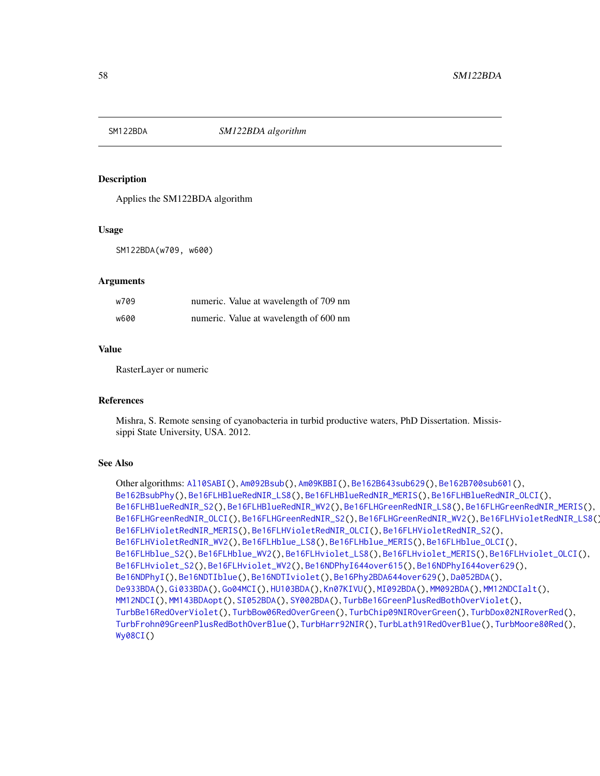<span id="page-57-1"></span><span id="page-57-0"></span>

Applies the SM122BDA algorithm

#### Usage

SM122BDA(w709, w600)

# **Arguments**

| w709 | numeric. Value at wavelength of 709 nm |
|------|----------------------------------------|
| w600 | numeric. Value at wavelength of 600 nm |

# Value

RasterLayer or numeric

#### References

Mishra, S. Remote sensing of cyanobacteria in turbid productive waters, PhD Dissertation. Mississippi State University, USA. 2012.

```
Other algorithms: Al10SABI(), Am092Bsub(), Am09KBBI(), Be162B643sub629(), Be162B700sub601(),
Be162BsubPhy(), Be16FLHBlueRedNIR_LS8(), Be16FLHBlueRedNIR_MERIS(), Be16FLHBlueRedNIR_OLCI(),
Be16FLHBlueRedNIR_S2(), Be16FLHBlueRedNIR_WV2(), Be16FLHGreenRedNIR_LS8(), Be16FLHGreenRedNIR_MERIS(),
Be16FLHGreenRedNIR_OLCI(), Be16FLHGreenRedNIR_S2(), Be16FLHGreenRedNIR_WV2(), Be16FLHVioletRedNIR_LS8(),
Be16FLHVioletRedNIR_MERIS(), Be16FLHVioletRedNIR_OLCI(), Be16FLHVioletRedNIR_S2(),
Be16FLHVioletRedNIR_WV2(), Be16FLHblue_LS8(), Be16FLHblue_MERIS(), Be16FLHblue_OLCI(),
Be16FLHblue_S2(), Be16FLHblue_WV2(), Be16FLHviolet_LS8(), Be16FLHviolet_MERIS(), Be16FLHviolet_OLCI(),
Be16FLHviolet_S2(), Be16FLHviolet_WV2(), Be16NDPhyI644over615(), Be16NDPhyI644over629(),
Be16NDPhyI(), Be16NDTIblue(), Be16NDTIviolet(), Be16Phy2BDA644over629(), Da052BDA(),
De933BDA(), Gi033BDA(), Go04MCI(), HU103BDA(), Kn07KIVU(), MI092BDA(), MM092BDA(), MM12NDCIalt(),
MM12NDCI(), MM143BDAopt(), SI052BDA(), SY002BDA(), TurbBe16GreenPlusRedBothOverViolet(),
TurbBe16RedOverViolet(), TurbBow06RedOverGreen(), TurbChip09NIROverGreen(), TurbDox02NIRoverRed(),
TurbFrohn09GreenPlusRedBothOverBlue(), TurbHarr92NIR(), TurbLath91RedOverBlue(), TurbMoore80Red(),
Wy08CI()
```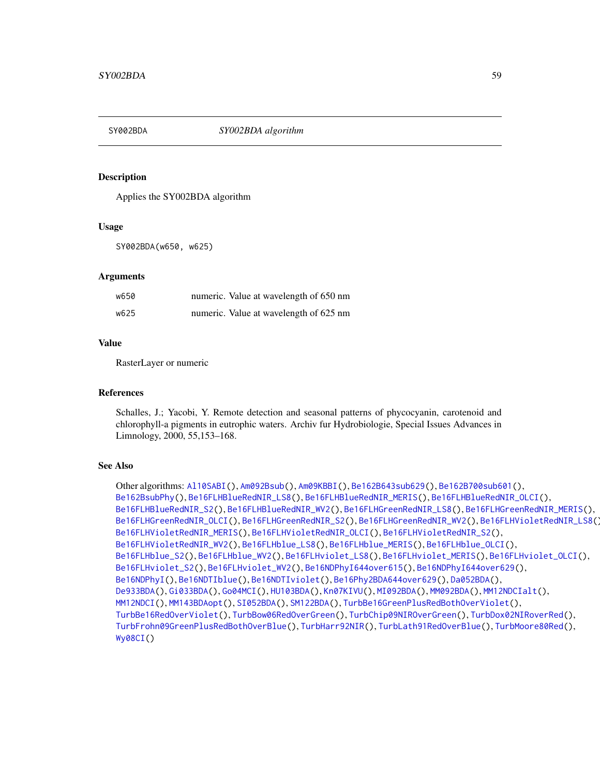<span id="page-58-1"></span><span id="page-58-0"></span>

Applies the SY002BDA algorithm

#### Usage

SY002BDA(w650, w625)

#### Arguments

| w650 | numeric. Value at wavelength of 650 nm |
|------|----------------------------------------|
| w625 | numeric. Value at wavelength of 625 nm |

#### Value

RasterLayer or numeric

#### References

Schalles, J.; Yacobi, Y. Remote detection and seasonal patterns of phycocyanin, carotenoid and chlorophyll-a pigments in eutrophic waters. Archiv fur Hydrobiologie, Special Issues Advances in Limnology, 2000, 55,153–168.

```
Other algorithms: Al10SABI(), Am092Bsub(), Am09KBBI(), Be162B643sub629(), Be162B700sub601(),
Be162BsubPhy(), Be16FLHBlueRedNIR_LS8(), Be16FLHBlueRedNIR_MERIS(), Be16FLHBlueRedNIR_OLCI(),
Be16FLHBlueRedNIR_S2(), Be16FLHBlueRedNIR_WV2(), Be16FLHGreenRedNIR_LS8(), Be16FLHGreenRedNIR_MERIS(),
Be16FLHGreenRedNIR_OLCI(), Be16FLHGreenRedNIR_S2(), Be16FLHGreenRedNIR_WV2(), Be16FLHVioletRedNIR_LS8(),
Be16FLHVioletRedNIR_MERIS(), Be16FLHVioletRedNIR_OLCI(), Be16FLHVioletRedNIR_S2(),
Be16FLHVioletRedNIR_WV2(), Be16FLHblue_LS8(), Be16FLHblue_MERIS(), Be16FLHblue_OLCI(),
Be16FLHblue_S2(), Be16FLHblue_WV2(), Be16FLHviolet_LS8(), Be16FLHviolet_MERIS(), Be16FLHviolet_OLCI(),
Be16FLHviolet_S2(), Be16FLHviolet_WV2(), Be16NDPhyI644over615(), Be16NDPhyI644over629(),
Be16NDPhyI(), Be16NDTIblue(), Be16NDTIviolet(), Be16Phy2BDA644over629(), Da052BDA(),
De933BDA(), Gi033BDA(), Go04MCI(), HU103BDA(), Kn07KIVU(), MI092BDA(), MM092BDA(), MM12NDCIalt(),
MM12NDCI(), MM143BDAopt(), SI052BDA(), SM122BDA(), TurbBe16GreenPlusRedBothOverViolet(),
TurbBe16RedOverViolet(), TurbBow06RedOverGreen(), TurbChip09NIROverGreen(), TurbDox02NIRoverRed(),
TurbFrohn09GreenPlusRedBothOverBlue(), TurbHarr92NIR(), TurbLath91RedOverBlue(), TurbMoore80Red(),
Wy08CI()
```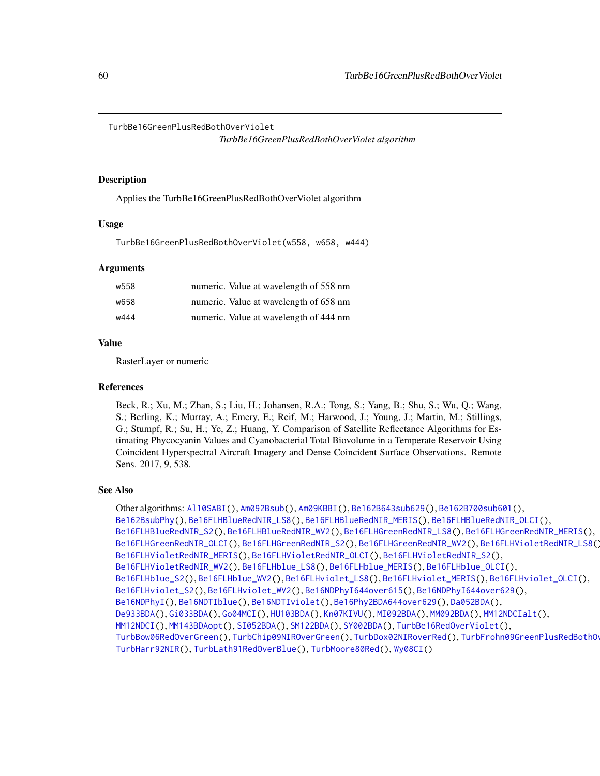<span id="page-59-1"></span><span id="page-59-0"></span>TurbBe16GreenPlusRedBothOverViolet

*TurbBe16GreenPlusRedBothOverViolet algorithm*

#### Description

Applies the TurbBe16GreenPlusRedBothOverViolet algorithm

#### Usage

TurbBe16GreenPlusRedBothOverViolet(w558, w658, w444)

#### Arguments

| w558 | numeric. Value at wavelength of 558 nm |
|------|----------------------------------------|
| w658 | numeric. Value at wavelength of 658 nm |
| w444 | numeric. Value at wavelength of 444 nm |

#### Value

RasterLayer or numeric

#### References

Beck, R.; Xu, M.; Zhan, S.; Liu, H.; Johansen, R.A.; Tong, S.; Yang, B.; Shu, S.; Wu, Q.; Wang, S.; Berling, K.; Murray, A.; Emery, E.; Reif, M.; Harwood, J.; Young, J.; Martin, M.; Stillings, G.; Stumpf, R.; Su, H.; Ye, Z.; Huang, Y. Comparison of Satellite Reflectance Algorithms for Estimating Phycocyanin Values and Cyanobacterial Total Biovolume in a Temperate Reservoir Using Coincident Hyperspectral Aircraft Imagery and Dense Coincident Surface Observations. Remote Sens. 2017, 9, 538.

# See Also

Other algorithms: [Al10SABI\(](#page-2-0)), [Am092Bsub\(](#page-3-0)), [Am09KBBI\(](#page-4-0)), [Be162B643sub629\(](#page-5-0)), [Be162B700sub601\(](#page-6-0)), [Be162BsubPhy\(](#page-7-0)), [Be16FLHBlueRedNIR\\_LS8\(](#page-8-0)), [Be16FLHBlueRedNIR\\_MERIS\(](#page-9-0)), [Be16FLHBlueRedNIR\\_OLCI\(](#page-10-0)), [Be16FLHBlueRedNIR\\_S2\(](#page-11-0)), [Be16FLHBlueRedNIR\\_WV2\(](#page-12-0)), [Be16FLHGreenRedNIR\\_LS8\(](#page-18-0)), [Be16FLHGreenRedNIR\\_MERIS\(](#page-19-0)), [Be16FLHGreenRedNIR\\_OLCI\(](#page-20-0)), [Be16FLHGreenRedNIR\\_S2\(](#page-21-0)), [Be16FLHGreenRedNIR\\_WV2\(](#page-22-0)), [Be16FLHVioletRedNIR\\_LS8\(](#page-23-0)), [Be16FLHVioletRedNIR\\_MERIS\(](#page-24-0)), [Be16FLHVioletRedNIR\\_OLCI\(](#page-25-0)), [Be16FLHVioletRedNIR\\_S2\(](#page-26-0)), [Be16FLHVioletRedNIR\\_WV2\(](#page-27-0)), [Be16FLHblue\\_LS8\(](#page-13-0)), [Be16FLHblue\\_MERIS\(](#page-14-0)), [Be16FLHblue\\_OLCI\(](#page-15-0)), [Be16FLHblue\\_S2\(](#page-16-0)), [Be16FLHblue\\_WV2\(](#page-17-0)), [Be16FLHviolet\\_LS8\(](#page-28-0)), [Be16FLHviolet\\_MERIS\(](#page-29-0)), [Be16FLHviolet\\_OLCI\(](#page-30-0)), [Be16FLHviolet\\_S2\(](#page-31-0)), [Be16FLHviolet\\_WV2\(](#page-32-0)), [Be16NDPhyI644over615\(](#page-34-0)), [Be16NDPhyI644over629\(](#page-35-0)), [Be16NDPhyI\(](#page-33-0)), [Be16NDTIblue\(](#page-36-0)), [Be16NDTIviolet\(](#page-37-0)), [Be16Phy2BDA644over629\(](#page-38-0)), [Da052BDA\(](#page-39-0)), [De933BDA\(](#page-40-0)), [Gi033BDA\(](#page-45-0)), [Go04MCI\(](#page-46-0)), [HU103BDA\(](#page-47-0)), [Kn07KIVU\(](#page-48-0)), [MI092BDA\(](#page-51-0)), [MM092BDA\(](#page-52-0)), [MM12NDCIalt\(](#page-54-0)), [MM12NDCI\(](#page-53-0)), [MM143BDAopt\(](#page-55-0)), [SI052BDA\(](#page-56-0)), [SM122BDA\(](#page-57-0)), [SY002BDA\(](#page-58-0)), [TurbBe16RedOverViolet\(](#page-60-0)), [TurbBow06RedOverGreen\(](#page-61-0)), [TurbChip09NIROverGreen\(](#page-62-0)), [TurbDox02NIRoverRed\(](#page-63-0)), [TurbFrohn09GreenPlusRedBothOverBlue\(](#page-64-0)), [TurbHarr92NIR\(](#page-65-0)), [TurbLath91RedOverBlue\(](#page-66-0)), [TurbMoore80Red\(](#page-67-0)), [Wy08CI\(](#page-69-0))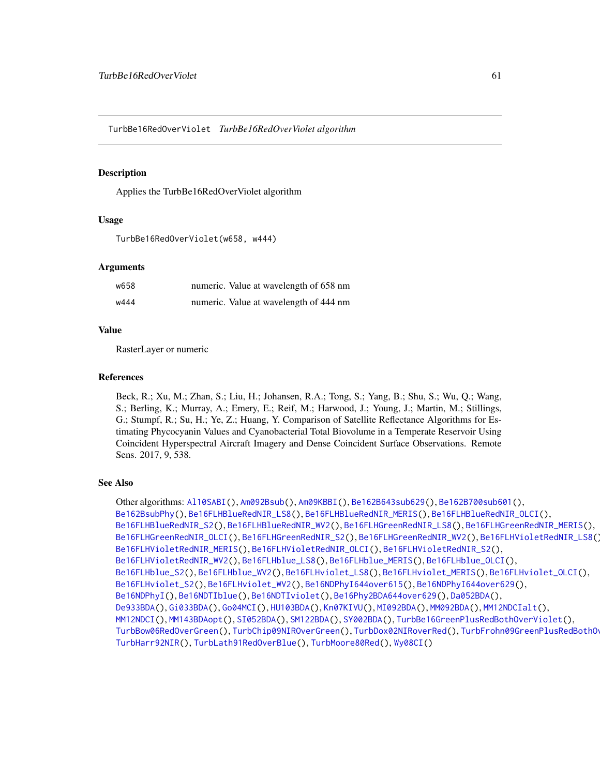<span id="page-60-1"></span><span id="page-60-0"></span>TurbBe16RedOverViolet *TurbBe16RedOverViolet algorithm*

# **Description**

Applies the TurbBe16RedOverViolet algorithm

# Usage

```
TurbBe16RedOverViolet(w658, w444)
```
#### Arguments

| w658 | numeric. Value at wavelength of 658 nm |
|------|----------------------------------------|
| w444 | numeric. Value at wavelength of 444 nm |

#### Value

RasterLayer or numeric

# References

Beck, R.; Xu, M.; Zhan, S.; Liu, H.; Johansen, R.A.; Tong, S.; Yang, B.; Shu, S.; Wu, Q.; Wang, S.; Berling, K.; Murray, A.; Emery, E.; Reif, M.; Harwood, J.; Young, J.; Martin, M.; Stillings, G.; Stumpf, R.; Su, H.; Ye, Z.; Huang, Y. Comparison of Satellite Reflectance Algorithms for Estimating Phycocyanin Values and Cyanobacterial Total Biovolume in a Temperate Reservoir Using Coincident Hyperspectral Aircraft Imagery and Dense Coincident Surface Observations. Remote Sens. 2017, 9, 538.

# See Also

Other algorithms: [Al10SABI\(](#page-2-0)), [Am092Bsub\(](#page-3-0)), [Am09KBBI\(](#page-4-0)), [Be162B643sub629\(](#page-5-0)), [Be162B700sub601\(](#page-6-0)), [Be162BsubPhy\(](#page-7-0)), [Be16FLHBlueRedNIR\\_LS8\(](#page-8-0)), [Be16FLHBlueRedNIR\\_MERIS\(](#page-9-0)), [Be16FLHBlueRedNIR\\_OLCI\(](#page-10-0)), [Be16FLHBlueRedNIR\\_S2\(](#page-11-0)), [Be16FLHBlueRedNIR\\_WV2\(](#page-12-0)), [Be16FLHGreenRedNIR\\_LS8\(](#page-18-0)), [Be16FLHGreenRedNIR\\_MERIS\(](#page-19-0)), [Be16FLHGreenRedNIR\\_OLCI\(](#page-20-0)), [Be16FLHGreenRedNIR\\_S2\(](#page-21-0)), [Be16FLHGreenRedNIR\\_WV2\(](#page-22-0)), [Be16FLHVioletRedNIR\\_LS8\(](#page-23-0)), [Be16FLHVioletRedNIR\\_MERIS\(](#page-24-0)), [Be16FLHVioletRedNIR\\_OLCI\(](#page-25-0)), [Be16FLHVioletRedNIR\\_S2\(](#page-26-0)), [Be16FLHVioletRedNIR\\_WV2\(](#page-27-0)), [Be16FLHblue\\_LS8\(](#page-13-0)), [Be16FLHblue\\_MERIS\(](#page-14-0)), [Be16FLHblue\\_OLCI\(](#page-15-0)), [Be16FLHblue\\_S2\(](#page-16-0)), [Be16FLHblue\\_WV2\(](#page-17-0)), [Be16FLHviolet\\_LS8\(](#page-28-0)), [Be16FLHviolet\\_MERIS\(](#page-29-0)), [Be16FLHviolet\\_OLCI\(](#page-30-0)), [Be16FLHviolet\\_S2\(](#page-31-0)), [Be16FLHviolet\\_WV2\(](#page-32-0)), [Be16NDPhyI644over615\(](#page-34-0)), [Be16NDPhyI644over629\(](#page-35-0)), [Be16NDPhyI\(](#page-33-0)), [Be16NDTIblue\(](#page-36-0)), [Be16NDTIviolet\(](#page-37-0)), [Be16Phy2BDA644over629\(](#page-38-0)), [Da052BDA\(](#page-39-0)), [De933BDA\(](#page-40-0)), [Gi033BDA\(](#page-45-0)), [Go04MCI\(](#page-46-0)), [HU103BDA\(](#page-47-0)), [Kn07KIVU\(](#page-48-0)), [MI092BDA\(](#page-51-0)), [MM092BDA\(](#page-52-0)), [MM12NDCIalt\(](#page-54-0)), [MM12NDCI\(](#page-53-0)), [MM143BDAopt\(](#page-55-0)), [SI052BDA\(](#page-56-0)), [SM122BDA\(](#page-57-0)), [SY002BDA\(](#page-58-0)), [TurbBe16GreenPlusRedBothOverViolet\(](#page-59-0)), [TurbBow06RedOverGreen\(](#page-61-0)), [TurbChip09NIROverGreen\(](#page-62-0)), [TurbDox02NIRoverRed\(](#page-63-0)), [TurbFrohn09GreenPlusRedBothOverBlue\(](#page-64-0)), [TurbHarr92NIR\(](#page-65-0)), [TurbLath91RedOverBlue\(](#page-66-0)), [TurbMoore80Red\(](#page-67-0)), [Wy08CI\(](#page-69-0))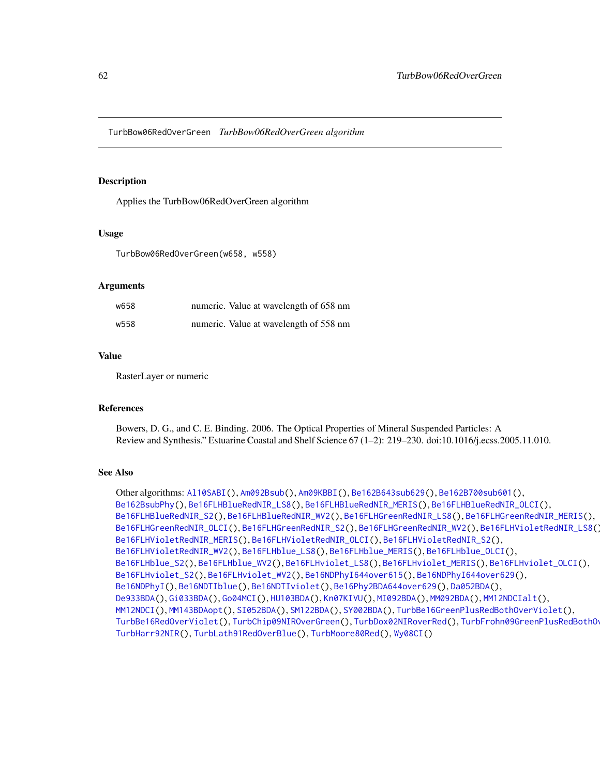<span id="page-61-1"></span><span id="page-61-0"></span>TurbBow06RedOverGreen *TurbBow06RedOverGreen algorithm*

# Description

Applies the TurbBow06RedOverGreen algorithm

#### Usage

TurbBow06RedOverGreen(w658, w558)

# Arguments

| w658 | numeric. Value at wavelength of 658 nm |
|------|----------------------------------------|
| w558 | numeric. Value at wavelength of 558 nm |

# Value

RasterLayer or numeric

#### References

Bowers, D. G., and C. E. Binding. 2006. The Optical Properties of Mineral Suspended Particles: A Review and Synthesis." Estuarine Coastal and Shelf Science 67 (1–2): 219–230. doi:10.1016/j.ecss.2005.11.010.

# See Also

Other algorithms: [Al10SABI\(](#page-2-0)), [Am092Bsub\(](#page-3-0)), [Am09KBBI\(](#page-4-0)), [Be162B643sub629\(](#page-5-0)), [Be162B700sub601\(](#page-6-0)), [Be162BsubPhy\(](#page-7-0)), [Be16FLHBlueRedNIR\\_LS8\(](#page-8-0)), [Be16FLHBlueRedNIR\\_MERIS\(](#page-9-0)), [Be16FLHBlueRedNIR\\_OLCI\(](#page-10-0)), [Be16FLHBlueRedNIR\\_S2\(](#page-11-0)), [Be16FLHBlueRedNIR\\_WV2\(](#page-12-0)), [Be16FLHGreenRedNIR\\_LS8\(](#page-18-0)), [Be16FLHGreenRedNIR\\_MERIS\(](#page-19-0)), [Be16FLHGreenRedNIR\\_OLCI\(](#page-20-0)), [Be16FLHGreenRedNIR\\_S2\(](#page-21-0)), [Be16FLHGreenRedNIR\\_WV2\(](#page-22-0)), [Be16FLHVioletRedNIR\\_LS8\(](#page-23-0)), [Be16FLHVioletRedNIR\\_MERIS\(](#page-24-0)), [Be16FLHVioletRedNIR\\_OLCI\(](#page-25-0)), [Be16FLHVioletRedNIR\\_S2\(](#page-26-0)), [Be16FLHVioletRedNIR\\_WV2\(](#page-27-0)), [Be16FLHblue\\_LS8\(](#page-13-0)), [Be16FLHblue\\_MERIS\(](#page-14-0)), [Be16FLHblue\\_OLCI\(](#page-15-0)), [Be16FLHblue\\_S2\(](#page-16-0)), [Be16FLHblue\\_WV2\(](#page-17-0)), [Be16FLHviolet\\_LS8\(](#page-28-0)), [Be16FLHviolet\\_MERIS\(](#page-29-0)), [Be16FLHviolet\\_OLCI\(](#page-30-0)), [Be16FLHviolet\\_S2\(](#page-31-0)), [Be16FLHviolet\\_WV2\(](#page-32-0)), [Be16NDPhyI644over615\(](#page-34-0)), [Be16NDPhyI644over629\(](#page-35-0)), [Be16NDPhyI\(](#page-33-0)), [Be16NDTIblue\(](#page-36-0)), [Be16NDTIviolet\(](#page-37-0)), [Be16Phy2BDA644over629\(](#page-38-0)), [Da052BDA\(](#page-39-0)), [De933BDA\(](#page-40-0)), [Gi033BDA\(](#page-45-0)), [Go04MCI\(](#page-46-0)), [HU103BDA\(](#page-47-0)), [Kn07KIVU\(](#page-48-0)), [MI092BDA\(](#page-51-0)), [MM092BDA\(](#page-52-0)), [MM12NDCIalt\(](#page-54-0)), [MM12NDCI\(](#page-53-0)), [MM143BDAopt\(](#page-55-0)), [SI052BDA\(](#page-56-0)), [SM122BDA\(](#page-57-0)), [SY002BDA\(](#page-58-0)), [TurbBe16GreenPlusRedBothOverViolet\(](#page-59-0)), [TurbBe16RedOverViolet\(](#page-60-0)), [TurbChip09NIROverGreen\(](#page-62-0)), [TurbDox02NIRoverRed\(](#page-63-0)), [TurbFrohn09GreenPlusRedBothOverBlue\(](#page-64-0)), [TurbHarr92NIR\(](#page-65-0)), [TurbLath91RedOverBlue\(](#page-66-0)), [TurbMoore80Red\(](#page-67-0)), [Wy08CI\(](#page-69-0))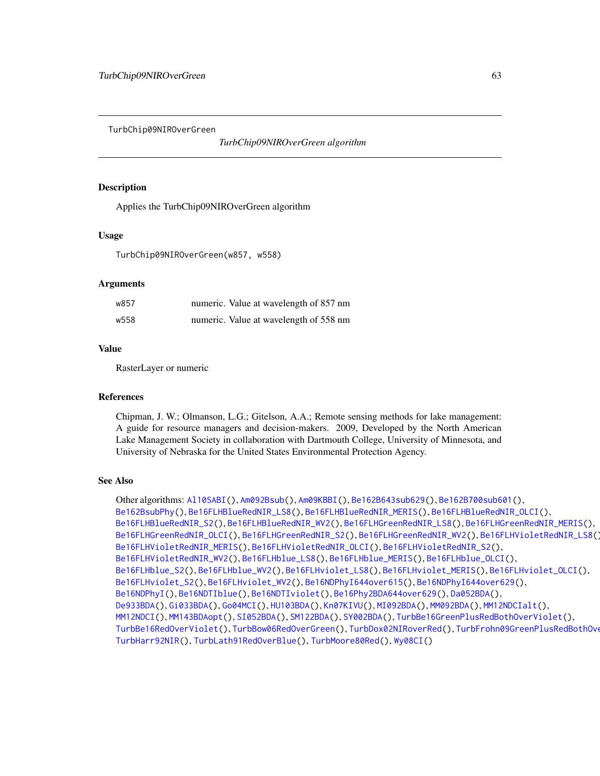<span id="page-62-1"></span><span id="page-62-0"></span>TurbChip09NIROverGreen

*TurbChip09NIROverGreen algorithm*

# **Description**

Applies the TurbChip09NIROverGreen algorithm

# Usage

TurbChip09NIROverGreen(w857, w558)

# Arguments

| w857 | numeric. Value at wavelength of 857 nm |
|------|----------------------------------------|
| w558 | numeric. Value at wavelength of 558 nm |

#### Value

RasterLayer or numeric

#### References

Chipman, J. W.; Olmanson, L.G.; Gitelson, A.A.; Remote sensing methods for lake management: A guide for resource managers and decision-makers. 2009, Developed by the North American Lake Management Society in collaboration with Dartmouth College, University of Minnesota, and University of Nebraska for the United States Environmental Protection Agency.

# See Also

Other algorithms: [Al10SABI\(](#page-2-0)), [Am092Bsub\(](#page-3-0)), [Am09KBBI\(](#page-4-0)), [Be162B643sub629\(](#page-5-0)), [Be162B700sub601\(](#page-6-0)), [Be162BsubPhy\(](#page-7-0)), [Be16FLHBlueRedNIR\\_LS8\(](#page-8-0)), [Be16FLHBlueRedNIR\\_MERIS\(](#page-9-0)), [Be16FLHBlueRedNIR\\_OLCI\(](#page-10-0)), [Be16FLHBlueRedNIR\\_S2\(](#page-11-0)), [Be16FLHBlueRedNIR\\_WV2\(](#page-12-0)), [Be16FLHGreenRedNIR\\_LS8\(](#page-18-0)), [Be16FLHGreenRedNIR\\_MERIS\(](#page-19-0)), [Be16FLHGreenRedNIR\\_OLCI\(](#page-20-0)), [Be16FLHGreenRedNIR\\_S2\(](#page-21-0)), [Be16FLHGreenRedNIR\\_WV2\(](#page-22-0)), [Be16FLHVioletRedNIR\\_LS8\(](#page-23-0)), [Be16FLHVioletRedNIR\\_MERIS\(](#page-24-0)), [Be16FLHVioletRedNIR\\_OLCI\(](#page-25-0)), [Be16FLHVioletRedNIR\\_S2\(](#page-26-0)), [Be16FLHVioletRedNIR\\_WV2\(](#page-27-0)), [Be16FLHblue\\_LS8\(](#page-13-0)), [Be16FLHblue\\_MERIS\(](#page-14-0)), [Be16FLHblue\\_OLCI\(](#page-15-0)), [Be16FLHblue\\_S2\(](#page-16-0)), [Be16FLHblue\\_WV2\(](#page-17-0)), [Be16FLHviolet\\_LS8\(](#page-28-0)), [Be16FLHviolet\\_MERIS\(](#page-29-0)), [Be16FLHviolet\\_OLCI\(](#page-30-0)), [Be16FLHviolet\\_S2\(](#page-31-0)), [Be16FLHviolet\\_WV2\(](#page-32-0)), [Be16NDPhyI644over615\(](#page-34-0)), [Be16NDPhyI644over629\(](#page-35-0)), [Be16NDPhyI\(](#page-33-0)), [Be16NDTIblue\(](#page-36-0)), [Be16NDTIviolet\(](#page-37-0)), [Be16Phy2BDA644over629\(](#page-38-0)), [Da052BDA\(](#page-39-0)), [De933BDA\(](#page-40-0)), [Gi033BDA\(](#page-45-0)), [Go04MCI\(](#page-46-0)), [HU103BDA\(](#page-47-0)), [Kn07KIVU\(](#page-48-0)), [MI092BDA\(](#page-51-0)), [MM092BDA\(](#page-52-0)), [MM12NDCIalt\(](#page-54-0)), [MM12NDCI\(](#page-53-0)), [MM143BDAopt\(](#page-55-0)), [SI052BDA\(](#page-56-0)), [SM122BDA\(](#page-57-0)), [SY002BDA\(](#page-58-0)), [TurbBe16GreenPlusRedBothOverViolet\(](#page-59-0)), [TurbBe16RedOverViolet\(](#page-60-0)), [TurbBow06RedOverGreen\(](#page-61-0)), [TurbDox02NIRoverRed\(](#page-63-0)), [TurbFrohn09GreenPlusRedBothOverBlue\(](#page-64-0)), [TurbHarr92NIR\(](#page-65-0)), [TurbLath91RedOverBlue\(](#page-66-0)), [TurbMoore80Red\(](#page-67-0)), [Wy08CI\(](#page-69-0))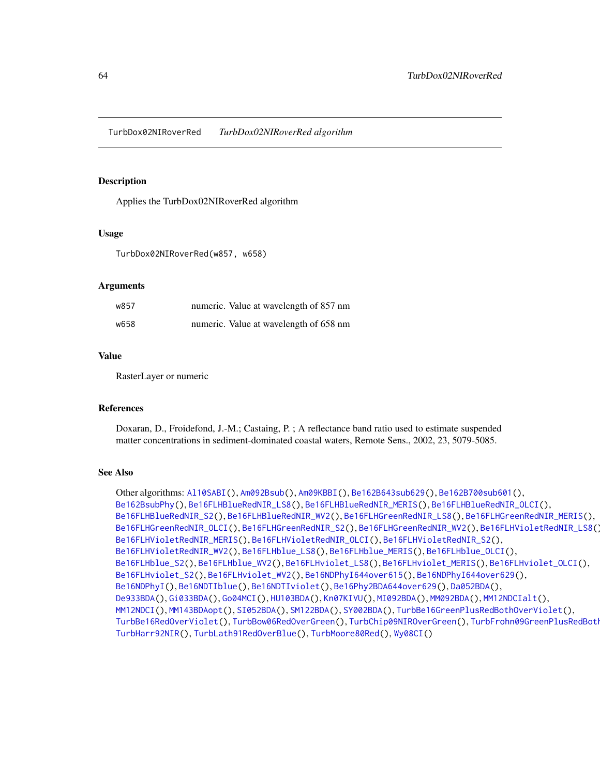<span id="page-63-1"></span><span id="page-63-0"></span>TurbDox02NIRoverRed *TurbDox02NIRoverRed algorithm*

# Description

Applies the TurbDox02NIRoverRed algorithm

#### Usage

TurbDox02NIRoverRed(w857, w658)

# Arguments

| w857 | numeric. Value at wavelength of 857 nm |
|------|----------------------------------------|
| w658 | numeric. Value at wavelength of 658 nm |

# Value

RasterLayer or numeric

#### References

Doxaran, D., Froidefond, J.-M.; Castaing, P. ; A reflectance band ratio used to estimate suspended matter concentrations in sediment-dominated coastal waters, Remote Sens., 2002, 23, 5079-5085.

# See Also

Other algorithms: [Al10SABI\(](#page-2-0)), [Am092Bsub\(](#page-3-0)), [Am09KBBI\(](#page-4-0)), [Be162B643sub629\(](#page-5-0)), [Be162B700sub601\(](#page-6-0)), [Be162BsubPhy\(](#page-7-0)), [Be16FLHBlueRedNIR\\_LS8\(](#page-8-0)), [Be16FLHBlueRedNIR\\_MERIS\(](#page-9-0)), [Be16FLHBlueRedNIR\\_OLCI\(](#page-10-0)), [Be16FLHBlueRedNIR\\_S2\(](#page-11-0)), [Be16FLHBlueRedNIR\\_WV2\(](#page-12-0)), [Be16FLHGreenRedNIR\\_LS8\(](#page-18-0)), [Be16FLHGreenRedNIR\\_MERIS\(](#page-19-0)), [Be16FLHGreenRedNIR\\_OLCI\(](#page-20-0)), [Be16FLHGreenRedNIR\\_S2\(](#page-21-0)), [Be16FLHGreenRedNIR\\_WV2\(](#page-22-0)), [Be16FLHVioletRedNIR\\_LS8\(](#page-23-0)), [Be16FLHVioletRedNIR\\_MERIS\(](#page-24-0)), [Be16FLHVioletRedNIR\\_OLCI\(](#page-25-0)), [Be16FLHVioletRedNIR\\_S2\(](#page-26-0)), [Be16FLHVioletRedNIR\\_WV2\(](#page-27-0)), [Be16FLHblue\\_LS8\(](#page-13-0)), [Be16FLHblue\\_MERIS\(](#page-14-0)), [Be16FLHblue\\_OLCI\(](#page-15-0)), [Be16FLHblue\\_S2\(](#page-16-0)), [Be16FLHblue\\_WV2\(](#page-17-0)), [Be16FLHviolet\\_LS8\(](#page-28-0)), [Be16FLHviolet\\_MERIS\(](#page-29-0)), [Be16FLHviolet\\_OLCI\(](#page-30-0)), [Be16FLHviolet\\_S2\(](#page-31-0)), [Be16FLHviolet\\_WV2\(](#page-32-0)), [Be16NDPhyI644over615\(](#page-34-0)), [Be16NDPhyI644over629\(](#page-35-0)), [Be16NDPhyI\(](#page-33-0)), [Be16NDTIblue\(](#page-36-0)), [Be16NDTIviolet\(](#page-37-0)), [Be16Phy2BDA644over629\(](#page-38-0)), [Da052BDA\(](#page-39-0)), [De933BDA\(](#page-40-0)), [Gi033BDA\(](#page-45-0)), [Go04MCI\(](#page-46-0)), [HU103BDA\(](#page-47-0)), [Kn07KIVU\(](#page-48-0)), [MI092BDA\(](#page-51-0)), [MM092BDA\(](#page-52-0)), [MM12NDCIalt\(](#page-54-0)), [MM12NDCI\(](#page-53-0)), [MM143BDAopt\(](#page-55-0)), [SI052BDA\(](#page-56-0)), [SM122BDA\(](#page-57-0)), [SY002BDA\(](#page-58-0)), [TurbBe16GreenPlusRedBothOverViolet\(](#page-59-0)), [TurbBe16RedOverViolet\(](#page-60-0)), [TurbBow06RedOverGreen\(](#page-61-0)), [TurbChip09NIROverGreen\(](#page-62-0)), TurbFrohn09GreenPlusRedBoth [TurbHarr92NIR\(](#page-65-0)), [TurbLath91RedOverBlue\(](#page-66-0)), [TurbMoore80Red\(](#page-67-0)), [Wy08CI\(](#page-69-0))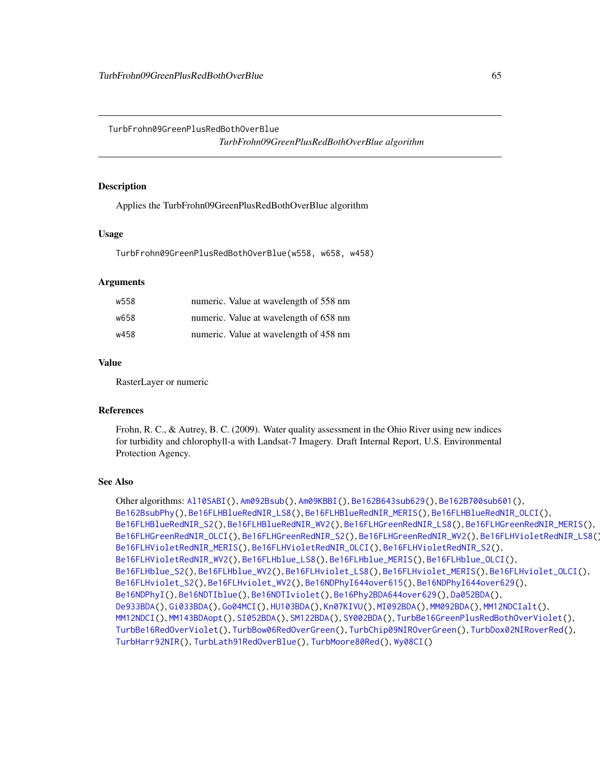<span id="page-64-1"></span><span id="page-64-0"></span>TurbFrohn09GreenPlusRedBothOverBlue *TurbFrohn09GreenPlusRedBothOverBlue algorithm*

# Description

Applies the TurbFrohn09GreenPlusRedBothOverBlue algorithm

#### Usage

TurbFrohn09GreenPlusRedBothOverBlue(w558, w658, w458)

# **Arguments**

| w558 | numeric. Value at wavelength of 558 nm |
|------|----------------------------------------|
| w658 | numeric. Value at wavelength of 658 nm |
| w458 | numeric. Value at wavelength of 458 nm |

# Value

RasterLayer or numeric

# References

Frohn, R. C., & Autrey, B. C. (2009). Water quality assessment in the Ohio River using new indices for turbidity and chlorophyll-a with Landsat-7 Imagery. Draft Internal Report, U.S. Environmental Protection Agency.

```
Other algorithms: Al10SABI(), Am092Bsub(), Am09KBBI(), Be162B643sub629(), Be162B700sub601(),
Be162BsubPhy(), Be16FLHBlueRedNIR_LS8(), Be16FLHBlueRedNIR_MERIS(), Be16FLHBlueRedNIR_OLCI(),
Be16FLHBlueRedNIR_S2(), Be16FLHBlueRedNIR_WV2(), Be16FLHGreenRedNIR_LS8(), Be16FLHGreenRedNIR_MERIS(),
Be16FLHGreenRedNIR_OLCI(), Be16FLHGreenRedNIR_S2(), Be16FLHGreenRedNIR_WV2(), Be16FLHVioletRedNIR_LS8(),
Be16FLHVioletRedNIR_MERIS(), Be16FLHVioletRedNIR_OLCI(), Be16FLHVioletRedNIR_S2(),
Be16FLHVioletRedNIR_WV2(), Be16FLHblue_LS8(), Be16FLHblue_MERIS(), Be16FLHblue_OLCI(),
Be16FLHblue_S2(), Be16FLHblue_WV2(), Be16FLHviolet_LS8(), Be16FLHviolet_MERIS(), Be16FLHviolet_OLCI(),
Be16FLHviolet_S2(), Be16FLHviolet_WV2(), Be16NDPhyI644over615(), Be16NDPhyI644over629(),
Be16NDPhyI(), Be16NDTIblue(), Be16NDTIviolet(), Be16Phy2BDA644over629(), Da052BDA(),
De933BDA(), Gi033BDA(), Go04MCI(), HU103BDA(), Kn07KIVU(), MI092BDA(), MM092BDA(), MM12NDCIalt(),
MM12NDCI(), MM143BDAopt(), SI052BDA(), SM122BDA(), SY002BDA(), TurbBe16GreenPlusRedBothOverViolet(),
TurbBe16RedOverViolet(), TurbBow06RedOverGreen(), TurbChip09NIROverGreen(), TurbDox02NIRoverRed(),
TurbHarr92NIR(), TurbLath91RedOverBlue(), TurbMoore80Red(), Wy08CI()
```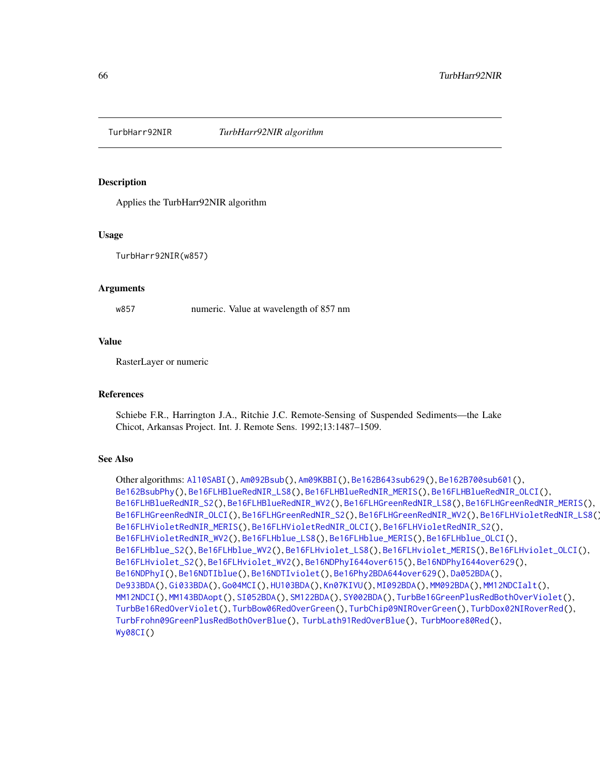<span id="page-65-1"></span><span id="page-65-0"></span>

Applies the TurbHarr92NIR algorithm

#### Usage

TurbHarr92NIR(w857)

#### Arguments

w857 numeric. Value at wavelength of 857 nm

#### Value

RasterLayer or numeric

# References

Schiebe F.R., Harrington J.A., Ritchie J.C. Remote-Sensing of Suspended Sediments—the Lake Chicot, Arkansas Project. Int. J. Remote Sens. 1992;13:1487–1509.

```
Other algorithms: Al10SABI(), Am092Bsub(), Am09KBBI(), Be162B643sub629(), Be162B700sub601(),
Be162BsubPhy(), Be16FLHBlueRedNIR_LS8(), Be16FLHBlueRedNIR_MERIS(), Be16FLHBlueRedNIR_OLCI(),
Be16FLHBlueRedNIR_S2(), Be16FLHBlueRedNIR_WV2(), Be16FLHGreenRedNIR_LS8(), Be16FLHGreenRedNIR_MERIS(),
Be16FLHGreenRedNIR_OLCI(), Be16FLHGreenRedNIR_S2(), Be16FLHGreenRedNIR_WV2(), Be16FLHVioletRedNIR_LS8(),
Be16FLHVioletRedNIR_MERIS(), Be16FLHVioletRedNIR_OLCI(), Be16FLHVioletRedNIR_S2(),
Be16FLHVioletRedNIR_WV2(), Be16FLHblue_LS8(), Be16FLHblue_MERIS(), Be16FLHblue_OLCI(),
Be16FLHblue_S2(), Be16FLHblue_WV2(), Be16FLHviolet_LS8(), Be16FLHviolet_MERIS(), Be16FLHviolet_OLCI(),
Be16FLHviolet_S2(), Be16FLHviolet_WV2(), Be16NDPhyI644over615(), Be16NDPhyI644over629(),
Be16NDPhyI(), Be16NDTIblue(), Be16NDTIviolet(), Be16Phy2BDA644over629(), Da052BDA(),
De933BDA(), Gi033BDA(), Go04MCI(), HU103BDA(), Kn07KIVU(), MI092BDA(), MM092BDA(), MM12NDCIalt(),
MM12NDCI(), MM143BDAopt(), SI052BDA(), SM122BDA(), SY002BDA(), TurbBe16GreenPlusRedBothOverViolet(),
TurbBe16RedOverViolet(), TurbBow06RedOverGreen(), TurbChip09NIROverGreen(), TurbDox02NIRoverRed(),
TurbFrohn09GreenPlusRedBothOverBlue(), TurbLath91RedOverBlue(), TurbMoore80Red(),
Wy08CI()
```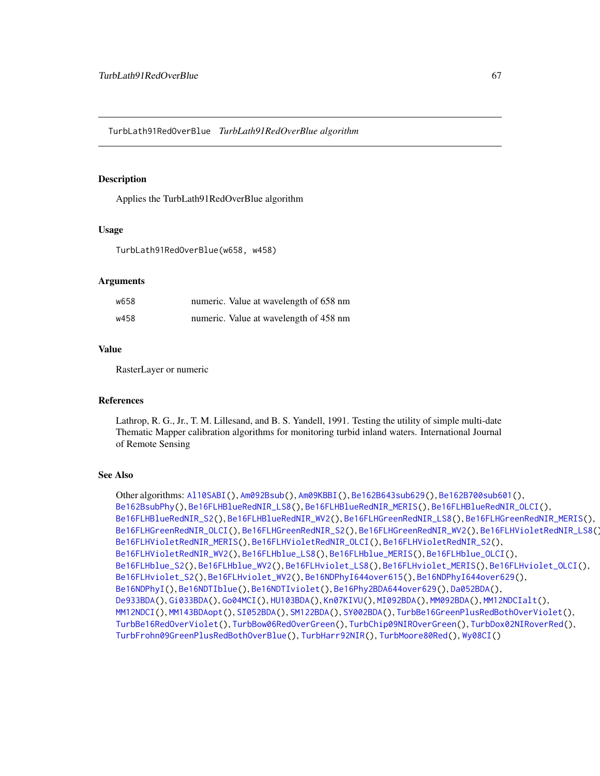<span id="page-66-1"></span><span id="page-66-0"></span>TurbLath91RedOverBlue *TurbLath91RedOverBlue algorithm*

# **Description**

Applies the TurbLath91RedOverBlue algorithm

# Usage

TurbLath91RedOverBlue(w658, w458)

# **Arguments**

| w658 | numeric. Value at wavelength of 658 nm |
|------|----------------------------------------|
| w458 | numeric. Value at wavelength of 458 nm |

# Value

RasterLayer or numeric

#### References

Lathrop, R. G., Jr., T. M. Lillesand, and B. S. Yandell, 1991. Testing the utility of simple multi-date Thematic Mapper calibration algorithms for monitoring turbid inland waters. International Journal of Remote Sensing

# See Also

Other algorithms: [Al10SABI\(](#page-2-0)), [Am092Bsub\(](#page-3-0)), [Am09KBBI\(](#page-4-0)), [Be162B643sub629\(](#page-5-0)), [Be162B700sub601\(](#page-6-0)), [Be162BsubPhy\(](#page-7-0)), [Be16FLHBlueRedNIR\\_LS8\(](#page-8-0)), [Be16FLHBlueRedNIR\\_MERIS\(](#page-9-0)), [Be16FLHBlueRedNIR\\_OLCI\(](#page-10-0)), [Be16FLHBlueRedNIR\\_S2\(](#page-11-0)), [Be16FLHBlueRedNIR\\_WV2\(](#page-12-0)), [Be16FLHGreenRedNIR\\_LS8\(](#page-18-0)), [Be16FLHGreenRedNIR\\_MERIS\(](#page-19-0)), [Be16FLHGreenRedNIR\\_OLCI\(](#page-20-0)), [Be16FLHGreenRedNIR\\_S2\(](#page-21-0)), [Be16FLHGreenRedNIR\\_WV2\(](#page-22-0)), [Be16FLHVioletRedNIR\\_LS8\(](#page-23-0)), [Be16FLHVioletRedNIR\\_MERIS\(](#page-24-0)), [Be16FLHVioletRedNIR\\_OLCI\(](#page-25-0)), [Be16FLHVioletRedNIR\\_S2\(](#page-26-0)), [Be16FLHVioletRedNIR\\_WV2\(](#page-27-0)), [Be16FLHblue\\_LS8\(](#page-13-0)), [Be16FLHblue\\_MERIS\(](#page-14-0)), [Be16FLHblue\\_OLCI\(](#page-15-0)), [Be16FLHblue\\_S2\(](#page-16-0)), [Be16FLHblue\\_WV2\(](#page-17-0)), [Be16FLHviolet\\_LS8\(](#page-28-0)), [Be16FLHviolet\\_MERIS\(](#page-29-0)), [Be16FLHviolet\\_OLCI\(](#page-30-0)), [Be16FLHviolet\\_S2\(](#page-31-0)), [Be16FLHviolet\\_WV2\(](#page-32-0)), [Be16NDPhyI644over615\(](#page-34-0)), [Be16NDPhyI644over629\(](#page-35-0)), [Be16NDPhyI\(](#page-33-0)), [Be16NDTIblue\(](#page-36-0)), [Be16NDTIviolet\(](#page-37-0)), [Be16Phy2BDA644over629\(](#page-38-0)), [Da052BDA\(](#page-39-0)), [De933BDA\(](#page-40-0)), [Gi033BDA\(](#page-45-0)), [Go04MCI\(](#page-46-0)), [HU103BDA\(](#page-47-0)), [Kn07KIVU\(](#page-48-0)), [MI092BDA\(](#page-51-0)), [MM092BDA\(](#page-52-0)), [MM12NDCIalt\(](#page-54-0)), [MM12NDCI\(](#page-53-0)), [MM143BDAopt\(](#page-55-0)), [SI052BDA\(](#page-56-0)), [SM122BDA\(](#page-57-0)), [SY002BDA\(](#page-58-0)), [TurbBe16GreenPlusRedBothOverViolet\(](#page-59-0)), [TurbBe16RedOverViolet\(](#page-60-0)), [TurbBow06RedOverGreen\(](#page-61-0)), [TurbChip09NIROverGreen\(](#page-62-0)), [TurbDox02NIRoverRed\(](#page-63-0)), [TurbFrohn09GreenPlusRedBothOverBlue\(](#page-64-0)), [TurbHarr92NIR\(](#page-65-0)), [TurbMoore80Red\(](#page-67-0)), [Wy08CI\(](#page-69-0))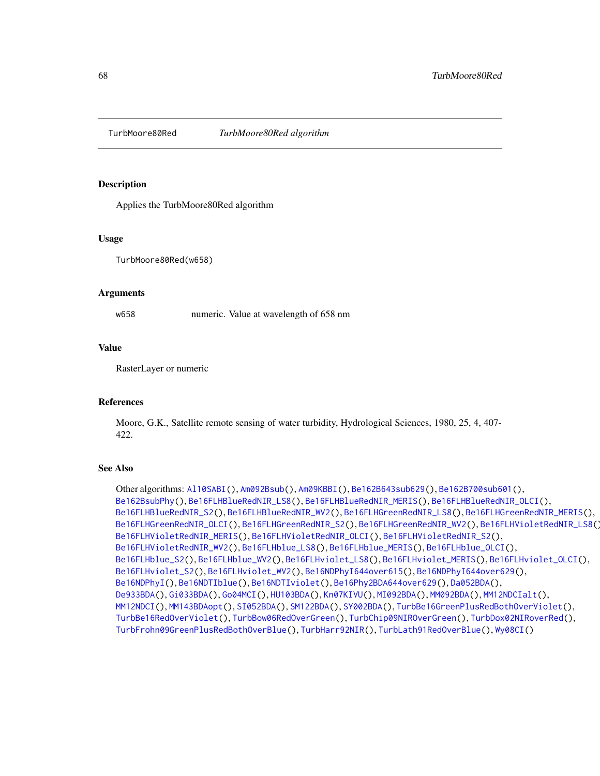<span id="page-67-1"></span><span id="page-67-0"></span>

Applies the TurbMoore80Red algorithm

# Usage

TurbMoore80Red(w658)

#### Arguments

w658 numeric. Value at wavelength of 658 nm

# Value

RasterLayer or numeric

# **References**

Moore, G.K., Satellite remote sensing of water turbidity, Hydrological Sciences, 1980, 25, 4, 407- 422.

```
Other algorithms: Al10SABI(), Am092Bsub(), Am09KBBI(), Be162B643sub629(), Be162B700sub601(),
Be162BsubPhy(), Be16FLHBlueRedNIR_LS8(), Be16FLHBlueRedNIR_MERIS(), Be16FLHBlueRedNIR_OLCI(),
Be16FLHBlueRedNIR_S2(), Be16FLHBlueRedNIR_WV2(), Be16FLHGreenRedNIR_LS8(), Be16FLHGreenRedNIR_MERIS(),
Be16FLHGreenRedNIR_OLCI(), Be16FLHGreenRedNIR_S2(), Be16FLHGreenRedNIR_WV2(), Be16FLHVioletRedNIR_LS8(),
Be16FLHVioletRedNIR_MERIS(), Be16FLHVioletRedNIR_OLCI(), Be16FLHVioletRedNIR_S2(),
Be16FLHVioletRedNIR_WV2(), Be16FLHblue_LS8(), Be16FLHblue_MERIS(), Be16FLHblue_OLCI(),
Be16FLHblue_S2(), Be16FLHblue_WV2(), Be16FLHviolet_LS8(), Be16FLHviolet_MERIS(), Be16FLHviolet_OLCI(),
Be16FLHviolet_S2(), Be16FLHviolet_WV2(), Be16NDPhyI644over615(), Be16NDPhyI644over629(),
Be16NDPhyI(), Be16NDTIblue(), Be16NDTIviolet(), Be16Phy2BDA644over629(), Da052BDA(),
De933BDA(), Gi033BDA(), Go04MCI(), HU103BDA(), Kn07KIVU(), MI092BDA(), MM092BDA(), MM12NDCIalt(),
MM12NDCI(), MM143BDAopt(), SI052BDA(), SM122BDA(), SY002BDA(), TurbBe16GreenPlusRedBothOverViolet(),
TurbBe16RedOverViolet(), TurbBow06RedOverGreen(), TurbChip09NIROverGreen(), TurbDox02NIRoverRed(),
TurbFrohn09GreenPlusRedBothOverBlue(), TurbHarr92NIR(), TurbLath91RedOverBlue(), Wy08CI()
```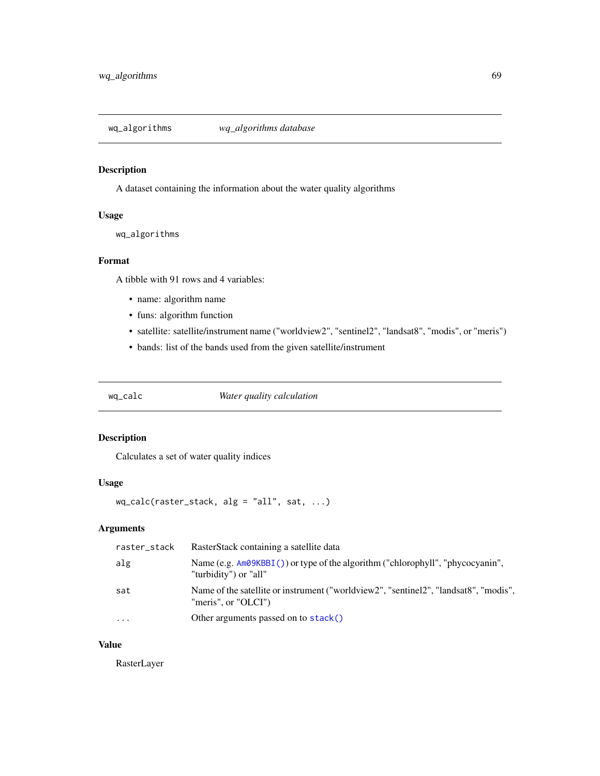<span id="page-68-0"></span>wq\_algorithms *wq\_algorithms database*

# Description

A dataset containing the information about the water quality algorithms

# Usage

wq\_algorithms

# Format

A tibble with 91 rows and 4 variables:

- name: algorithm name
- funs: algorithm function
- satellite: satellite/instrument name ("worldview2", "sentinel2", "landsat8", "modis", or "meris")
- bands: list of the bands used from the given satellite/instrument

wq\_calc *Water quality calculation*

# Description

Calculates a set of water quality indices

# Usage

wq\_calc(raster\_stack, alg = "all", sat, ...)

# Arguments

| Name (e.g. $Am\Theta KBBI$ ) or type of the algorithm ("chlorophyll", "phycocyanin",<br>alg<br>"turbidity") or "all"<br>Name of the satellite or instrument ("worldview2", "sentinel2", "landsat8", "modis",<br>sat |  |
|---------------------------------------------------------------------------------------------------------------------------------------------------------------------------------------------------------------------|--|
|                                                                                                                                                                                                                     |  |
| "meris", or "OLCI")                                                                                                                                                                                                 |  |
| Other arguments passed on to stack()<br>.                                                                                                                                                                           |  |

# Value

RasterLayer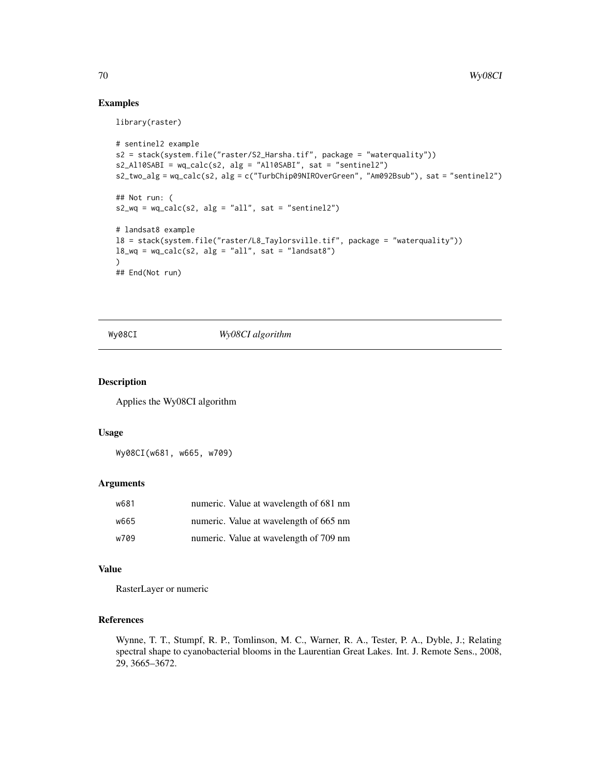# Examples

library(raster)

```
# sentinel2 example
s2 = stack(system.file("raster/S2_Harsha.tif", package = "waterquality"))
s2_Al10SABI = wq_calc(s2, alg = "Al10SABI", sat = "sentinel2")
s2_two_alg = wq_calc(s2, alg = c("TurbChip09NIROverGreen", "Am092Bsub"), sat = "sentinel2")
## Not run: (
s2_wq = wq_{calc}(s2, alg = "all", sat = "sentinel2")# landsat8 example
l8 = stack(system.file("raster/L8_Taylorsville.tif", package = "waterquality"))
18_{\text{wq}} = \text{wq}_\text{calc}(s2, \text{ alg} = \text{"all", sat} = \text{"landsat8"}\lambda## End(Not run)
```
Wy08CI *Wy08CI algorithm*

# Description

Applies the Wy08CI algorithm

#### Usage

Wy08CI(w681, w665, w709)

#### Arguments

| w681 | numeric. Value at wavelength of 681 nm |
|------|----------------------------------------|
| w665 | numeric. Value at wavelength of 665 nm |
| w709 | numeric. Value at wavelength of 709 nm |

# Value

RasterLayer or numeric

# References

Wynne, T. T., Stumpf, R. P., Tomlinson, M. C., Warner, R. A., Tester, P. A., Dyble, J.; Relating spectral shape to cyanobacterial blooms in the Laurentian Great Lakes. Int. J. Remote Sens., 2008, 29, 3665–3672.

<span id="page-69-1"></span>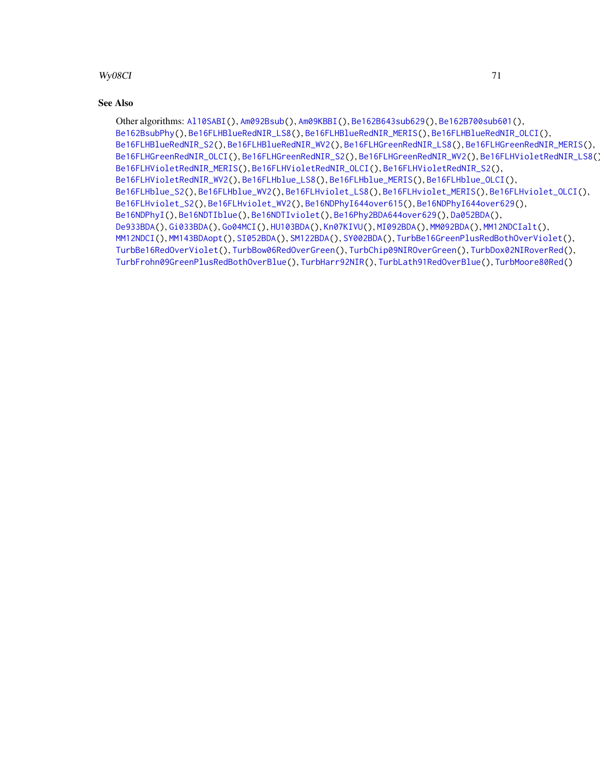# <span id="page-70-0"></span>Wy08CI 71

# See Also

Other algorithms: [Al10SABI\(](#page-2-0)), [Am092Bsub\(](#page-3-0)), [Am09KBBI\(](#page-4-0)), [Be162B643sub629\(](#page-5-0)), [Be162B700sub601\(](#page-6-0)), [Be162BsubPhy\(](#page-7-0)), [Be16FLHBlueRedNIR\\_LS8\(](#page-8-0)), [Be16FLHBlueRedNIR\\_MERIS\(](#page-9-0)), [Be16FLHBlueRedNIR\\_OLCI\(](#page-10-0)), [Be16FLHBlueRedNIR\\_S2\(](#page-11-0)), [Be16FLHBlueRedNIR\\_WV2\(](#page-12-0)), [Be16FLHGreenRedNIR\\_LS8\(](#page-18-0)), [Be16FLHGreenRedNIR\\_MERIS\(](#page-19-0)), [Be16FLHGreenRedNIR\\_OLCI\(](#page-20-0)), [Be16FLHGreenRedNIR\\_S2\(](#page-21-0)), [Be16FLHGreenRedNIR\\_WV2\(](#page-22-0)), [Be16FLHVioletRedNIR\\_LS8\(](#page-23-0)), [Be16FLHVioletRedNIR\\_MERIS\(](#page-24-0)), [Be16FLHVioletRedNIR\\_OLCI\(](#page-25-0)), [Be16FLHVioletRedNIR\\_S2\(](#page-26-0)), [Be16FLHVioletRedNIR\\_WV2\(](#page-27-0)), [Be16FLHblue\\_LS8\(](#page-13-0)), [Be16FLHblue\\_MERIS\(](#page-14-0)), [Be16FLHblue\\_OLCI\(](#page-15-0)), [Be16FLHblue\\_S2\(](#page-16-0)), [Be16FLHblue\\_WV2\(](#page-17-0)), [Be16FLHviolet\\_LS8\(](#page-28-0)), [Be16FLHviolet\\_MERIS\(](#page-29-0)), [Be16FLHviolet\\_OLCI\(](#page-30-0)), [Be16FLHviolet\\_S2\(](#page-31-0)), [Be16FLHviolet\\_WV2\(](#page-32-0)), [Be16NDPhyI644over615\(](#page-34-0)), [Be16NDPhyI644over629\(](#page-35-0)), [Be16NDPhyI\(](#page-33-0)), [Be16NDTIblue\(](#page-36-0)), [Be16NDTIviolet\(](#page-37-0)), [Be16Phy2BDA644over629\(](#page-38-0)), [Da052BDA\(](#page-39-0)), [De933BDA\(](#page-40-0)), [Gi033BDA\(](#page-45-0)), [Go04MCI\(](#page-46-0)), [HU103BDA\(](#page-47-0)), [Kn07KIVU\(](#page-48-0)), [MI092BDA\(](#page-51-0)), [MM092BDA\(](#page-52-0)), [MM12NDCIalt\(](#page-54-0)), [MM12NDCI\(](#page-53-0)), [MM143BDAopt\(](#page-55-0)), [SI052BDA\(](#page-56-0)), [SM122BDA\(](#page-57-0)), [SY002BDA\(](#page-58-0)), [TurbBe16GreenPlusRedBothOverViolet\(](#page-59-0)), [TurbBe16RedOverViolet\(](#page-60-0)), [TurbBow06RedOverGreen\(](#page-61-0)), [TurbChip09NIROverGreen\(](#page-62-0)), [TurbDox02NIRoverRed\(](#page-63-0)), [TurbFrohn09GreenPlusRedBothOverBlue\(](#page-64-0)), [TurbHarr92NIR\(](#page-65-0)), [TurbLath91RedOverBlue\(](#page-66-0)), [TurbMoore80Red\(](#page-67-0))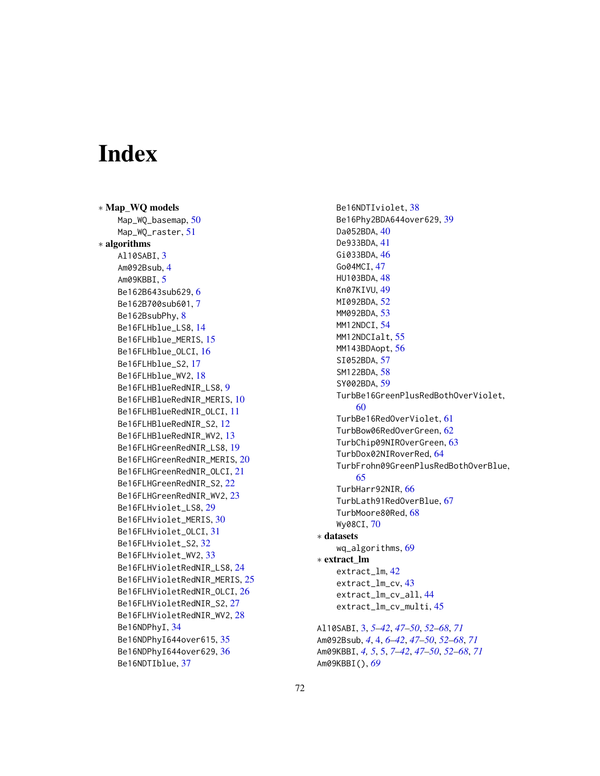# Index

∗ Map\_WQ models Map\_WQ\_basemap, [50](#page-49-1) Map\_WQ\_raster, [51](#page-50-1) ∗ algorithms Al10SABI, [3](#page-2-1) Am092Bsub, [4](#page-3-1) Am09KBBI, [5](#page-4-1) Be162B643sub629, [6](#page-5-1) Be162B700sub601, [7](#page-6-1) Be162BsubPhy, [8](#page-7-1) Be16FLHblue\_LS8, [14](#page-13-1) Be16FLHblue\_MERIS, [15](#page-14-1) Be16FLHblue\_OLCI, [16](#page-15-1) Be16FLHblue\_S2, [17](#page-16-1) Be16FLHblue\_WV2, [18](#page-17-1) Be16FLHBlueRedNIR\_LS8, [9](#page-8-1) Be16FLHBlueRedNIR\_MERIS, [10](#page-9-1) Be16FLHBlueRedNIR\_OLCI, [11](#page-10-1) Be16FLHBlueRedNIR\_S2, [12](#page-11-1) Be16FLHBlueRedNIR\_WV2, [13](#page-12-1) Be16FLHGreenRedNIR\_LS8, [19](#page-18-1) Be16FLHGreenRedNIR\_MERIS, [20](#page-19-1) Be16FLHGreenRedNIR\_OLCI, [21](#page-20-1) Be16FLHGreenRedNIR\_S2, [22](#page-21-1) Be16FLHGreenRedNIR\_WV2, [23](#page-22-1) Be16FLHviolet\_LS8, [29](#page-28-1) Be16FLHviolet\_MERIS, [30](#page-29-1) Be16FLHviolet\_OLCI, [31](#page-30-1) Be16FLHviolet\_S2, [32](#page-31-1) Be16FLHviolet\_WV2, [33](#page-32-1) Be16FLHVioletRedNIR\_LS8, [24](#page-23-1) Be16FLHVioletRedNIR\_MERIS, [25](#page-24-1) Be16FLHVioletRedNIR\_OLCI, [26](#page-25-1) Be16FLHVioletRedNIR\_S2, [27](#page-26-1) Be16FLHVioletRedNIR\_WV2, [28](#page-27-1) Be16NDPhyI, [34](#page-33-1) Be16NDPhyI644over615, [35](#page-34-1) Be16NDPhyI644over629, [36](#page-35-1) Be16NDTIblue, [37](#page-36-1)

Be16NDTIviolet, [38](#page-37-1) Be16Phy2BDA644over629, [39](#page-38-1) Da052BDA, [40](#page-39-1) De933BDA, [41](#page-40-1) Gi033BDA, [46](#page-45-1) Go04MCI, [47](#page-46-1) HU103BDA, [48](#page-47-1) Kn07KIVU, [49](#page-48-1) MI092BDA, [52](#page-51-1) MM092BDA, [53](#page-52-1) MM12NDCI, [54](#page-53-1) MM12NDCIalt, [55](#page-54-1) MM143BDAopt, [56](#page-55-1) SI052BDA, [57](#page-56-1) SM122BDA, [58](#page-57-1) SY002BDA, [59](#page-58-1) TurbBe16GreenPlusRedBothOverViolet, [60](#page-59-1) TurbBe16RedOverViolet, [61](#page-60-1) TurbBow06RedOverGreen, [62](#page-61-1) TurbChip09NIROverGreen, [63](#page-62-1) TurbDox02NIRoverRed, [64](#page-63-1) TurbFrohn09GreenPlusRedBothOverBlue, [65](#page-64-1) TurbHarr92NIR, [66](#page-65-1) TurbLath91RedOverBlue, [67](#page-66-1) TurbMoore80Red, [68](#page-67-1) Wy08CI, [70](#page-69-1) ∗ datasets wq\_algorithms, [69](#page-68-0) ∗ extract\_lm extract\_lm, [42](#page-41-1) extract\_lm\_cv, [43](#page-42-1) extract\_lm\_cv\_all, [44](#page-43-1) extract\_lm\_cv\_multi, [45](#page-44-1) Al10SABI, [3,](#page-2-1) *[5](#page-4-1)[–42](#page-41-1)*, *[47](#page-46-1)[–50](#page-49-1)*, *[52](#page-51-1)[–68](#page-67-1)*, *[71](#page-70-0)* Am092Bsub, *[4](#page-3-1)*, [4,](#page-3-1) *[6](#page-5-1)[–42](#page-41-1)*, *[47](#page-46-1)[–50](#page-49-1)*, *[52](#page-51-1)[–68](#page-67-1)*, *[71](#page-70-0)* Am09KBBI, *[4,](#page-3-1) [5](#page-4-1)*, [5,](#page-4-1) *[7](#page-6-1)[–42](#page-41-1)*, *[47](#page-46-1)[–50](#page-49-1)*, *[52](#page-51-1)[–68](#page-67-1)*, *[71](#page-70-0)*

Am09KBBI(), *[69](#page-68-0)*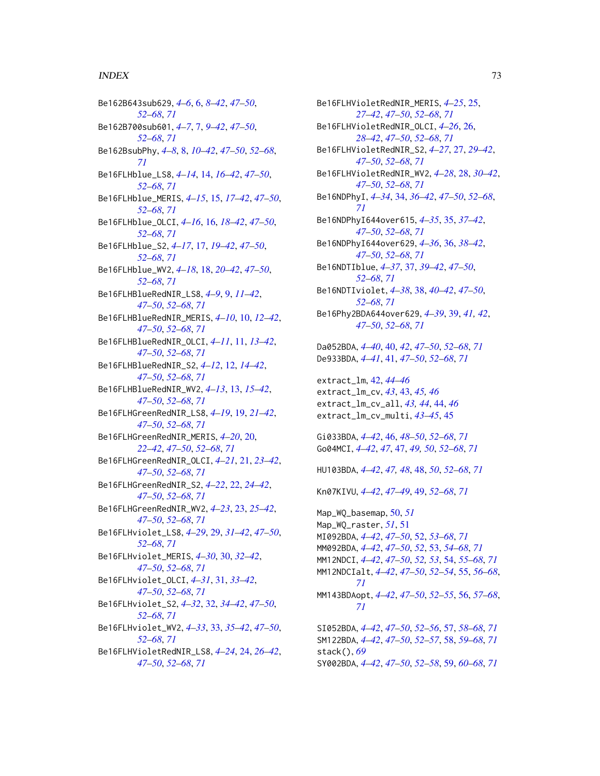## $I<sub>N</sub>$   $I<sub>3</sub>$   $I<sub>3</sub>$   $I<sub>4</sub>$   $I<sub>5</sub>$   $I<sub>6</sub>$   $I<sub>7</sub>$   $I<sub>8</sub>$   $I<sub>9</sub>$   $I<sub>9</sub>$   $I<sub>9</sub>$   $I<sub>9</sub>$   $I<sub>9</sub>$   $I<sub>9</sub>$   $I<sub>9</sub>$   $I<sub>9</sub>$   $I<sub>9</sub>$   $I<sub>9</sub>$   $I<sub>9</sub>$   $I<sub>9</sub>$   $I$

Be162B643sub629, *[4](#page-3-0)[–6](#page-5-0)*, [6,](#page-5-0) *[8–](#page-7-0)[42](#page-41-0)*, *[47–](#page-46-0)[50](#page-49-0)*, *[52](#page-51-0)[–68](#page-67-0)*, *[71](#page-70-0)* Be162B700sub601, *[4](#page-3-0)[–7](#page-6-0)*, [7,](#page-6-0) *[9–](#page-8-0)[42](#page-41-0)*, *[47–](#page-46-0)[50](#page-49-0)*, *[52](#page-51-0)[–68](#page-67-0)*, *[71](#page-70-0)* Be162BsubPhy, *[4](#page-3-0)[–8](#page-7-0)*, [8,](#page-7-0) *[10–](#page-9-0)[42](#page-41-0)*, *[47–](#page-46-0)[50](#page-49-0)*, *[52–](#page-51-0)[68](#page-67-0)*, *[71](#page-70-0)* Be16FLHblue\_LS8, *[4](#page-3-0)[–14](#page-13-0)*, [14,](#page-13-0) *[16–](#page-15-0)[42](#page-41-0)*, *[47–](#page-46-0)[50](#page-49-0)*, *[52](#page-51-0)[–68](#page-67-0)*, *[71](#page-70-0)* Be16FLHblue\_MERIS, *[4–](#page-3-0)[15](#page-14-0)*, [15,](#page-14-0) *[17–](#page-16-0)[42](#page-41-0)*, *[47–](#page-46-0)[50](#page-49-0)*, *[52](#page-51-0)[–68](#page-67-0)*, *[71](#page-70-0)* Be16FLHblue\_OLCI, *[4](#page-3-0)[–16](#page-15-0)*, [16,](#page-15-0) *[18–](#page-17-0)[42](#page-41-0)*, *[47–](#page-46-0)[50](#page-49-0)*, *[52](#page-51-0)[–68](#page-67-0)*, *[71](#page-70-0)* Be16FLHblue\_S2, *[4](#page-3-0)[–17](#page-16-0)*, [17,](#page-16-0) *[19–](#page-18-0)[42](#page-41-0)*, *[47–](#page-46-0)[50](#page-49-0)*, *[52](#page-51-0)[–68](#page-67-0)*, *[71](#page-70-0)* Be16FLHblue\_WV2, *[4](#page-3-0)[–18](#page-17-0)*, [18,](#page-17-0) *[20–](#page-19-0)[42](#page-41-0)*, *[47–](#page-46-0)[50](#page-49-0)*, *[52](#page-51-0)[–68](#page-67-0)*, *[71](#page-70-0)* Be16FLHBlueRedNIR\_LS8, *[4–](#page-3-0)[9](#page-8-0)*, [9,](#page-8-0) *[11–](#page-10-0)[42](#page-41-0)*, *[47](#page-46-0)[–50](#page-49-0)*, *[52](#page-51-0)[–68](#page-67-0)*, *[71](#page-70-0)* Be16FLHBlueRedNIR\_MERIS, *[4–](#page-3-0)[10](#page-9-0)*, [10,](#page-9-0) *[12–](#page-11-0)[42](#page-41-0)*, *[47](#page-46-0)[–50](#page-49-0)*, *[52](#page-51-0)[–68](#page-67-0)*, *[71](#page-70-0)* Be16FLHBlueRedNIR\_OLCI, *[4–](#page-3-0)[11](#page-10-0)*, [11,](#page-10-0) *[13–](#page-12-0)[42](#page-41-0)*, *[47](#page-46-0)[–50](#page-49-0)*, *[52](#page-51-0)[–68](#page-67-0)*, *[71](#page-70-0)* Be16FLHBlueRedNIR\_S2, *[4–](#page-3-0)[12](#page-11-0)*, [12,](#page-11-0) *[14–](#page-13-0)[42](#page-41-0)*, *[47](#page-46-0)[–50](#page-49-0)*, *[52](#page-51-0)[–68](#page-67-0)*, *[71](#page-70-0)* Be16FLHBlueRedNIR\_WV2, *[4–](#page-3-0)[13](#page-12-0)*, [13,](#page-12-0) *[15–](#page-14-0)[42](#page-41-0)*, *[47](#page-46-0)[–50](#page-49-0)*, *[52](#page-51-0)[–68](#page-67-0)*, *[71](#page-70-0)* Be16FLHGreenRedNIR\_LS8, *[4–](#page-3-0)[19](#page-18-0)*, [19,](#page-18-0) *[21–](#page-20-0)[42](#page-41-0)*, *[47](#page-46-0)[–50](#page-49-0)*, *[52](#page-51-0)[–68](#page-67-0)*, *[71](#page-70-0)* Be16FLHGreenRedNIR\_MERIS, *[4–](#page-3-0)[20](#page-19-0)*, [20,](#page-19-0) *[22](#page-21-0)[–42](#page-41-0)*, *[47](#page-46-0)[–50](#page-49-0)*, *[52–](#page-51-0)[68](#page-67-0)*, *[71](#page-70-0)* Be16FLHGreenRedNIR\_OLCI, *[4–](#page-3-0)[21](#page-20-0)*, [21,](#page-20-0) *[23–](#page-22-0)[42](#page-41-0)*, *[47](#page-46-0)[–50](#page-49-0)*, *[52](#page-51-0)[–68](#page-67-0)*, *[71](#page-70-0)* Be16FLHGreenRedNIR\_S2, *[4–](#page-3-0)[22](#page-21-0)*, [22,](#page-21-0) *[24–](#page-23-0)[42](#page-41-0)*, *[47](#page-46-0)[–50](#page-49-0)*, *[52](#page-51-0)[–68](#page-67-0)*, *[71](#page-70-0)* Be16FLHGreenRedNIR\_WV2, *[4–](#page-3-0)[23](#page-22-0)*, [23,](#page-22-0) *[25–](#page-24-0)[42](#page-41-0)*, *[47](#page-46-0)[–50](#page-49-0)*, *[52](#page-51-0)[–68](#page-67-0)*, *[71](#page-70-0)* Be16FLHviolet\_LS8, *[4–](#page-3-0)[29](#page-28-0)*, [29,](#page-28-0) *[31–](#page-30-0)[42](#page-41-0)*, *[47–](#page-46-0)[50](#page-49-0)*, *[52](#page-51-0)[–68](#page-67-0)*, *[71](#page-70-0)* Be16FLHviolet\_MERIS, *[4–](#page-3-0)[30](#page-29-0)*, [30,](#page-29-0) *[32–](#page-31-0)[42](#page-41-0)*, *[47](#page-46-0)[–50](#page-49-0)*, *[52](#page-51-0)[–68](#page-67-0)*, *[71](#page-70-0)* Be16FLHviolet\_OLCI, *[4–](#page-3-0)[31](#page-30-0)*, [31,](#page-30-0) *[33–](#page-32-0)[42](#page-41-0)*, *[47](#page-46-0)[–50](#page-49-0)*, *[52](#page-51-0)[–68](#page-67-0)*, *[71](#page-70-0)* Be16FLHviolet\_S2, *[4](#page-3-0)[–32](#page-31-0)*, [32,](#page-31-0) *[34–](#page-33-0)[42](#page-41-0)*, *[47–](#page-46-0)[50](#page-49-0)*, *[52](#page-51-0)[–68](#page-67-0)*, *[71](#page-70-0)* Be16FLHviolet\_WV2, *[4–](#page-3-0)[33](#page-32-0)*, [33,](#page-32-0) *[35–](#page-34-0)[42](#page-41-0)*, *[47–](#page-46-0)[50](#page-49-0)*, *[52](#page-51-0)[–68](#page-67-0)*, *[71](#page-70-0)* Be16FLHVioletRedNIR\_LS8, *[4–](#page-3-0)[24](#page-23-0)*, [24,](#page-23-0) *[26–](#page-25-0)[42](#page-41-0)*, *[47](#page-46-0)[–50](#page-49-0)*, *[52](#page-51-0)[–68](#page-67-0)*, *[71](#page-70-0)*

Be16FLHVioletRedNIR\_MERIS, *[4](#page-3-0)[–25](#page-24-0)*, [25,](#page-24-0) *[27](#page-26-0)[–42](#page-41-0)*, *[47](#page-46-0)[–50](#page-49-0)*, *[52](#page-51-0)[–68](#page-67-0)*, *[71](#page-70-0)* Be16FLHVioletRedNIR\_OLCI, *[4](#page-3-0)[–26](#page-25-0)*, [26,](#page-25-0) *[28](#page-27-0)[–42](#page-41-0)*, *[47](#page-46-0)[–50](#page-49-0)*, *[52](#page-51-0)[–68](#page-67-0)*, *[71](#page-70-0)* Be16FLHVioletRedNIR\_S2, *[4](#page-3-0)[–27](#page-26-0)*, [27,](#page-26-0) *[29](#page-28-0)[–42](#page-41-0)*, *[47](#page-46-0)[–50](#page-49-0)*, *[52](#page-51-0)[–68](#page-67-0)*, *[71](#page-70-0)* Be16FLHVioletRedNIR\_WV2, *[4](#page-3-0)[–28](#page-27-0)*, [28,](#page-27-0) *[30](#page-29-0)[–42](#page-41-0)*, *[47](#page-46-0)[–50](#page-49-0)*, *[52](#page-51-0)[–68](#page-67-0)*, *[71](#page-70-0)* Be16NDPhyI, *[4](#page-3-0)[–34](#page-33-0)*, [34,](#page-33-0) *[36](#page-35-0)[–42](#page-41-0)*, *[47](#page-46-0)[–50](#page-49-0)*, *[52](#page-51-0)[–68](#page-67-0)*, *[71](#page-70-0)* Be16NDPhyI644over615, *[4](#page-3-0)[–35](#page-34-0)*, [35,](#page-34-0) *[37](#page-36-0)[–42](#page-41-0)*, *[47](#page-46-0)[–50](#page-49-0)*, *[52](#page-51-0)[–68](#page-67-0)*, *[71](#page-70-0)* Be16NDPhyI644over629, *[4](#page-3-0)[–36](#page-35-0)*, [36,](#page-35-0) *[38](#page-37-0)[–42](#page-41-0)*, *[47](#page-46-0)[–50](#page-49-0)*, *[52](#page-51-0)[–68](#page-67-0)*, *[71](#page-70-0)* Be16NDTIblue, *[4](#page-3-0)[–37](#page-36-0)*, [37,](#page-36-0) *[39](#page-38-0)[–42](#page-41-0)*, *[47](#page-46-0)[–50](#page-49-0)*, *[52](#page-51-0)[–68](#page-67-0)*, *[71](#page-70-0)* Be16NDTIviolet, *[4](#page-3-0)[–38](#page-37-0)*, [38,](#page-37-0) *[40](#page-39-0)[–42](#page-41-0)*, *[47](#page-46-0)[–50](#page-49-0)*, *[52](#page-51-0)[–68](#page-67-0)*, *[71](#page-70-0)* Be16Phy2BDA644over629, *[4](#page-3-0)[–39](#page-38-0)*, [39,](#page-38-0) *[41,](#page-40-0) [42](#page-41-0)*, *[47](#page-46-0)[–50](#page-49-0)*, *[52](#page-51-0)[–68](#page-67-0)*, *[71](#page-70-0)* Da052BDA, *[4](#page-3-0)[–40](#page-39-0)*, [40,](#page-39-0) *[42](#page-41-0)*, *[47](#page-46-0)[–50](#page-49-0)*, *[52](#page-51-0)[–68](#page-67-0)*, *[71](#page-70-0)* De933BDA, *[4](#page-3-0)[–41](#page-40-0)*, [41,](#page-40-0) *[47](#page-46-0)[–50](#page-49-0)*, *[52](#page-51-0)[–68](#page-67-0)*, *[71](#page-70-0)* extract\_lm, [42,](#page-41-0) *[44](#page-43-0)[–46](#page-45-0)* extract\_lm\_cv, *[43](#page-42-0)*, [43,](#page-42-0) *[45,](#page-44-0) [46](#page-45-0)* extract\_lm\_cv\_all, *[43,](#page-42-0) [44](#page-43-0)*, [44,](#page-43-0) *[46](#page-45-0)* extract\_lm\_cv\_multi, *[43](#page-42-0)[–45](#page-44-0)*, [45](#page-44-0) Gi033BDA, *[4](#page-3-0)[–42](#page-41-0)*, [46,](#page-45-0) *[48](#page-47-0)[–50](#page-49-0)*, *[52](#page-51-0)[–68](#page-67-0)*, *[71](#page-70-0)* Go04MCI, *[4](#page-3-0)[–42](#page-41-0)*, *[47](#page-46-0)*, [47,](#page-46-0) *[49,](#page-48-0) [50](#page-49-0)*, *[52](#page-51-0)[–68](#page-67-0)*, *[71](#page-70-0)* HU103BDA, *[4](#page-3-0)[–42](#page-41-0)*, *[47,](#page-46-0) [48](#page-47-0)*, [48,](#page-47-0) *[50](#page-49-0)*, *[52](#page-51-0)[–68](#page-67-0)*, *[71](#page-70-0)* Kn07KIVU, *[4](#page-3-0)[–42](#page-41-0)*, *[47](#page-46-0)[–49](#page-48-0)*, [49,](#page-48-0) *[52](#page-51-0)[–68](#page-67-0)*, *[71](#page-70-0)* Map\_WQ\_basemap, [50,](#page-49-0) *[51](#page-50-0)* Map\_WQ\_raster, *[51](#page-50-0)*, [51](#page-50-0) MI092BDA, *[4](#page-3-0)[–42](#page-41-0)*, *[47](#page-46-0)[–50](#page-49-0)*, [52,](#page-51-0) *[53](#page-52-0)[–68](#page-67-0)*, *[71](#page-70-0)* MM092BDA, *[4](#page-3-0)[–42](#page-41-0)*, *[47](#page-46-0)[–50](#page-49-0)*, *[52](#page-51-0)*, [53,](#page-52-0) *[54](#page-53-0)[–68](#page-67-0)*, *[71](#page-70-0)* MM12NDCI, *[4](#page-3-0)[–42](#page-41-0)*, *[47](#page-46-0)[–50](#page-49-0)*, *[52,](#page-51-0) [53](#page-52-0)*, [54,](#page-53-0) *[55](#page-54-0)[–68](#page-67-0)*, *[71](#page-70-0)* MM12NDCIalt, *[4](#page-3-0)[–42](#page-41-0)*, *[47](#page-46-0)[–50](#page-49-0)*, *[52](#page-51-0)[–54](#page-53-0)*, [55,](#page-54-0) *[56](#page-55-0)[–68](#page-67-0)*, *[71](#page-70-0)* MM143BDAopt, *[4](#page-3-0)[–42](#page-41-0)*, *[47](#page-46-0)[–50](#page-49-0)*, *[52](#page-51-0)[–55](#page-54-0)*, [56,](#page-55-0) *[57](#page-56-0)[–68](#page-67-0)*, *[71](#page-70-0)* SI052BDA, *[4](#page-3-0)[–42](#page-41-0)*, *[47](#page-46-0)[–50](#page-49-0)*, *[52](#page-51-0)[–56](#page-55-0)*, [57,](#page-56-0) *[58](#page-57-0)[–68](#page-67-0)*, *[71](#page-70-0)*

SM122BDA, *[4](#page-3-0)[–42](#page-41-0)*, *[47](#page-46-0)[–50](#page-49-0)*, *[52](#page-51-0)[–57](#page-56-0)*, [58,](#page-57-0) *[59](#page-58-0)[–68](#page-67-0)*, *[71](#page-70-0)* stack(), *[69](#page-68-0)* SY002BDA, *[4](#page-3-0)[–42](#page-41-0)*, *[47](#page-46-0)[–50](#page-49-0)*, *[52](#page-51-0)[–58](#page-57-0)*, [59,](#page-58-0) *[60](#page-59-0)[–68](#page-67-0)*, *[71](#page-70-0)*